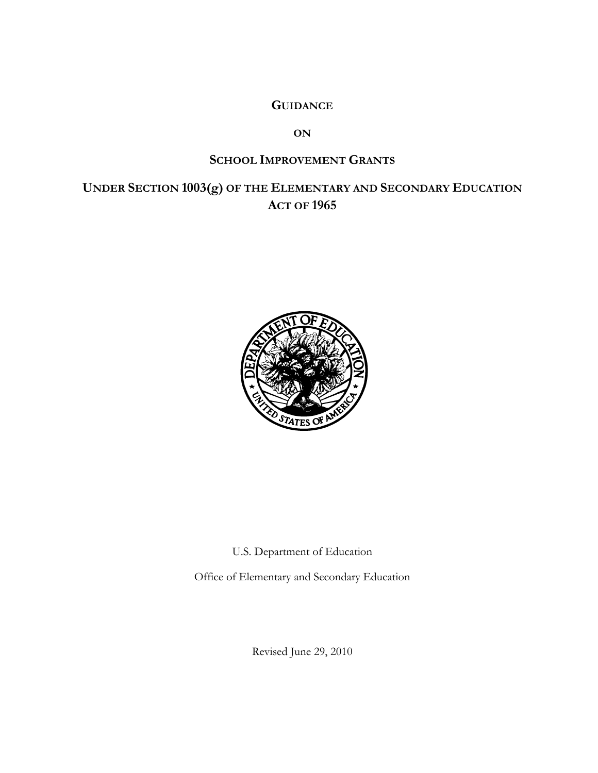# **GUIDANCE**

**ON**

# **SCHOOL IMPROVEMENT GRANTS**

# **UNDER SECTION 1003(g) OF THE ELEMENTARY AND SECONDARY EDUCATION ACT OF 1965**



U.S. Department of Education

Office of Elementary and Secondary Education

Revised June 29, 2010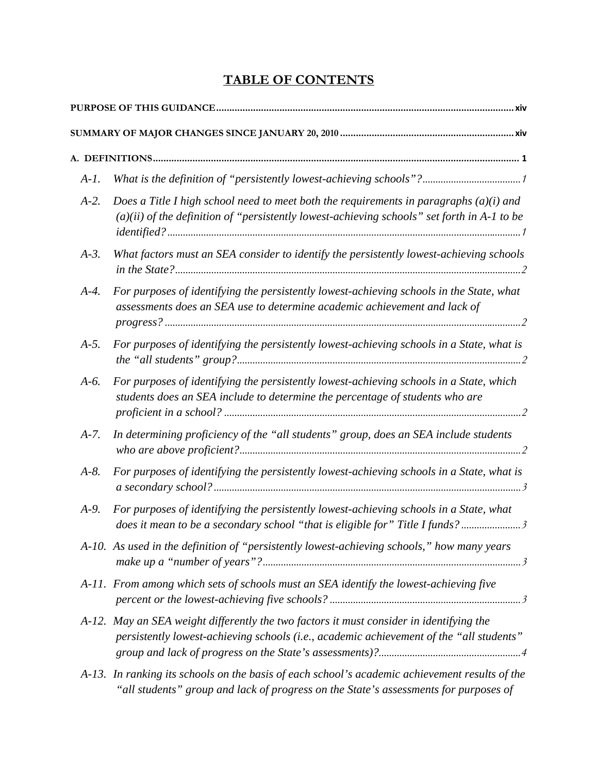# **TABLE OF CONTENTS**

| $A-I.$   |                                                                                                                                                                                           |
|----------|-------------------------------------------------------------------------------------------------------------------------------------------------------------------------------------------|
| $A-2$ .  | Does a Title I high school need to meet both the requirements in paragraphs $(a)(i)$ and<br>$(a)(ii)$ of the definition of "persistently lowest-achieving schools" set forth in A-1 to be |
| $A-3$ .  | What factors must an SEA consider to identify the persistently lowest-achieving schools                                                                                                   |
| $A-4$ .  | For purposes of identifying the persistently lowest-achieving schools in the State, what<br>assessments does an SEA use to determine academic achievement and lack of                     |
| $A-5.$   | For purposes of identifying the persistently lowest-achieving schools in a State, what is                                                                                                 |
| $A-6.$   | For purposes of identifying the persistently lowest-achieving schools in a State, which<br>students does an SEA include to determine the percentage of students who are                   |
| $A - 7.$ | In determining proficiency of the "all students" group, does an SEA include students                                                                                                      |
| $A-8$ .  | For purposes of identifying the persistently lowest-achieving schools in a State, what is                                                                                                 |
| $A-9.$   | For purposes of identifying the persistently lowest-achieving schools in a State, what<br>does it mean to be a secondary school "that is eligible for" Title I funds?3                    |
|          | A-10. As used in the definition of "persistently lowest-achieving schools," how many years                                                                                                |
|          | A-11. From among which sets of schools must an SEA identify the lowest-achieving five                                                                                                     |
|          | A-12. May an SEA weight differently the two factors it must consider in identifying the<br>persistently lowest-achieving schools (i.e., academic achievement of the "all students"        |
|          | A-13. In ranking its schools on the basis of each school's academic achievement results of the<br>"all students" group and lack of progress on the State's assessments for purposes of    |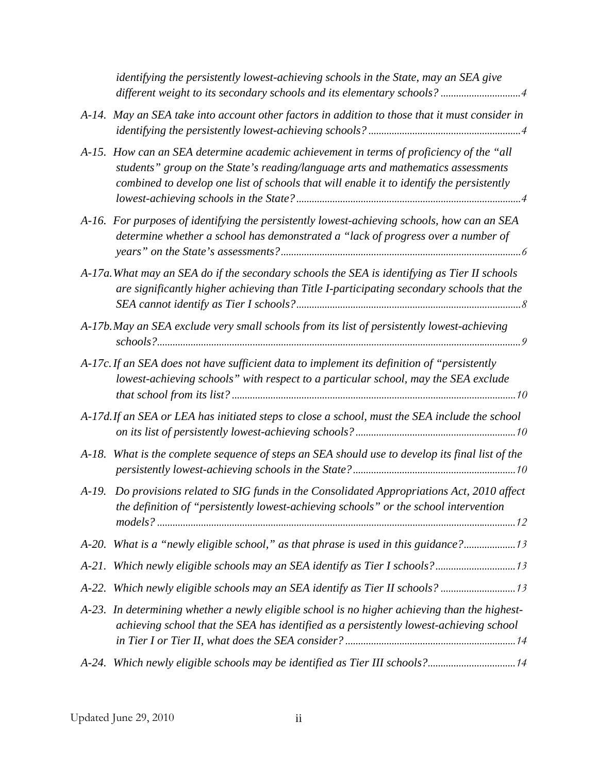|         | identifying the persistently lowest-achieving schools in the State, may an SEA give                                                                                                                                                                                     |
|---------|-------------------------------------------------------------------------------------------------------------------------------------------------------------------------------------------------------------------------------------------------------------------------|
|         | A-14. May an SEA take into account other factors in addition to those that it must consider in                                                                                                                                                                          |
|         | A-15. How can an SEA determine academic achievement in terms of proficiency of the "all<br>students" group on the State's reading/language arts and mathematics assessments<br>combined to develop one list of schools that will enable it to identify the persistently |
|         | A-16. For purposes of identifying the persistently lowest-achieving schools, how can an SEA<br>determine whether a school has demonstrated a "lack of progress over a number of                                                                                         |
|         | A-17a. What may an SEA do if the secondary schools the SEA is identifying as Tier II schools<br>are significantly higher achieving than Title I-participating secondary schools that the                                                                                |
|         | A-17b. May an SEA exclude very small schools from its list of persistently lowest-achieving                                                                                                                                                                             |
|         | A-17c. If an SEA does not have sufficient data to implement its definition of "persistently<br>lowest-achieving schools" with respect to a particular school, may the SEA exclude                                                                                       |
|         | A-17d. If an SEA or LEA has initiated steps to close a school, must the SEA include the school                                                                                                                                                                          |
| $A-18.$ | What is the complete sequence of steps an SEA should use to develop its final list of the                                                                                                                                                                               |
|         | A-19. Do provisions related to SIG funds in the Consolidated Appropriations Act, 2010 affect<br>the definition of "persistently lowest-achieving schools" or the school intervention                                                                                    |
|         | A-20. What is a "newly eligible school," as that phrase is used in this guidance?13                                                                                                                                                                                     |
|         |                                                                                                                                                                                                                                                                         |
|         | A-22. Which newly eligible schools may an SEA identify as Tier II schools?                                                                                                                                                                                              |
|         | A-23. In determining whether a newly eligible school is no higher achieving than the highest-<br>achieving school that the SEA has identified as a persistently lowest-achieving school                                                                                 |
|         | A-24. Which newly eligible schools may be identified as Tier III schools?14                                                                                                                                                                                             |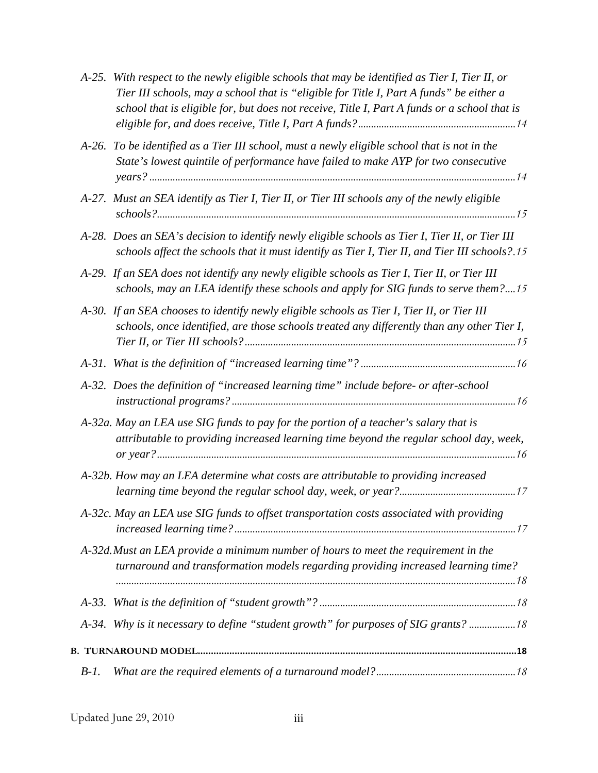| $A-25.$ | With respect to the newly eligible schools that may be identified as Tier I, Tier II, or<br>Tier III schools, may a school that is "eligible for Title I, Part A funds" be either a<br>school that is eligible for, but does not receive, Title I, Part A funds or a school that is |
|---------|-------------------------------------------------------------------------------------------------------------------------------------------------------------------------------------------------------------------------------------------------------------------------------------|
|         | A-26. To be identified as a Tier III school, must a newly eligible school that is not in the<br>State's lowest quintile of performance have failed to make AYP for two consecutive                                                                                                  |
|         | A-27. Must an SEA identify as Tier I, Tier II, or Tier III schools any of the newly eligible                                                                                                                                                                                        |
|         | A-28. Does an SEA's decision to identify newly eligible schools as Tier I, Tier II, or Tier III<br>schools affect the schools that it must identify as Tier I, Tier II, and Tier III schools?.15                                                                                    |
|         | A-29. If an SEA does not identify any newly eligible schools as Tier I, Tier II, or Tier III<br>schools, may an LEA identify these schools and apply for SIG funds to serve them?15                                                                                                 |
|         | A-30. If an SEA chooses to identify newly eligible schools as Tier I, Tier II, or Tier III<br>schools, once identified, are those schools treated any differently than any other Tier I,                                                                                            |
|         |                                                                                                                                                                                                                                                                                     |
|         | A-32. Does the definition of "increased learning time" include before- or after-school                                                                                                                                                                                              |
|         | A-32a. May an LEA use SIG funds to pay for the portion of a teacher's salary that is<br>attributable to providing increased learning time beyond the regular school day, week,                                                                                                      |
|         | A-32b. How may an LEA determine what costs are attributable to providing increased                                                                                                                                                                                                  |
|         | A-32c. May an LEA use SIG funds to offset transportation costs associated with providing                                                                                                                                                                                            |
|         | A-32d. Must an LEA provide a minimum number of hours to meet the requirement in the<br>turnaround and transformation models regarding providing increased learning time?                                                                                                            |
|         |                                                                                                                                                                                                                                                                                     |
|         | A-34. Why is it necessary to define "student growth" for purposes of SIG grants?  18                                                                                                                                                                                                |
|         |                                                                                                                                                                                                                                                                                     |
| $B-I.$  |                                                                                                                                                                                                                                                                                     |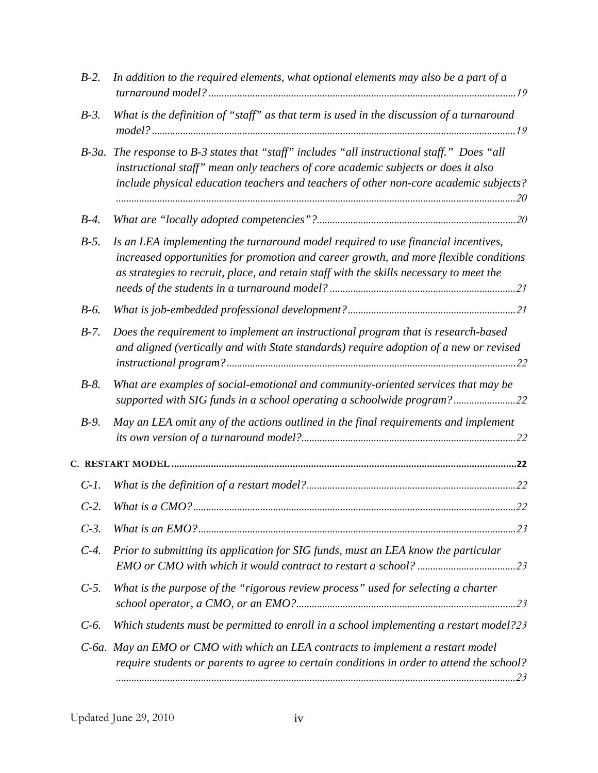| $B-2$ . | In addition to the required elements, what optional elements may also be a part of a                                                                                                                                                                                      |
|---------|---------------------------------------------------------------------------------------------------------------------------------------------------------------------------------------------------------------------------------------------------------------------------|
| $B-3$ . | What is the definition of "staff" as that term is used in the discussion of a turnaround                                                                                                                                                                                  |
|         | B-3a. The response to B-3 states that "staff" includes "all instructional staff." Does "all<br>instructional staff" mean only teachers of core academic subjects or does it also<br>include physical education teachers and teachers of other non-core academic subjects? |
| $B-4$ . |                                                                                                                                                                                                                                                                           |
| $B-5$ . | Is an LEA implementing the turnaround model required to use financial incentives,<br>increased opportunities for promotion and career growth, and more flexible conditions<br>as strategies to recruit, place, and retain staff with the skills necessary to meet the     |
| $B-6$ . |                                                                                                                                                                                                                                                                           |
| $B-7$ . | Does the requirement to implement an instructional program that is research-based<br>and aligned (vertically and with State standards) require adoption of a new or revised                                                                                               |
| $B-8$ . | What are examples of social-emotional and community-oriented services that may be<br>supported with SIG funds in a school operating a schoolwide program?22                                                                                                               |
| $B-9$ . | May an LEA omit any of the actions outlined in the final requirements and implement                                                                                                                                                                                       |
|         |                                                                                                                                                                                                                                                                           |
| $C-1$ . |                                                                                                                                                                                                                                                                           |
| $C-2$ . |                                                                                                                                                                                                                                                                           |
| $C-3$ . |                                                                                                                                                                                                                                                                           |
| $C-4$ . | Prior to submitting its application for SIG funds, must an LEA know the particular                                                                                                                                                                                        |
| $C-5$ . | What is the purpose of the "rigorous review process" used for selecting a charter                                                                                                                                                                                         |
| $C-6$ . | Which students must be permitted to enroll in a school implementing a restart model?23                                                                                                                                                                                    |
|         | C-6a. May an EMO or CMO with which an LEA contracts to implement a restart model<br>require students or parents to agree to certain conditions in order to attend the school?                                                                                             |
|         |                                                                                                                                                                                                                                                                           |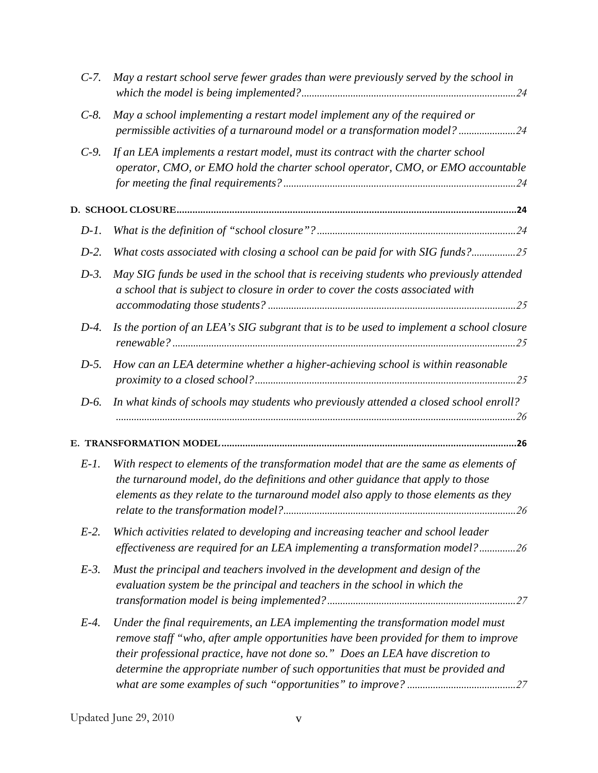| $C-7$ . | May a restart school serve fewer grades than were previously served by the school in                                                                                                                                                                                                                                                         |
|---------|----------------------------------------------------------------------------------------------------------------------------------------------------------------------------------------------------------------------------------------------------------------------------------------------------------------------------------------------|
| $C-8$ . | May a school implementing a restart model implement any of the required or<br>permissible activities of a turnaround model or a transformation model? 24                                                                                                                                                                                     |
| $C-9$ . | If an LEA implements a restart model, must its contract with the charter school<br>operator, CMO, or EMO hold the charter school operator, CMO, or EMO accountable                                                                                                                                                                           |
|         |                                                                                                                                                                                                                                                                                                                                              |
| $D-1$ . |                                                                                                                                                                                                                                                                                                                                              |
| $D-2$ . | What costs associated with closing a school can be paid for with SIG funds?25                                                                                                                                                                                                                                                                |
| $D-3$ . | May SIG funds be used in the school that is receiving students who previously attended<br>a school that is subject to closure in order to cover the costs associated with                                                                                                                                                                    |
| $D-4$ . | Is the portion of an LEA's SIG subgrant that is to be used to implement a school closure                                                                                                                                                                                                                                                     |
| $D-5$ . | How can an LEA determine whether a higher-achieving school is within reasonable                                                                                                                                                                                                                                                              |
| D-6.    | In what kinds of schools may students who previously attended a closed school enroll?                                                                                                                                                                                                                                                        |
|         |                                                                                                                                                                                                                                                                                                                                              |
| $E-I.$  | With respect to elements of the transformation model that are the same as elements of<br>the turnaround model, do the definitions and other guidance that apply to those<br>elements as they relate to the turnaround model also apply to those elements as they                                                                             |
| $E-2$ . | Which activities related to developing and increasing teacher and school leader<br>effectiveness are required for an LEA implementing a transformation model?26                                                                                                                                                                              |
| $E-3$ . | Must the principal and teachers involved in the development and design of the<br>evaluation system be the principal and teachers in the school in which the                                                                                                                                                                                  |
| $E-4$ . | Under the final requirements, an LEA implementing the transformation model must<br>remove staff "who, after ample opportunities have been provided for them to improve<br>their professional practice, have not done so." Does an LEA have discretion to<br>determine the appropriate number of such opportunities that must be provided and |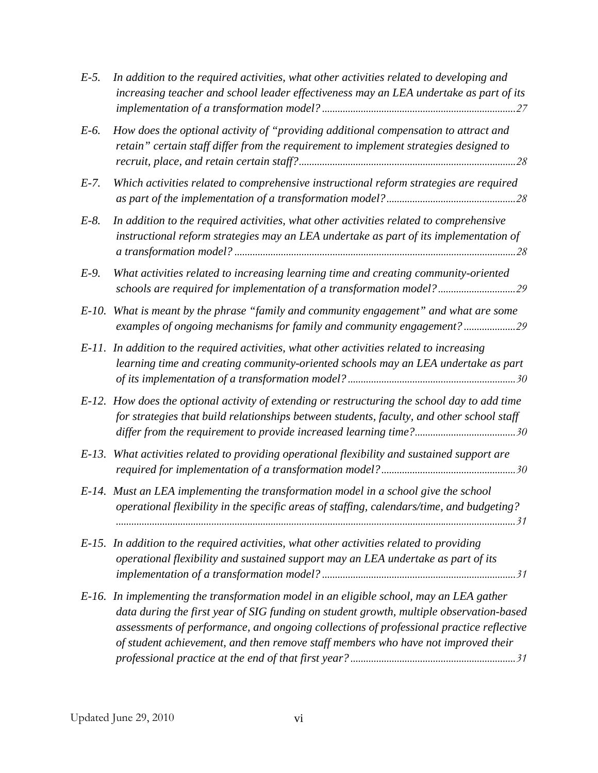| $E-5$ .  | In addition to the required activities, what other activities related to developing and<br>increasing teacher and school leader effectiveness may an LEA undertake as part of its                                                                                                                                                                                  |
|----------|--------------------------------------------------------------------------------------------------------------------------------------------------------------------------------------------------------------------------------------------------------------------------------------------------------------------------------------------------------------------|
| E-6.     | How does the optional activity of "providing additional compensation to attract and<br>retain" certain staff differ from the requirement to implement strategies designed to                                                                                                                                                                                       |
| $E-7$ .  | Which activities related to comprehensive instructional reform strategies are required                                                                                                                                                                                                                                                                             |
| $E-8$ .  | In addition to the required activities, what other activities related to comprehensive<br>instructional reform strategies may an LEA undertake as part of its implementation of                                                                                                                                                                                    |
| $E-9$ .  | What activities related to increasing learning time and creating community-oriented<br>schools are required for implementation of a transformation model?29                                                                                                                                                                                                        |
| $E-10$ . | What is meant by the phrase "family and community engagement" and what are some<br>examples of ongoing mechanisms for family and community engagement? 29                                                                                                                                                                                                          |
|          | E-11. In addition to the required activities, what other activities related to increasing<br>learning time and creating community-oriented schools may an LEA undertake as part                                                                                                                                                                                    |
|          | E-12. How does the optional activity of extending or restructuring the school day to add time<br>for strategies that build relationships between students, faculty, and other school staff                                                                                                                                                                         |
|          | E-13. What activities related to providing operational flexibility and sustained support are                                                                                                                                                                                                                                                                       |
|          | E-14. Must an LEA implementing the transformation model in a school give the school<br>operational flexibility in the specific areas of staffing, calendars/time, and budgeting?                                                                                                                                                                                   |
|          | E-15. In addition to the required activities, what other activities related to providing<br>operational flexibility and sustained support may an LEA undertake as part of its                                                                                                                                                                                      |
|          | E-16. In implementing the transformation model in an eligible school, may an LEA gather<br>data during the first year of SIG funding on student growth, multiple observation-based<br>assessments of performance, and ongoing collections of professional practice reflective<br>of student achievement, and then remove staff members who have not improved their |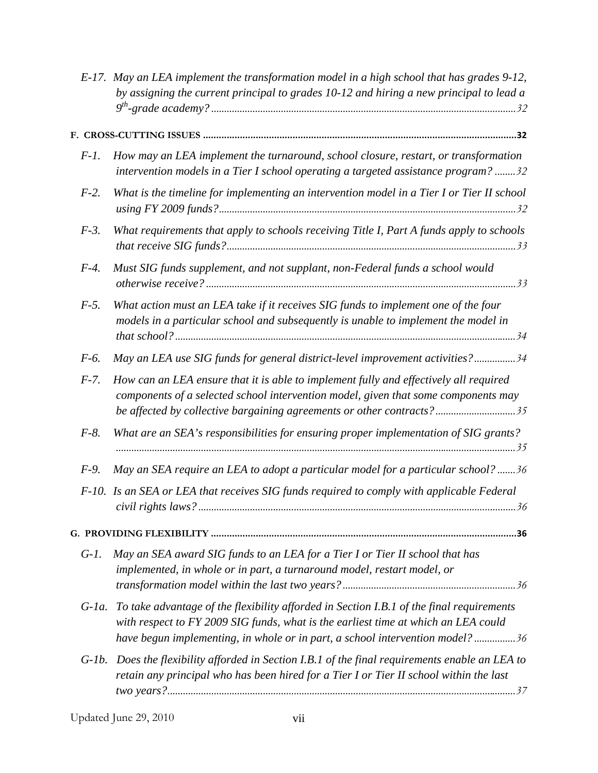|          | E-17. May an LEA implement the transformation model in a high school that has grades 9-12,<br>by assigning the current principal to grades 10-12 and hiring a new principal to lead a                                                                           |
|----------|-----------------------------------------------------------------------------------------------------------------------------------------------------------------------------------------------------------------------------------------------------------------|
|          |                                                                                                                                                                                                                                                                 |
| $F-I.$   | How may an LEA implement the turnaround, school closure, restart, or transformation<br>intervention models in a Tier I school operating a targeted assistance program? 32                                                                                       |
| $F-2$ .  | What is the timeline for implementing an intervention model in a Tier I or Tier II school                                                                                                                                                                       |
| $F-3$ .  | What requirements that apply to schools receiving Title I, Part A funds apply to schools                                                                                                                                                                        |
| $F-4$ .  | Must SIG funds supplement, and not supplant, non-Federal funds a school would                                                                                                                                                                                   |
| $F-5$ .  | What action must an LEA take if it receives SIG funds to implement one of the four<br>models in a particular school and subsequently is unable to implement the model in                                                                                        |
| F-6.     | May an LEA use SIG funds for general district-level improvement activities?34                                                                                                                                                                                   |
| $F-7$ .  | How can an LEA ensure that it is able to implement fully and effectively all required<br>components of a selected school intervention model, given that some components may<br>be affected by collective bargaining agreements or other contracts?35            |
| $F-8$ .  | What are an SEA's responsibilities for ensuring proper implementation of SIG grants?                                                                                                                                                                            |
| $F-9$ .  | May an SEA require an LEA to adopt a particular model for a particular school? 36                                                                                                                                                                               |
|          | F-10. Is an SEA or LEA that receives SIG funds required to comply with applicable Federal<br>36                                                                                                                                                                 |
|          |                                                                                                                                                                                                                                                                 |
| $G-I.$   | May an SEA award SIG funds to an LEA for a Tier I or Tier II school that has<br>implemented, in whole or in part, a turnaround model, restart model, or                                                                                                         |
| $G$ -la. | To take advantage of the flexibility afforded in Section I.B.1 of the final requirements<br>with respect to FY 2009 SIG funds, what is the earliest time at which an LEA could<br>have begun implementing, in whole or in part, a school intervention model? 36 |
| $G-1b$ . | Does the flexibility afforded in Section I.B.1 of the final requirements enable an LEA to<br>retain any principal who has been hired for a Tier I or Tier II school within the last                                                                             |
|          |                                                                                                                                                                                                                                                                 |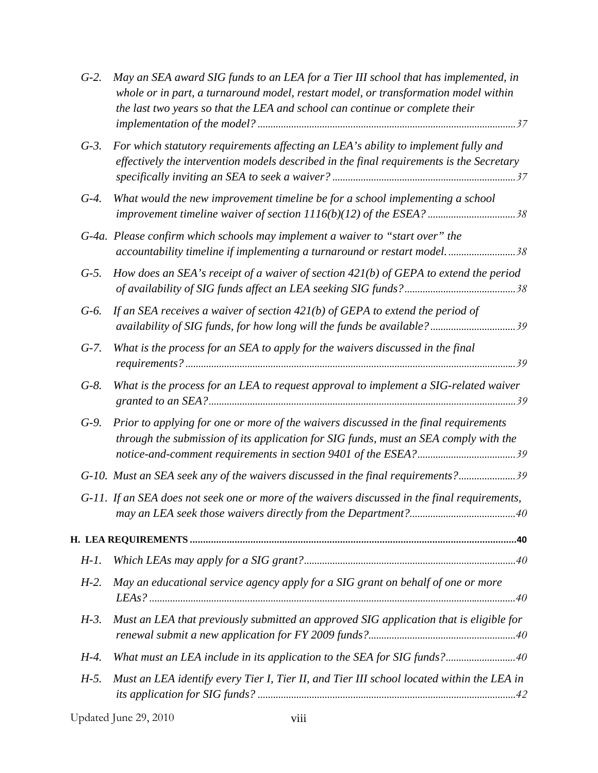| $G-2$ . | May an SEA award SIG funds to an LEA for a Tier III school that has implemented, in<br>whole or in part, a turnaround model, restart model, or transformation model within<br>the last two years so that the LEA and school can continue or complete their |
|---------|------------------------------------------------------------------------------------------------------------------------------------------------------------------------------------------------------------------------------------------------------------|
| $G-3$ . | For which statutory requirements affecting an LEA's ability to implement fully and<br>effectively the intervention models described in the final requirements is the Secretary                                                                             |
| $G-4$ . | What would the new improvement timeline be for a school implementing a school<br>improvement timeline waiver of section 1116(b)(12) of the ESEA? 38                                                                                                        |
|         | G-4a. Please confirm which schools may implement a waiver to "start over" the<br>accountability timeline if implementing a turnaround or restart model38                                                                                                   |
| $G-5$ . | How does an SEA's receipt of a waiver of section $421(b)$ of GEPA to extend the period                                                                                                                                                                     |
| $G-6$ . | If an SEA receives a waiver of section $421(b)$ of GEPA to extend the period of                                                                                                                                                                            |
| $G-7.$  | What is the process for an SEA to apply for the waivers discussed in the final                                                                                                                                                                             |
| $G-8$ . | What is the process for an LEA to request approval to implement a SIG-related waiver                                                                                                                                                                       |
| $G-9$ . | Prior to applying for one or more of the waivers discussed in the final requirements<br>through the submission of its application for SIG funds, must an SEA comply with the                                                                               |
|         | G-10. Must an SEA seek any of the waivers discussed in the final requirements?39                                                                                                                                                                           |
|         | G-11. If an SEA does not seek one or more of the waivers discussed in the final requirements,                                                                                                                                                              |
|         |                                                                                                                                                                                                                                                            |
| $H-1$ . |                                                                                                                                                                                                                                                            |
| $H-2$ . | May an educational service agency apply for a SIG grant on behalf of one or more                                                                                                                                                                           |
| $H-3$ . | Must an LEA that previously submitted an approved SIG application that is eligible for                                                                                                                                                                     |
| $H-4$ . | What must an LEA include in its application to the SEA for SIG funds?40                                                                                                                                                                                    |
| $H-5$ . | Must an LEA identify every Tier I, Tier II, and Tier III school located within the LEA in                                                                                                                                                                  |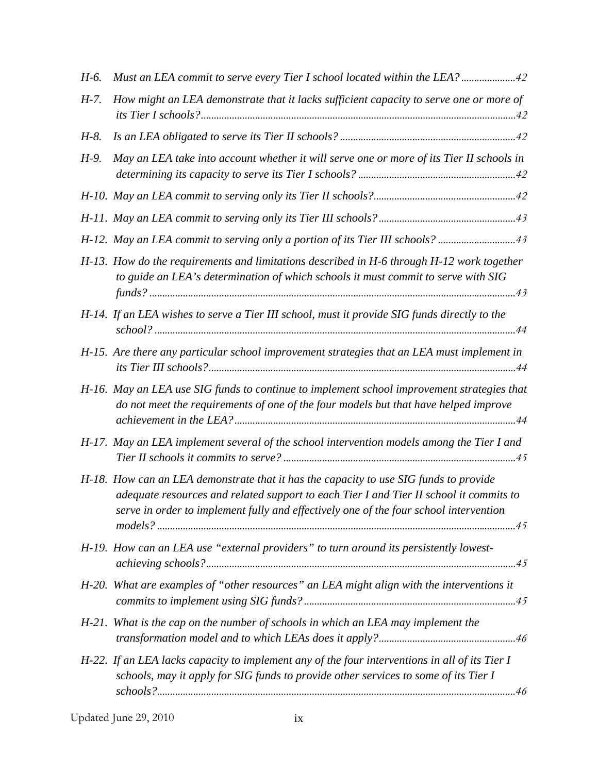| H-6.    | Must an LEA commit to serve every Tier I school located within the LEA?42                                                                                                                                                                                                |
|---------|--------------------------------------------------------------------------------------------------------------------------------------------------------------------------------------------------------------------------------------------------------------------------|
| $H-7$ . | How might an LEA demonstrate that it lacks sufficient capacity to serve one or more of                                                                                                                                                                                   |
| $H-8$ . |                                                                                                                                                                                                                                                                          |
| $H-9$ . | May an LEA take into account whether it will serve one or more of its Tier II schools in                                                                                                                                                                                 |
|         |                                                                                                                                                                                                                                                                          |
|         |                                                                                                                                                                                                                                                                          |
|         | H-12. May an LEA commit to serving only a portion of its Tier III schools? 43                                                                                                                                                                                            |
|         | H-13. How do the requirements and limitations described in H-6 through H-12 work together<br>to guide an LEA's determination of which schools it must commit to serve with SIG                                                                                           |
|         | H-14. If an LEA wishes to serve a Tier III school, must it provide SIG funds directly to the                                                                                                                                                                             |
|         | H-15. Are there any particular school improvement strategies that an LEA must implement in                                                                                                                                                                               |
|         | H-16. May an LEA use SIG funds to continue to implement school improvement strategies that<br>do not meet the requirements of one of the four models but that have helped improve                                                                                        |
|         | H-17. May an LEA implement several of the school intervention models among the Tier I and                                                                                                                                                                                |
|         | H-18. How can an LEA demonstrate that it has the capacity to use SIG funds to provide<br>adequate resources and related support to each Tier I and Tier II school it commits to<br>serve in order to implement fully and effectively one of the four school intervention |
|         | H-19. How can an LEA use "external providers" to turn around its persistently lowest-                                                                                                                                                                                    |
|         | H-20. What are examples of "other resources" an LEA might align with the interventions it                                                                                                                                                                                |
|         | H-21. What is the cap on the number of schools in which an LEA may implement the                                                                                                                                                                                         |
|         | H-22. If an LEA lacks capacity to implement any of the four interventions in all of its Tier I<br>schools, may it apply for SIG funds to provide other services to some of its Tier I                                                                                    |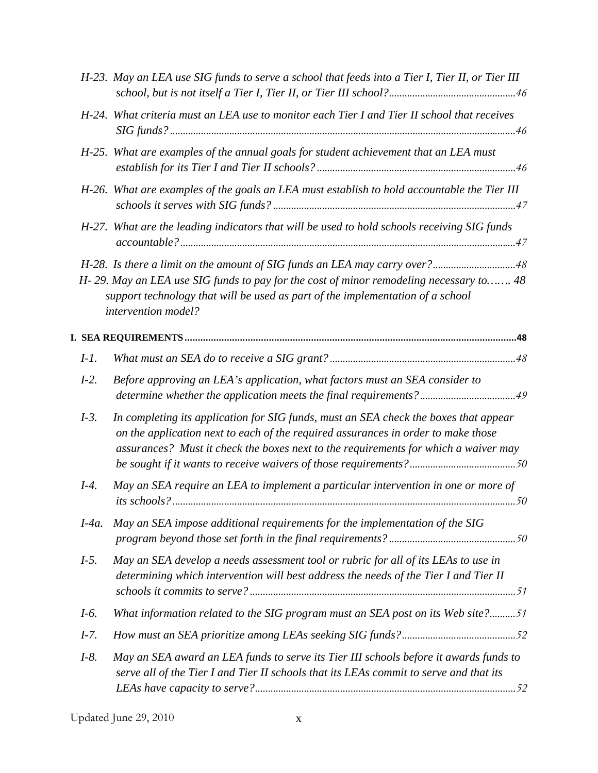|          | H-23. May an LEA use SIG funds to serve a school that feeds into a Tier I, Tier II, or Tier III                                                                                                                                                                  |
|----------|------------------------------------------------------------------------------------------------------------------------------------------------------------------------------------------------------------------------------------------------------------------|
|          | H-24. What criteria must an LEA use to monitor each Tier I and Tier II school that receives                                                                                                                                                                      |
|          | H-25. What are examples of the annual goals for student achievement that an LEA must                                                                                                                                                                             |
|          | H-26. What are examples of the goals an LEA must establish to hold accountable the Tier III                                                                                                                                                                      |
|          | H-27. What are the leading indicators that will be used to hold schools receiving SIG funds                                                                                                                                                                      |
|          | H-28. Is there a limit on the amount of SIG funds an LEA may carry over?48                                                                                                                                                                                       |
|          | H-29. May an LEA use SIG funds to pay for the cost of minor remodeling necessary to 48<br>support technology that will be used as part of the implementation of a school<br>intervention model?                                                                  |
|          |                                                                                                                                                                                                                                                                  |
| $I-I.$   |                                                                                                                                                                                                                                                                  |
| $I-2$ .  | Before approving an LEA's application, what factors must an SEA consider to<br>determine whether the application meets the final requirements?49                                                                                                                 |
| $I-3$ .  | In completing its application for SIG funds, must an SEA check the boxes that appear<br>on the application next to each of the required assurances in order to make those<br>assurances? Must it check the boxes next to the requirements for which a waiver may |
| $I-4$ .  | May an SEA require an LEA to implement a particular intervention in one or more of                                                                                                                                                                               |
| $I-4a$ . | May an SEA impose additional requirements for the implementation of the SIG                                                                                                                                                                                      |
| $I-5.$   | May an SEA develop a needs assessment tool or rubric for all of its LEAs to use in<br>determining which intervention will best address the needs of the Tier I and Tier II                                                                                       |
| $I-6.$   | What information related to the SIG program must an SEA post on its Web site?51                                                                                                                                                                                  |
| $I-7.$   |                                                                                                                                                                                                                                                                  |
| $I-8.$   | May an SEA award an LEA funds to serve its Tier III schools before it awards funds to<br>serve all of the Tier I and Tier II schools that its LEAs commit to serve and that its                                                                                  |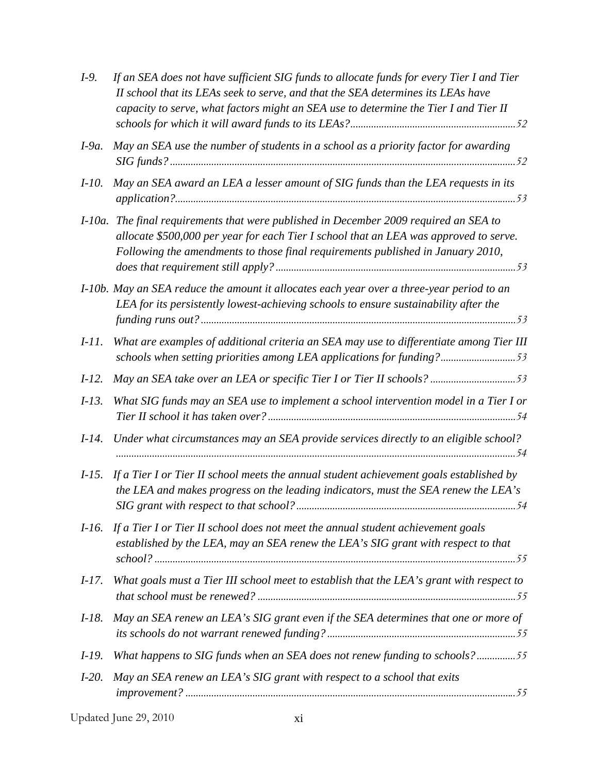| $I-9.$    | If an SEA does not have sufficient SIG funds to allocate funds for every Tier I and Tier<br>II school that its LEAs seek to serve, and that the SEA determines its LEAs have<br>capacity to serve, what factors might an SEA use to determine the Tier I and Tier II |
|-----------|----------------------------------------------------------------------------------------------------------------------------------------------------------------------------------------------------------------------------------------------------------------------|
| $I-9a$ .  | May an SEA use the number of students in a school as a priority factor for awarding                                                                                                                                                                                  |
| $I-10.$   | May an SEA award an LEA a lesser amount of SIG funds than the LEA requests in its                                                                                                                                                                                    |
| $I$ -10a. | The final requirements that were published in December 2009 required an SEA to<br>allocate \$500,000 per year for each Tier I school that an LEA was approved to serve.<br>Following the amendments to those final requirements published in January 2010,           |
|           | I-10b. May an SEA reduce the amount it allocates each year over a three-year period to an<br>LEA for its persistently lowest-achieving schools to ensure sustainability after the                                                                                    |
| $I-11.$   | What are examples of additional criteria an SEA may use to differentiate among Tier III<br>schools when setting priorities among LEA applications for funding?53                                                                                                     |
| $I-12.$   | May an SEA take over an LEA or specific Tier I or Tier II schools? 53                                                                                                                                                                                                |
| $I-13.$   | What SIG funds may an SEA use to implement a school intervention model in a Tier I or                                                                                                                                                                                |
| $I-14.$   | Under what circumstances may an SEA provide services directly to an eligible school?                                                                                                                                                                                 |
| $I-15.$   | If a Tier I or Tier II school meets the annual student achievement goals established by<br>the LEA and makes progress on the leading indicators, must the SEA renew the LEA's                                                                                        |
| $I-16$ .  | If a Tier I or Tier II school does not meet the annual student achievement goals<br>established by the LEA, may an SEA renew the LEA's SIG grant with respect to that                                                                                                |
| $I-17.$   | What goals must a Tier III school meet to establish that the LEA's grant with respect to                                                                                                                                                                             |
| $I-18.$   | May an SEA renew an LEA's SIG grant even if the SEA determines that one or more of                                                                                                                                                                                   |
| $I-19.$   | What happens to SIG funds when an SEA does not renew funding to schools?55                                                                                                                                                                                           |
| $I-20.$   | May an SEA renew an LEA's SIG grant with respect to a school that exits                                                                                                                                                                                              |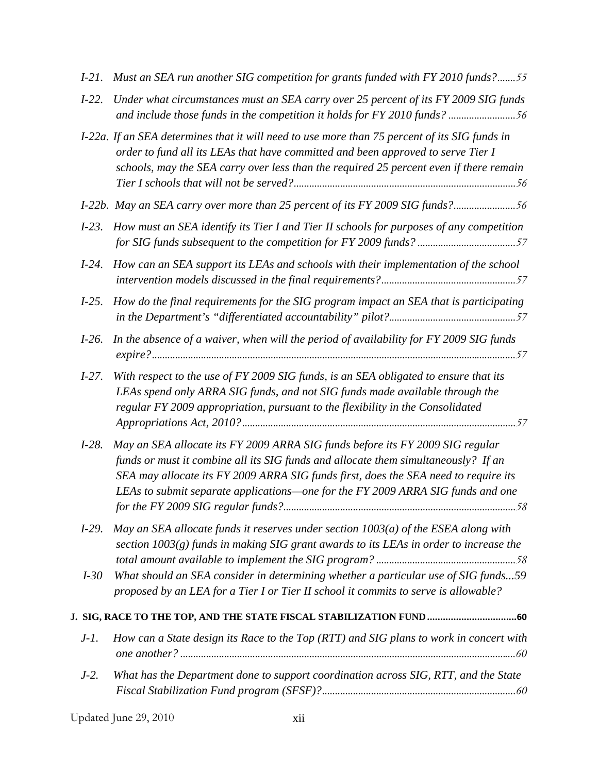| $I-2I$ . | Must an SEA run another SIG competition for grants funded with FY 2010 funds?55                                                                                                                                                                                                                                                               |
|----------|-----------------------------------------------------------------------------------------------------------------------------------------------------------------------------------------------------------------------------------------------------------------------------------------------------------------------------------------------|
| $I-22.$  | Under what circumstances must an SEA carry over 25 percent of its FY 2009 SIG funds<br>and include those funds in the competition it holds for FY 2010 funds? 56                                                                                                                                                                              |
|          | I-22a. If an SEA determines that it will need to use more than 75 percent of its SIG funds in<br>order to fund all its LEAs that have committed and been approved to serve Tier I<br>schools, may the SEA carry over less than the required 25 percent even if there remain                                                                   |
|          | I-22b. May an SEA carry over more than 25 percent of its FY 2009 SIG funds?56                                                                                                                                                                                                                                                                 |
| $I-23.$  | How must an SEA identify its Tier I and Tier II schools for purposes of any competition                                                                                                                                                                                                                                                       |
| $I-24.$  | How can an SEA support its LEAs and schools with their implementation of the school                                                                                                                                                                                                                                                           |
| $I-25.$  | How do the final requirements for the SIG program impact an SEA that is participating                                                                                                                                                                                                                                                         |
| $I-26.$  | In the absence of a waiver, when will the period of availability for FY 2009 SIG funds                                                                                                                                                                                                                                                        |
| $I-27.$  | With respect to the use of FY 2009 SIG funds, is an SEA obligated to ensure that its<br>LEAs spend only ARRA SIG funds, and not SIG funds made available through the<br>regular FY 2009 appropriation, pursuant to the flexibility in the Consolidated                                                                                        |
| $I-28.$  | May an SEA allocate its FY 2009 ARRA SIG funds before its FY 2009 SIG regular<br>funds or must it combine all its SIG funds and allocate them simultaneously? If an<br>SEA may allocate its FY 2009 ARRA SIG funds first, does the SEA need to require its<br>LEAs to submit separate applications-one for the FY 2009 ARRA SIG funds and one |
| $I-29.$  | May an SEA allocate funds it reserves under section $1003(a)$ of the ESEA along with<br>section $1003(g)$ funds in making SIG grant awards to its LEAs in order to increase the                                                                                                                                                               |
| $I-30$   | What should an SEA consider in determining whether a particular use of SIG funds59<br>proposed by an LEA for a Tier I or Tier II school it commits to serve is allowable?                                                                                                                                                                     |
|          | J. SIG, RACE TO THE TOP, AND THE STATE FISCAL STABILIZATION FUND  60                                                                                                                                                                                                                                                                          |
| $J-I.$   | How can a State design its Race to the Top (RTT) and SIG plans to work in concert with                                                                                                                                                                                                                                                        |
| $J-2$ .  | What has the Department done to support coordination across SIG, RTT, and the State                                                                                                                                                                                                                                                           |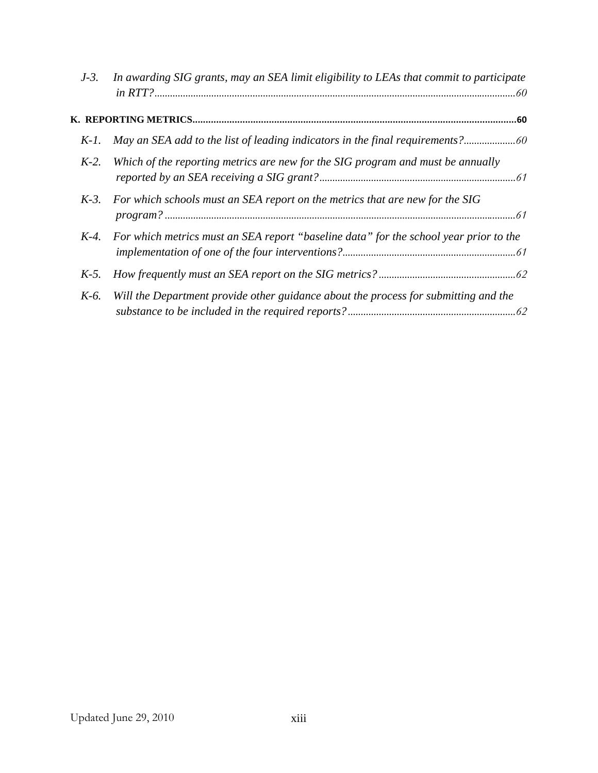| $J-3$ . | In awarding SIG grants, may an SEA limit eligibility to LEAs that commit to participate |
|---------|-----------------------------------------------------------------------------------------|
|         |                                                                                         |
| $K-1$ . | May an SEA add to the list of leading indicators in the final requirements?             |
| $K-2$ . | Which of the reporting metrics are new for the SIG program and must be annually         |
| $K-3$ . | For which schools must an SEA report on the metrics that are new for the SIG            |
| $K-4$ . | For which metrics must an SEA report "baseline data" for the school year prior to the   |
| $K-5$ . |                                                                                         |
| $K-6$ . | Will the Department provide other guidance about the process for submitting and the     |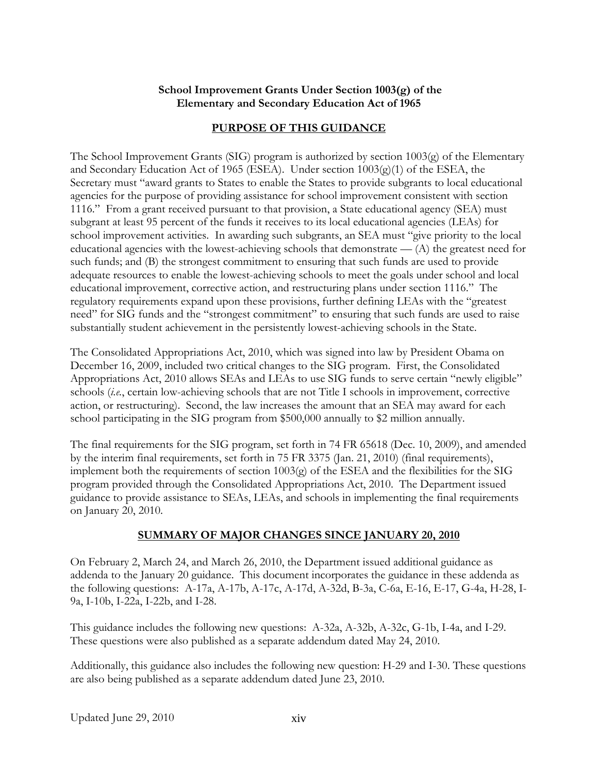### **School Improvement Grants Under Section 1003(g) of the Elementary and Secondary Education Act of 1965**

# **PURPOSE OF THIS GUIDANCE**

<span id="page-14-0"></span>The School Improvement Grants (SIG) program is authorized by section 1003(g) of the Elementary and Secondary Education Act of 1965 (ESEA). Under section 1003(g)(1) of the ESEA, the Secretary must "award grants to States to enable the States to provide subgrants to local educational agencies for the purpose of providing assistance for school improvement consistent with section 1116." From a grant received pursuant to that provision, a State educational agency (SEA) must subgrant at least 95 percent of the funds it receives to its local educational agencies (LEAs) for school improvement activities. In awarding such subgrants, an SEA must "give priority to the local educational agencies with the lowest-achieving schools that demonstrate  $-$  (A) the greatest need for such funds; and (B) the strongest commitment to ensuring that such funds are used to provide adequate resources to enable the lowest-achieving schools to meet the goals under school and local educational improvement, corrective action, and restructuring plans under section 1116." The regulatory requirements expand upon these provisions, further defining LEAs with the "greatest need" for SIG funds and the "strongest commitment" to ensuring that such funds are used to raise substantially student achievement in the persistently lowest-achieving schools in the State.

The Consolidated Appropriations Act, 2010, which was signed into law by President Obama on December 16, 2009, included two critical changes to the SIG program. First, the Consolidated Appropriations Act, 2010 allows SEAs and LEAs to use SIG funds to serve certain "newly eligible" schools (*i.e.*, certain low-achieving schools that are not Title I schools in improvement, corrective action, or restructuring). Second, the law increases the amount that an SEA may award for each school participating in the SIG program from \$500,000 annually to \$2 million annually.

The final requirements for the SIG program, set forth in 74 FR 65618 (Dec. 10, 2009), and amended by the interim final requirements, set forth in 75 FR 3375 (Jan. 21, 2010) (final requirements), implement both the requirements of section 1003(g) of the ESEA and the flexibilities for the SIG program provided through the Consolidated Appropriations Act, 2010. The Department issued guidance to provide assistance to SEAs, LEAs, and schools in implementing the final requirements on January 20, 2010.

# **SUMMARY OF MAJOR CHANGES SINCE JANUARY 20, 2010**

On February 2, March 24, and March 26, 2010, the Department issued additional guidance as addenda to the January 20 guidance. This document incorporates the guidance in these addenda as the following questions: A-17a, A-17b, A-17c, A-17d, A-32d, B-3a, C-6a, E-16, E-17, G-4a, H-28, I-9a, I-10b, I-22a, I-22b, and I-28.

This guidance includes the following new questions: A-32a, A-32b, A-32c, G-1b, I-4a, and I-29. These questions were also published as a separate addendum dated May 24, 2010.

Additionally, this guidance also includes the following new question: H-29 and I-30. These questions are also being published as a separate addendum dated June 23, 2010.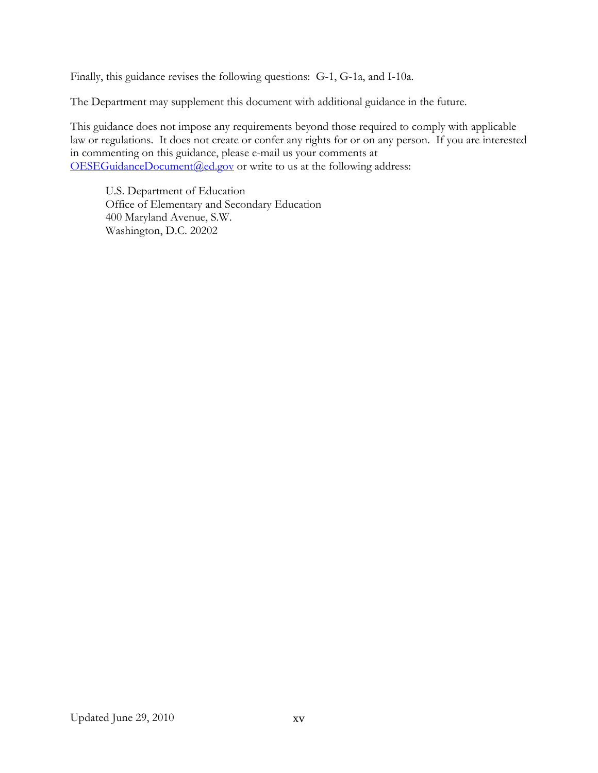Finally, this guidance revises the following questions: G-1, G-1a, and I-10a.

The Department may supplement this document with additional guidance in the future.

This guidance does not impose any requirements beyond those required to comply with applicable law or regulations. It does not create or confer any rights for or on any person. If you are interested in commenting on this guidance, please e-mail us your comments at  $OESEGuidanceDocument$ ( $Q$ ed.gov or write to us at the following address:

U.S. Department of Education Office of Elementary and Secondary Education 400 Maryland Avenue, S.W. Washington, D.C. 20202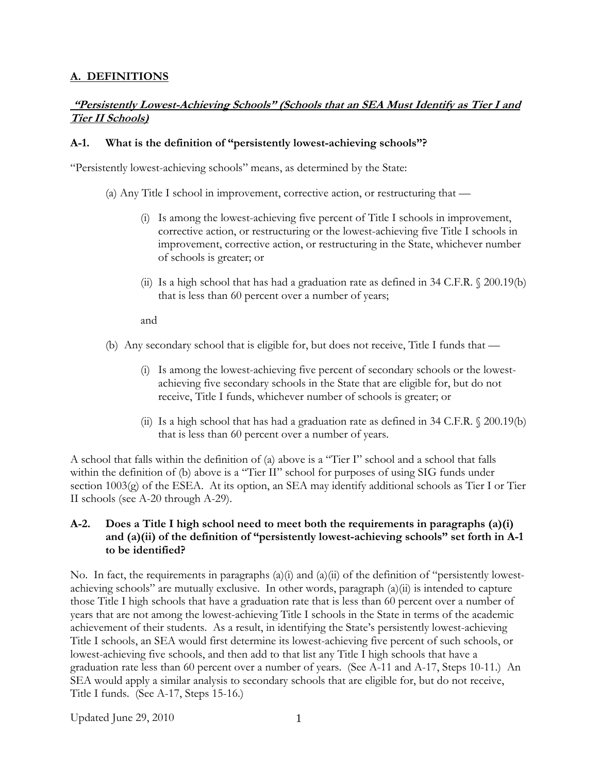# <span id="page-16-0"></span>**A. DEFINITIONS**

### **"Persistently Lowest-Achieving Schools" (Schools that an SEA Must Identify as Tier I and Tier II Schools)**

#### **A-1. What is the definition of "persistently lowest-achieving schools"?**

"Persistently lowest-achieving schools" means, as determined by the State:

(a) Any Title I school in improvement, corrective action, or restructuring that —

- (i) Is among the lowest-achieving five percent of Title I schools in improvement, corrective action, or restructuring or the lowest-achieving five Title I schools in improvement, corrective action, or restructuring in the State, whichever number of schools is greater; or
- (ii) Is a high school that has had a graduation rate as defined in  $34$  C.F.R.  $\&$  200.19(b) that is less than 60 percent over a number of years;

and

- (b) Any secondary school that is eligible for, but does not receive, Title I funds that
	- (i) Is among the lowest-achieving five percent of secondary schools or the lowestachieving five secondary schools in the State that are eligible for, but do not receive, Title I funds, whichever number of schools is greater; or
	- (ii) Is a high school that has had a graduation rate as defined in  $34$  C.F.R.  $\Diamond$  200.19(b) that is less than 60 percent over a number of years.

A school that falls within the definition of (a) above is a "Tier I" school and a school that falls within the definition of (b) above is a "Tier II" school for purposes of using SIG funds under section 1003(g) of the ESEA. At its option, an SEA may identify additional schools as Tier I or Tier II schools (see A-20 through A-29).

#### **A-2. Does a Title I high school need to meet both the requirements in paragraphs (a)(i) and (a)(ii) of the definition of "persistently lowest-achieving schools" set forth in A-1 to be identified?**

No. In fact, the requirements in paragraphs (a)(i) and (a)(ii) of the definition of "persistently lowestachieving schools" are mutually exclusive. In other words, paragraph (a)(ii) is intended to capture those Title I high schools that have a graduation rate that is less than 60 percent over a number of years that are not among the lowest-achieving Title I schools in the State in terms of the academic achievement of their students. As a result, in identifying the State's persistently lowest-achieving Title I schools, an SEA would first determine its lowest-achieving five percent of such schools, or lowest-achieving five schools, and then add to that list any Title I high schools that have a graduation rate less than 60 percent over a number of years. (See A-11 and A-17, Steps 10-11.) An SEA would apply a similar analysis to secondary schools that are eligible for, but do not receive, Title I funds. (See A-17, Steps 15-16.)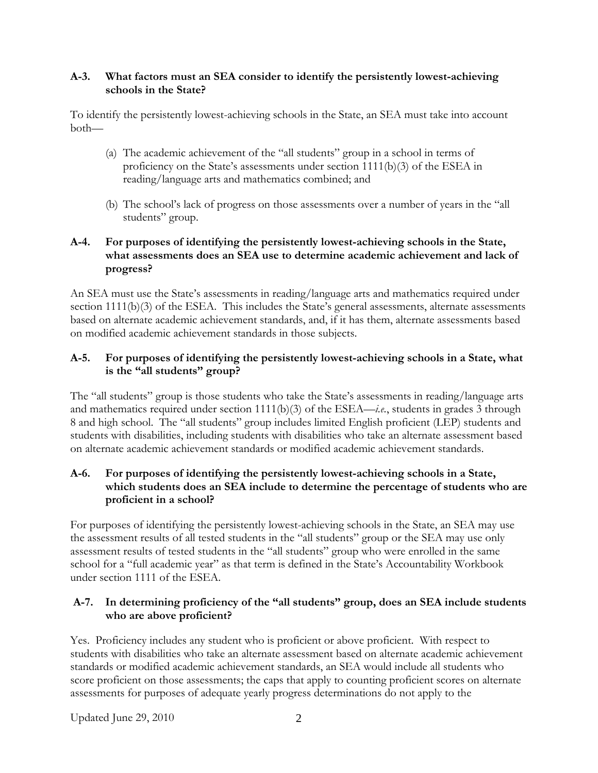### <span id="page-17-0"></span>**A-3. What factors must an SEA consider to identify the persistently lowest-achieving schools in the State?**

To identify the persistently lowest-achieving schools in the State, an SEA must take into account both—

- (a) The academic achievement of the "all students" group in a school in terms of proficiency on the State's assessments under section 1111(b)(3) of the ESEA in reading/language arts and mathematics combined; and
- (b) The school's lack of progress on those assessments over a number of years in the "all students" group.

# **A-4. For purposes of identifying the persistently lowest-achieving schools in the State, what assessments does an SEA use to determine academic achievement and lack of progress?**

An SEA must use the State's assessments in reading/language arts and mathematics required under section 1111(b)(3) of the ESEA. This includes the State's general assessments, alternate assessments based on alternate academic achievement standards, and, if it has them, alternate assessments based on modified academic achievement standards in those subjects.

# **A-5. For purposes of identifying the persistently lowest-achieving schools in a State, what is the "all students" group?**

The "all students" group is those students who take the State's assessments in reading/language arts and mathematics required under section 1111(b)(3) of the ESEA—*i.e.*, students in grades 3 through 8 and high school. The "all students" group includes limited English proficient (LEP) students and students with disabilities, including students with disabilities who take an alternate assessment based on alternate academic achievement standards or modified academic achievement standards.

# **A-6. For purposes of identifying the persistently lowest-achieving schools in a State, which students does an SEA include to determine the percentage of students who are proficient in a school?**

For purposes of identifying the persistently lowest-achieving schools in the State, an SEA may use the assessment results of all tested students in the "all students" group or the SEA may use only assessment results of tested students in the "all students" group who were enrolled in the same school for a "full academic year" as that term is defined in the State's Accountability Workbook under section 1111 of the ESEA.

## **A-7. In determining proficiency of the "all students" group, does an SEA include students who are above proficient?**

Yes. Proficiency includes any student who is proficient or above proficient. With respect to students with disabilities who take an alternate assessment based on alternate academic achievement standards or modified academic achievement standards, an SEA would include all students who score proficient on those assessments; the caps that apply to counting proficient scores on alternate assessments for purposes of adequate yearly progress determinations do not apply to the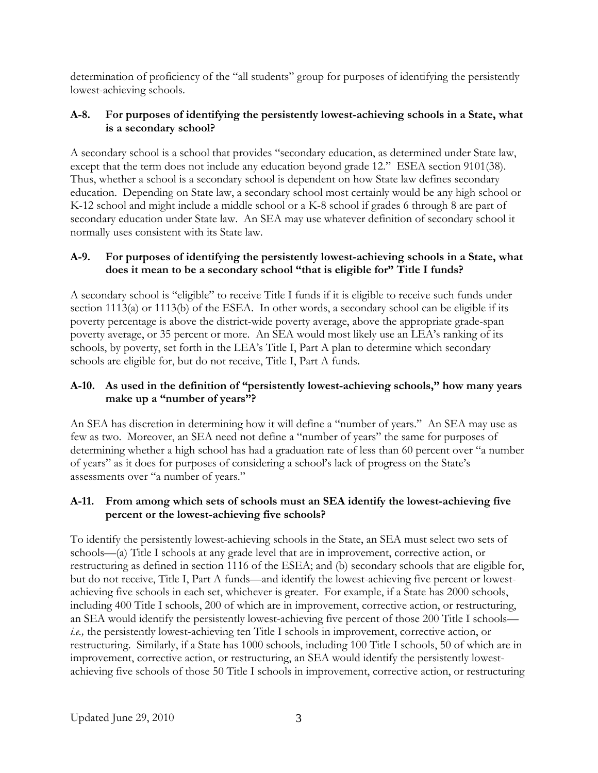<span id="page-18-0"></span>determination of proficiency of the "all students" group for purposes of identifying the persistently lowest-achieving schools.

# **A-8. For purposes of identifying the persistently lowest-achieving schools in a State, what is a secondary school?**

A secondary school is a school that provides "secondary education, as determined under State law, except that the term does not include any education beyond grade 12." ESEA section 9101(38). Thus, whether a school is a secondary school is dependent on how State law defines secondary education. Depending on State law, a secondary school most certainly would be any high school or K-12 school and might include a middle school or a K-8 school if grades 6 through 8 are part of secondary education under State law. An SEA may use whatever definition of secondary school it normally uses consistent with its State law.

# **A-9. For purposes of identifying the persistently lowest-achieving schools in a State, what does it mean to be a secondary school "that is eligible for" Title I funds?**

A secondary school is "eligible" to receive Title I funds if it is eligible to receive such funds under section 1113(a) or 1113(b) of the ESEA. In other words, a secondary school can be eligible if its poverty percentage is above the district-wide poverty average, above the appropriate grade-span poverty average, or 35 percent or more. An SEA would most likely use an LEA's ranking of its schools, by poverty, set forth in the LEA's Title I, Part A plan to determine which secondary schools are eligible for, but do not receive, Title I, Part A funds.

# **A-10. As used in the definition of "persistently lowest-achieving schools," how many years make up a "number of years"?**

An SEA has discretion in determining how it will define a "number of years." An SEA may use as few as two. Moreover, an SEA need not define a "number of years" the same for purposes of determining whether a high school has had a graduation rate of less than 60 percent over "a number of years" as it does for purposes of considering a school's lack of progress on the State's assessments over "a number of years."

# **A-11. From among which sets of schools must an SEA identify the lowest-achieving five percent or the lowest-achieving five schools?**

To identify the persistently lowest-achieving schools in the State, an SEA must select two sets of schools—(a) Title I schools at any grade level that are in improvement, corrective action, or restructuring as defined in section 1116 of the ESEA; and (b) secondary schools that are eligible for, but do not receive, Title I, Part A funds—and identify the lowest-achieving five percent or lowestachieving five schools in each set, whichever is greater. For example, if a State has 2000 schools, including 400 Title I schools, 200 of which are in improvement, corrective action, or restructuring, an SEA would identify the persistently lowest-achieving five percent of those 200 Title I schools *i.e.,* the persistently lowest-achieving ten Title I schools in improvement, corrective action, or restructuring. Similarly, if a State has 1000 schools, including 100 Title I schools, 50 of which are in improvement, corrective action, or restructuring, an SEA would identify the persistently lowestachieving five schools of those 50 Title I schools in improvement, corrective action, or restructuring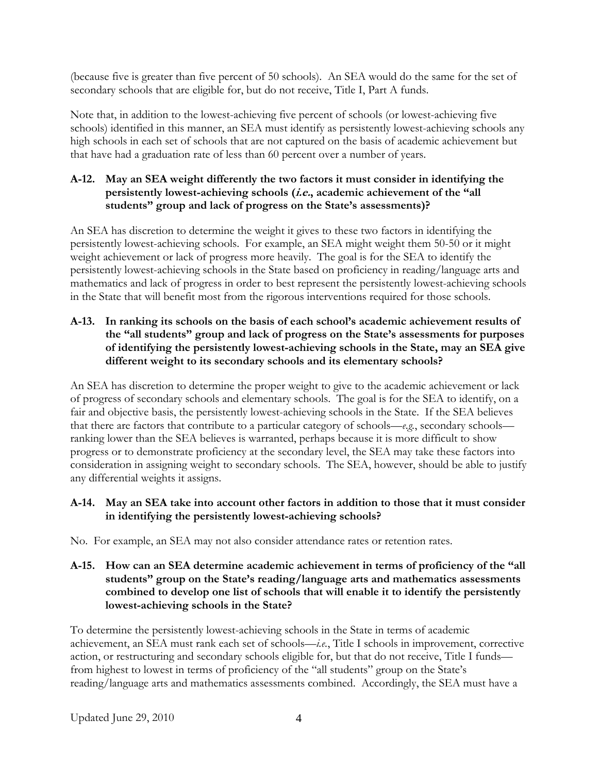<span id="page-19-0"></span>(because five is greater than five percent of 50 schools). An SEA would do the same for the set of secondary schools that are eligible for, but do not receive, Title I, Part A funds.

Note that, in addition to the lowest-achieving five percent of schools (or lowest-achieving five schools) identified in this manner, an SEA must identify as persistently lowest-achieving schools any high schools in each set of schools that are not captured on the basis of academic achievement but that have had a graduation rate of less than 60 percent over a number of years.

# **A-12. May an SEA weight differently the two factors it must consider in identifying the persistently lowest-achieving schools (i.e., academic achievement of the "all students" group and lack of progress on the State's assessments)?**

An SEA has discretion to determine the weight it gives to these two factors in identifying the persistently lowest-achieving schools. For example, an SEA might weight them 50-50 or it might weight achievement or lack of progress more heavily. The goal is for the SEA to identify the persistently lowest-achieving schools in the State based on proficiency in reading/language arts and mathematics and lack of progress in order to best represent the persistently lowest-achieving schools in the State that will benefit most from the rigorous interventions required for those schools.

## **A-13. In ranking its schools on the basis of each school's academic achievement results of the "all students" group and lack of progress on the State's assessments for purposes of identifying the persistently lowest-achieving schools in the State, may an SEA give different weight to its secondary schools and its elementary schools?**

An SEA has discretion to determine the proper weight to give to the academic achievement or lack of progress of secondary schools and elementary schools. The goal is for the SEA to identify, on a fair and objective basis, the persistently lowest-achieving schools in the State. If the SEA believes that there are factors that contribute to a particular category of schools—*e.g.*, secondary schools ranking lower than the SEA believes is warranted, perhaps because it is more difficult to show progress or to demonstrate proficiency at the secondary level, the SEA may take these factors into consideration in assigning weight to secondary schools. The SEA, however, should be able to justify any differential weights it assigns.

## **A-14. May an SEA take into account other factors in addition to those that it must consider in identifying the persistently lowest-achieving schools?**

No. For example, an SEA may not also consider attendance rates or retention rates.

## **A-15. How can an SEA determine academic achievement in terms of proficiency of the "all students" group on the State's reading/language arts and mathematics assessments combined to develop one list of schools that will enable it to identify the persistently lowest-achieving schools in the State?**

To determine the persistently lowest-achieving schools in the State in terms of academic achievement, an SEA must rank each set of schools—*i.e.*, Title I schools in improvement, corrective action, or restructuring and secondary schools eligible for, but that do not receive, Title I funds from highest to lowest in terms of proficiency of the "all students" group on the State's reading/language arts and mathematics assessments combined. Accordingly, the SEA must have a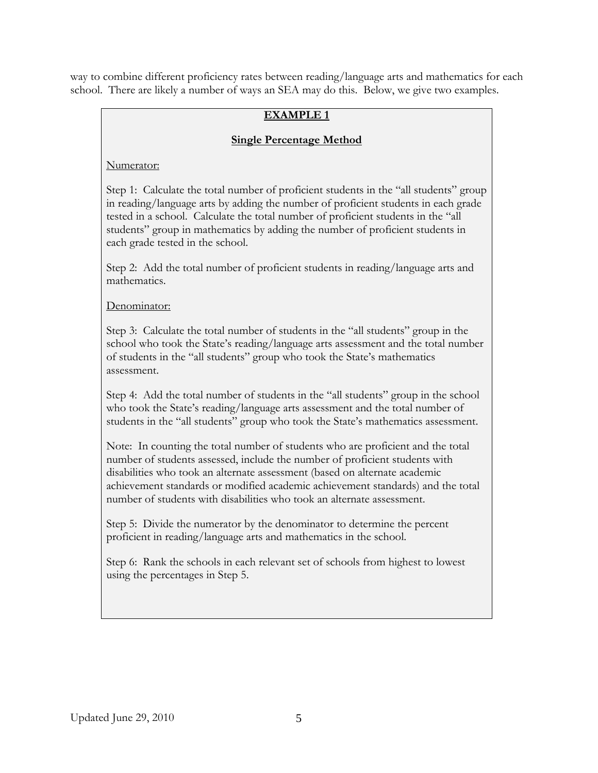way to combine different proficiency rates between reading/language arts and mathematics for each school. There are likely a number of ways an SEA may do this. Below, we give two examples.

# **EXAMPLE 1**

# **Single Percentage Method**

Numerator:

Step 1: Calculate the total number of proficient students in the "all students" group in reading/language arts by adding the number of proficient students in each grade tested in a school. Calculate the total number of proficient students in the "all students" group in mathematics by adding the number of proficient students in each grade tested in the school.

Step 2: Add the total number of proficient students in reading/language arts and mathematics.

## Denominator:

Step 3: Calculate the total number of students in the "all students" group in the school who took the State's reading/language arts assessment and the total number of students in the "all students" group who took the State's mathematics assessment.

Step 4: Add the total number of students in the "all students" group in the school who took the State's reading/language arts assessment and the total number of students in the "all students" group who took the State's mathematics assessment.

Note: In counting the total number of students who are proficient and the total number of students assessed, include the number of proficient students with disabilities who took an alternate assessment (based on alternate academic achievement standards or modified academic achievement standards) and the total number of students with disabilities who took an alternate assessment.

Step 5: Divide the numerator by the denominator to determine the percent proficient in reading/language arts and mathematics in the school.

Step 6: Rank the schools in each relevant set of schools from highest to lowest using the percentages in Step 5.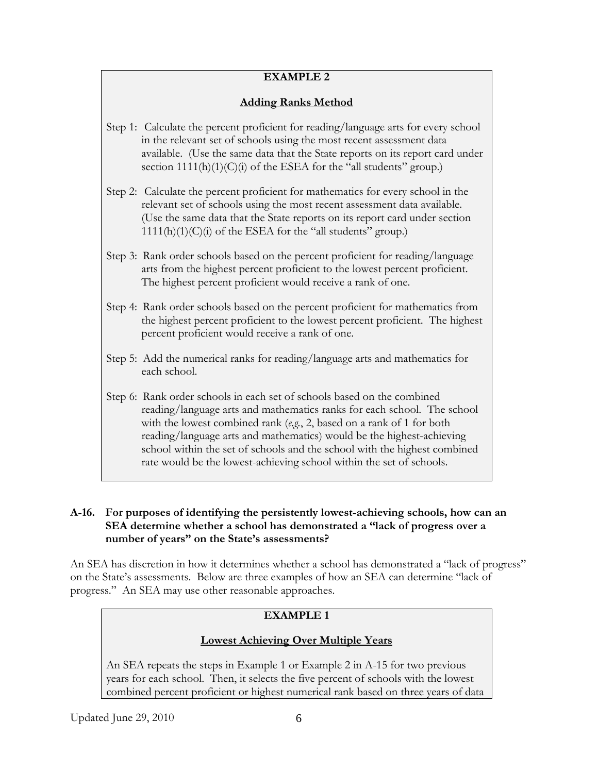# **EXAMPLE 2**

# **Adding Ranks Method**

- <span id="page-21-0"></span>Step 1: Calculate the percent proficient for reading/language arts for every school in the relevant set of schools using the most recent assessment data available. (Use the same data that the State reports on its report card under section  $1111(h)(1)(C)(i)$  of the ESEA for the "all students" group.)
- Step 2: Calculate the percent proficient for mathematics for every school in the relevant set of schools using the most recent assessment data available. (Use the same data that the State reports on its report card under section  $1111(h)(1)(C)(i)$  of the ESEA for the "all students" group.)
- Step 3: Rank order schools based on the percent proficient for reading/language arts from the highest percent proficient to the lowest percent proficient. The highest percent proficient would receive a rank of one.
- Step 4: Rank order schools based on the percent proficient for mathematics from the highest percent proficient to the lowest percent proficient. The highest percent proficient would receive a rank of one.
- Step 5: Add the numerical ranks for reading/language arts and mathematics for each school.
- Step 6: Rank order schools in each set of schools based on the combined reading/language arts and mathematics ranks for each school. The school with the lowest combined rank (*e.g.*, 2, based on a rank of 1 for both reading/language arts and mathematics) would be the highest-achieving school within the set of schools and the school with the highest combined rate would be the lowest-achieving school within the set of schools.

### **A-16. For purposes of identifying the persistently lowest-achieving schools, how can an SEA determine whether a school has demonstrated a "lack of progress over a number of years" on the State's assessments?**

An SEA has discretion in how it determines whether a school has demonstrated a "lack of progress" on the State's assessments. Below are three examples of how an SEA can determine "lack of progress." An SEA may use other reasonable approaches.

# **EXAMPLE 1**

# **Lowest Achieving Over Multiple Years**

An SEA repeats the steps in Example 1 or Example 2 in A-15 for two previous years for each school. Then, it selects the five percent of schools with the lowest combined percent proficient or highest numerical rank based on three years of data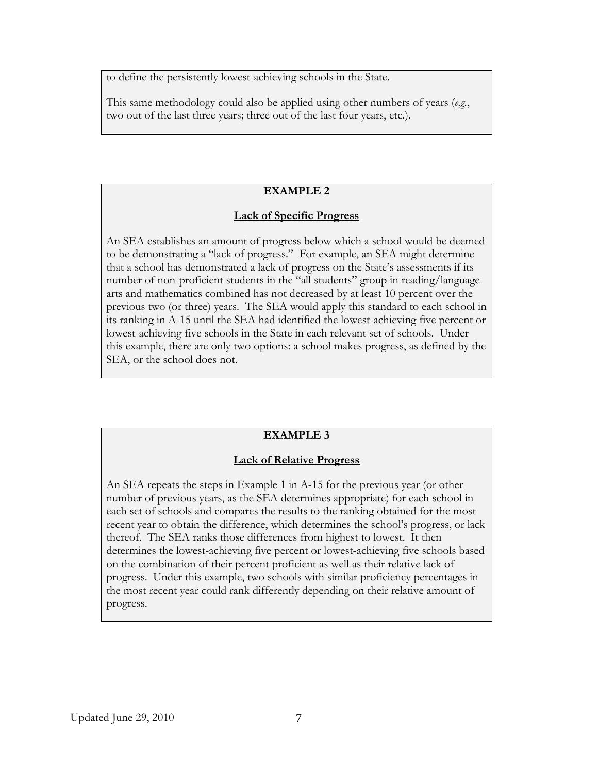to define the persistently lowest-achieving schools in the State.

This same methodology could also be applied using other numbers of years (*e.g.*, two out of the last three years; three out of the last four years, etc.).

# **EXAMPLE 2**

## **Lack of Specific Progress**

An SEA establishes an amount of progress below which a school would be deemed to be demonstrating a "lack of progress." For example, an SEA might determine that a school has demonstrated a lack of progress on the State's assessments if its number of non-proficient students in the "all students" group in reading/language arts and mathematics combined has not decreased by at least 10 percent over the previous two (or three) years. The SEA would apply this standard to each school in its ranking in A-15 until the SEA had identified the lowest-achieving five percent or lowest-achieving five schools in the State in each relevant set of schools. Under this example, there are only two options: a school makes progress, as defined by the SEA, or the school does not.

# **EXAMPLE 3**

#### **Lack of Relative Progress**

An SEA repeats the steps in Example 1 in A-15 for the previous year (or other number of previous years, as the SEA determines appropriate) for each school in each set of schools and compares the results to the ranking obtained for the most recent year to obtain the difference, which determines the school's progress, or lack thereof. The SEA ranks those differences from highest to lowest. It then determines the lowest-achieving five percent or lowest-achieving five schools based on the combination of their percent proficient as well as their relative lack of progress. Under this example, two schools with similar proficiency percentages in the most recent year could rank differently depending on their relative amount of progress.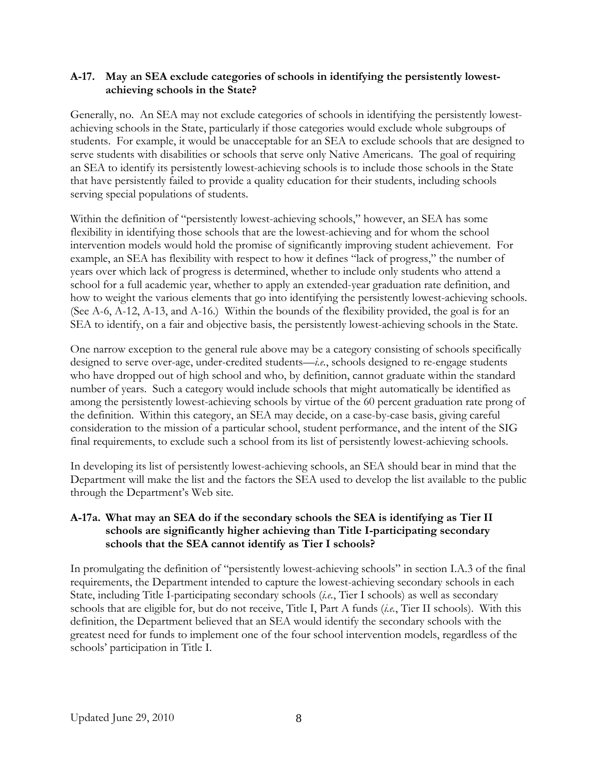### <span id="page-23-0"></span>**A-17. May an SEA exclude categories of schools in identifying the persistently lowestachieving schools in the State?**

Generally, no. An SEA may not exclude categories of schools in identifying the persistently lowestachieving schools in the State, particularly if those categories would exclude whole subgroups of students. For example, it would be unacceptable for an SEA to exclude schools that are designed to serve students with disabilities or schools that serve only Native Americans. The goal of requiring an SEA to identify its persistently lowest-achieving schools is to include those schools in the State that have persistently failed to provide a quality education for their students, including schools serving special populations of students.

Within the definition of "persistently lowest-achieving schools," however, an SEA has some flexibility in identifying those schools that are the lowest-achieving and for whom the school intervention models would hold the promise of significantly improving student achievement. For example, an SEA has flexibility with respect to how it defines "lack of progress," the number of years over which lack of progress is determined, whether to include only students who attend a school for a full academic year, whether to apply an extended-year graduation rate definition, and how to weight the various elements that go into identifying the persistently lowest-achieving schools. (See A-6, A-12, A-13, and A-16.) Within the bounds of the flexibility provided, the goal is for an SEA to identify, on a fair and objective basis, the persistently lowest-achieving schools in the State.

One narrow exception to the general rule above may be a category consisting of schools specifically designed to serve over-age, under-credited students—*i.e.*, schools designed to re-engage students who have dropped out of high school and who, by definition, cannot graduate within the standard number of years. Such a category would include schools that might automatically be identified as among the persistently lowest-achieving schools by virtue of the 60 percent graduation rate prong of the definition. Within this category, an SEA may decide, on a case-by-case basis, giving careful consideration to the mission of a particular school, student performance, and the intent of the SIG final requirements, to exclude such a school from its list of persistently lowest-achieving schools.

In developing its list of persistently lowest-achieving schools, an SEA should bear in mind that the Department will make the list and the factors the SEA used to develop the list available to the public through the Department's Web site.

# **A-17a. What may an SEA do if the secondary schools the SEA is identifying as Tier II schools are significantly higher achieving than Title I-participating secondary schools that the SEA cannot identify as Tier I schools?**

In promulgating the definition of "persistently lowest-achieving schools" in section I.A.3 of the final requirements, the Department intended to capture the lowest-achieving secondary schools in each State, including Title I-participating secondary schools (*i.e.*, Tier I schools) as well as secondary schools that are eligible for, but do not receive, Title I, Part A funds (*i.e.*, Tier II schools). With this definition, the Department believed that an SEA would identify the secondary schools with the greatest need for funds to implement one of the four school intervention models, regardless of the schools' participation in Title I.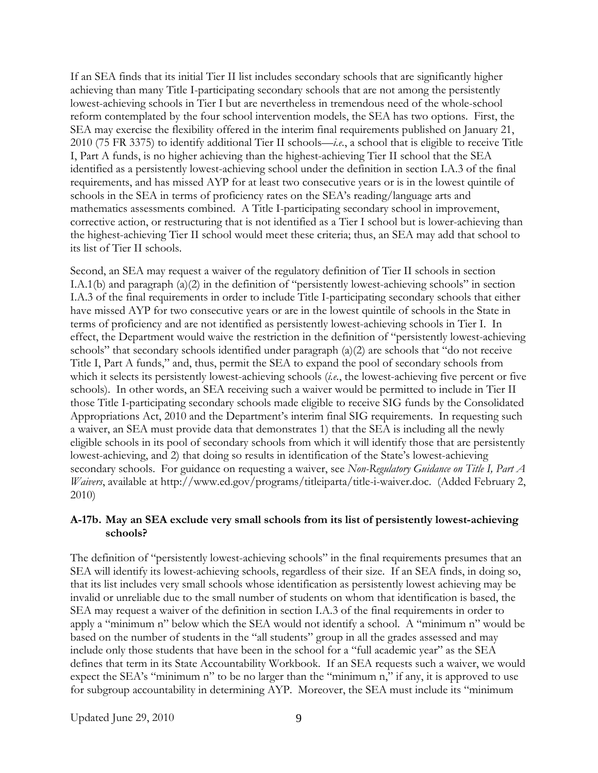<span id="page-24-0"></span>If an SEA finds that its initial Tier II list includes secondary schools that are significantly higher achieving than many Title I-participating secondary schools that are not among the persistently lowest-achieving schools in Tier I but are nevertheless in tremendous need of the whole-school reform contemplated by the four school intervention models, the SEA has two options. First, the SEA may exercise the flexibility offered in the interim final requirements published on January 21, 2010 (75 FR 3375) to identify additional Tier II schools—*i.e.*, a school that is eligible to receive Title I, Part A funds, is no higher achieving than the highest-achieving Tier II school that the SEA identified as a persistently lowest-achieving school under the definition in section I.A.3 of the final requirements, and has missed AYP for at least two consecutive years or is in the lowest quintile of schools in the SEA in terms of proficiency rates on the SEA's reading/language arts and mathematics assessments combined. A Title I-participating secondary school in improvement, corrective action, or restructuring that is not identified as a Tier I school but is lower-achieving than the highest-achieving Tier II school would meet these criteria; thus, an SEA may add that school to its list of Tier II schools.

Second, an SEA may request a waiver of the regulatory definition of Tier II schools in section I.A.1(b) and paragraph (a)(2) in the definition of "persistently lowest-achieving schools" in section I.A.3 of the final requirements in order to include Title I-participating secondary schools that either have missed AYP for two consecutive years or are in the lowest quintile of schools in the State in terms of proficiency and are not identified as persistently lowest-achieving schools in Tier I. In effect, the Department would waive the restriction in the definition of "persistently lowest-achieving schools" that secondary schools identified under paragraph (a)(2) are schools that "do not receive Title I, Part A funds," and, thus, permit the SEA to expand the pool of secondary schools from which it selects its persistently lowest-achieving schools (*i.e.*, the lowest-achieving five percent or five schools). In other words, an SEA receiving such a waiver would be permitted to include in Tier II those Title I-participating secondary schools made eligible to receive SIG funds by the Consolidated Appropriations Act, 2010 and the Department's interim final SIG requirements. In requesting such a waiver, an SEA must provide data that demonstrates 1) that the SEA is including all the newly eligible schools in its pool of secondary schools from which it will identify those that are persistently lowest-achieving, and 2) that doing so results in identification of the State's lowest-achieving secondary schools. For guidance on requesting a waiver, see *Non-Regulatory Guidance on Title I, Part A Waivers*, available at http://www.ed.gov/programs/titleiparta/title-i-waiver.doc. (Added February 2, 2010)

#### **A-17b. May an SEA exclude very small schools from its list of persistently lowest-achieving schools?**

The definition of "persistently lowest-achieving schools" in the final requirements presumes that an SEA will identify its lowest-achieving schools, regardless of their size. If an SEA finds, in doing so, that its list includes very small schools whose identification as persistently lowest achieving may be invalid or unreliable due to the small number of students on whom that identification is based, the SEA may request a waiver of the definition in section I.A.3 of the final requirements in order to apply a "minimum n" below which the SEA would not identify a school. A "minimum n" would be based on the number of students in the "all students" group in all the grades assessed and may include only those students that have been in the school for a "full academic year" as the SEA defines that term in its State Accountability Workbook. If an SEA requests such a waiver, we would expect the SEA's "minimum n" to be no larger than the "minimum n," if any, it is approved to use for subgroup accountability in determining AYP. Moreover, the SEA must include its "minimum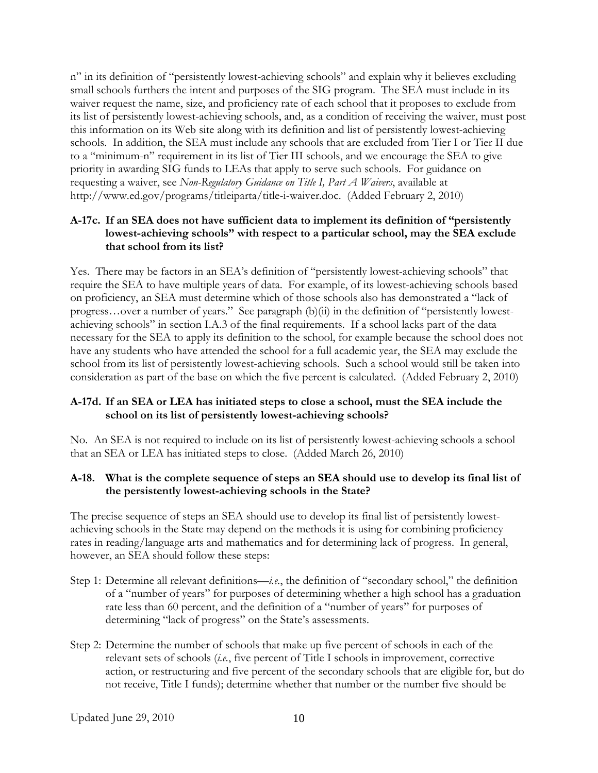<span id="page-25-0"></span>n" in its definition of "persistently lowest-achieving schools" and explain why it believes excluding small schools furthers the intent and purposes of the SIG program. The SEA must include in its waiver request the name, size, and proficiency rate of each school that it proposes to exclude from its list of persistently lowest-achieving schools, and, as a condition of receiving the waiver, must post this information on its Web site along with its definition and list of persistently lowest-achieving schools. In addition, the SEA must include any schools that are excluded from Tier I or Tier II due to a "minimum-n" requirement in its list of Tier III schools, and we encourage the SEA to give priority in awarding SIG funds to LEAs that apply to serve such schools. For guidance on requesting a waiver, see *Non-Regulatory Guidance on Title I, Part A Waivers*, available at http://www.ed.gov/programs/titleiparta/title-i-waiver.doc. (Added February 2, 2010)

#### **A-17c. If an SEA does not have sufficient data to implement its definition of "persistently lowest-achieving schools" with respect to a particular school, may the SEA exclude that school from its list?**

Yes. There may be factors in an SEA's definition of "persistently lowest-achieving schools" that require the SEA to have multiple years of data. For example, of its lowest-achieving schools based on proficiency, an SEA must determine which of those schools also has demonstrated a "lack of progress…over a number of years." See paragraph (b)(ii) in the definition of "persistently lowestachieving schools" in section I.A.3 of the final requirements. If a school lacks part of the data necessary for the SEA to apply its definition to the school, for example because the school does not have any students who have attended the school for a full academic year, the SEA may exclude the school from its list of persistently lowest-achieving schools. Such a school would still be taken into consideration as part of the base on which the five percent is calculated. (Added February 2, 2010)

#### **A-17d. If an SEA or LEA has initiated steps to close a school, must the SEA include the school on its list of persistently lowest-achieving schools?**

No. An SEA is not required to include on its list of persistently lowest-achieving schools a school that an SEA or LEA has initiated steps to close. (Added March 26, 2010)

#### **A-18. What is the complete sequence of steps an SEA should use to develop its final list of the persistently lowest-achieving schools in the State?**

The precise sequence of steps an SEA should use to develop its final list of persistently lowestachieving schools in the State may depend on the methods it is using for combining proficiency rates in reading/language arts and mathematics and for determining lack of progress. In general, however, an SEA should follow these steps:

- Step 1: Determine all relevant definitions—*i.e.*, the definition of "secondary school," the definition of a "number of years" for purposes of determining whether a high school has a graduation rate less than 60 percent, and the definition of a "number of years" for purposes of determining "lack of progress" on the State's assessments.
- Step 2: Determine the number of schools that make up five percent of schools in each of the relevant sets of schools (*i.e.*, five percent of Title I schools in improvement, corrective action, or restructuring and five percent of the secondary schools that are eligible for, but do not receive, Title I funds); determine whether that number or the number five should be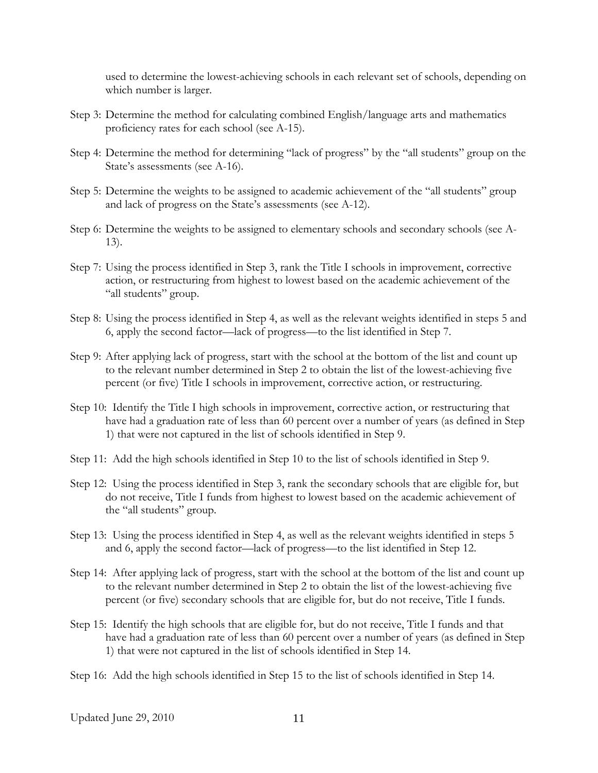used to determine the lowest-achieving schools in each relevant set of schools, depending on which number is larger.

- Step 3: Determine the method for calculating combined English/language arts and mathematics proficiency rates for each school (see A-15).
- Step 4: Determine the method for determining "lack of progress" by the "all students" group on the State's assessments (see A-16).
- Step 5: Determine the weights to be assigned to academic achievement of the "all students" group and lack of progress on the State's assessments (see A-12).
- Step 6: Determine the weights to be assigned to elementary schools and secondary schools (see A-13).
- Step 7: Using the process identified in Step 3, rank the Title I schools in improvement, corrective action, or restructuring from highest to lowest based on the academic achievement of the "all students" group.
- Step 8: Using the process identified in Step 4, as well as the relevant weights identified in steps 5 and 6, apply the second factor—lack of progress—to the list identified in Step 7.
- Step 9: After applying lack of progress, start with the school at the bottom of the list and count up to the relevant number determined in Step 2 to obtain the list of the lowest-achieving five percent (or five) Title I schools in improvement, corrective action, or restructuring.
- Step 10: Identify the Title I high schools in improvement, corrective action, or restructuring that have had a graduation rate of less than 60 percent over a number of years (as defined in Step 1) that were not captured in the list of schools identified in Step 9.
- Step 11: Add the high schools identified in Step 10 to the list of schools identified in Step 9.
- Step 12: Using the process identified in Step 3, rank the secondary schools that are eligible for, but do not receive, Title I funds from highest to lowest based on the academic achievement of the "all students" group.
- Step 13: Using the process identified in Step 4, as well as the relevant weights identified in steps 5 and 6, apply the second factor—lack of progress—to the list identified in Step 12.
- Step 14: After applying lack of progress, start with the school at the bottom of the list and count up to the relevant number determined in Step 2 to obtain the list of the lowest-achieving five percent (or five) secondary schools that are eligible for, but do not receive, Title I funds.
- Step 15: Identify the high schools that are eligible for, but do not receive, Title I funds and that have had a graduation rate of less than 60 percent over a number of years (as defined in Step 1) that were not captured in the list of schools identified in Step 14.
- Step 16: Add the high schools identified in Step 15 to the list of schools identified in Step 14.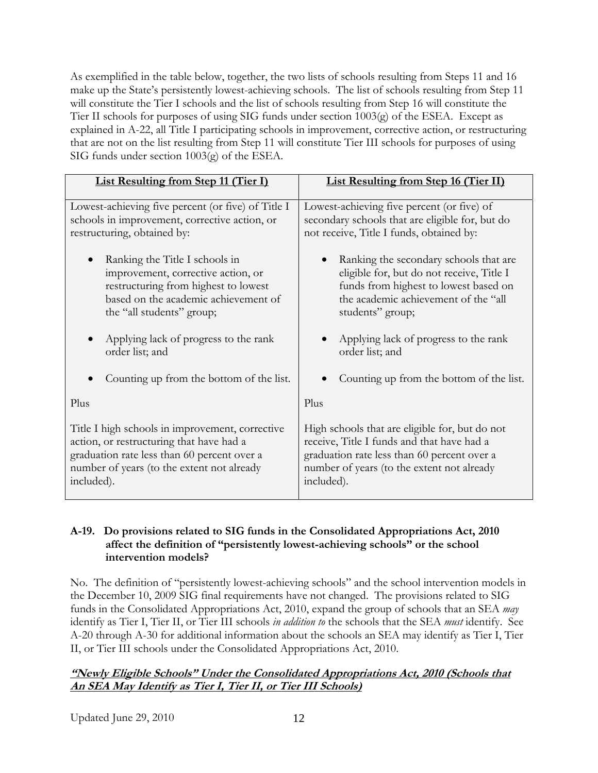<span id="page-27-0"></span>As exemplified in the table below, together, the two lists of schools resulting from Steps 11 and 16 make up the State's persistently lowest-achieving schools. The list of schools resulting from Step 11 will constitute the Tier I schools and the list of schools resulting from Step 16 will constitute the Tier II schools for purposes of using SIG funds under section 1003(g) of the ESEA. Except as explained in A-22, all Title I participating schools in improvement, corrective action, or restructuring that are not on the list resulting from Step 11 will constitute Tier III schools for purposes of using SIG funds under section 1003(g) of the ESEA.

| <b>List Resulting from Step 11 (Tier I)</b>                                                                                                                                                            | <b>List Resulting from Step 16 (Tier II)</b>                                                                                                                                                            |
|--------------------------------------------------------------------------------------------------------------------------------------------------------------------------------------------------------|---------------------------------------------------------------------------------------------------------------------------------------------------------------------------------------------------------|
| Lowest-achieving five percent (or five) of Title I<br>schools in improvement, corrective action, or<br>restructuring, obtained by:                                                                     | Lowest-achieving five percent (or five) of<br>secondary schools that are eligible for, but do<br>not receive, Title I funds, obtained by:                                                               |
| Ranking the Title I schools in<br>improvement, corrective action, or<br>restructuring from highest to lowest<br>based on the academic achievement of<br>the "all students" group;                      | Ranking the secondary schools that are<br>$\bullet$<br>eligible for, but do not receive, Title I<br>funds from highest to lowest based on<br>the academic achievement of the "all<br>students" group;   |
| Applying lack of progress to the rank<br>order list; and                                                                                                                                               | Applying lack of progress to the rank<br>order list; and                                                                                                                                                |
| Counting up from the bottom of the list.                                                                                                                                                               | Counting up from the bottom of the list.                                                                                                                                                                |
| Plus                                                                                                                                                                                                   | Plus                                                                                                                                                                                                    |
| Title I high schools in improvement, corrective<br>action, or restructuring that have had a<br>graduation rate less than 60 percent over a<br>number of years (to the extent not already<br>included). | High schools that are eligible for, but do not<br>receive, Title I funds and that have had a<br>graduation rate less than 60 percent over a<br>number of years (to the extent not already<br>included). |

### **A-19. Do provisions related to SIG funds in the Consolidated Appropriations Act, 2010 affect the definition of "persistently lowest-achieving schools" or the school intervention models?**

No. The definition of "persistently lowest-achieving schools" and the school intervention models in the December 10, 2009 SIG final requirements have not changed. The provisions related to SIG funds in the Consolidated Appropriations Act, 2010, expand the group of schools that an SEA *may* identify as Tier I, Tier II, or Tier III schools *in addition to* the schools that the SEA *must* identify. See A-20 through A-30 for additional information about the schools an SEA may identify as Tier I, Tier II, or Tier III schools under the Consolidated Appropriations Act, 2010.

# **"Newly Eligible Schools" Under the Consolidated Appropriations Act, 2010 (Schools that An SEA May Identify as Tier I, Tier II, or Tier III Schools)**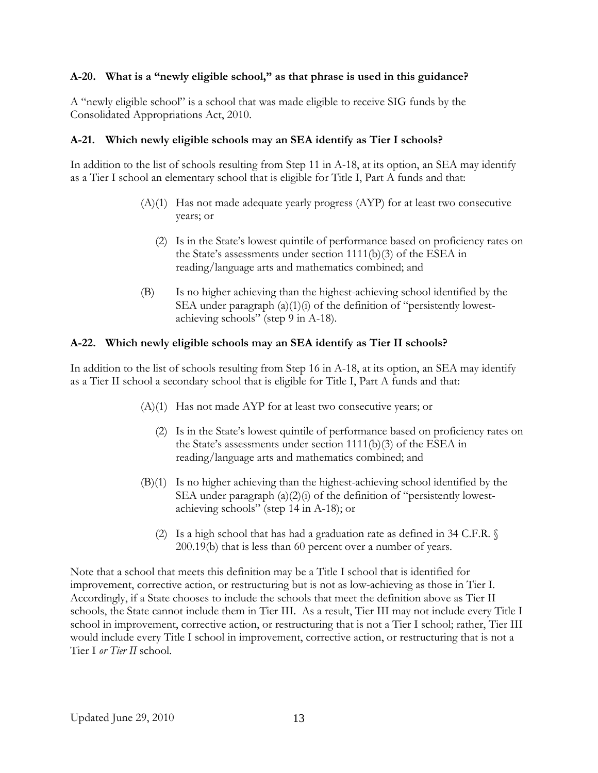#### <span id="page-28-0"></span>**A-20. What is a "newly eligible school," as that phrase is used in this guidance?**

A "newly eligible school" is a school that was made eligible to receive SIG funds by the Consolidated Appropriations Act, 2010.

#### **A-21. Which newly eligible schools may an SEA identify as Tier I schools?**

In addition to the list of schools resulting from Step 11 in A-18, at its option, an SEA may identify as a Tier I school an elementary school that is eligible for Title I, Part A funds and that:

- $(A)(1)$  Has not made adequate yearly progress  $(AYP)$  for at least two consecutive years; or
	- (2) Is in the State's lowest quintile of performance based on proficiency rates on the State's assessments under section 1111(b)(3) of the ESEA in reading/language arts and mathematics combined; and
- (B) Is no higher achieving than the highest-achieving school identified by the SEA under paragraph (a)(1)(i) of the definition of "persistently lowestachieving schools" (step 9 in A-18).

#### **A-22. Which newly eligible schools may an SEA identify as Tier II schools?**

In addition to the list of schools resulting from Step 16 in A-18, at its option, an SEA may identify as a Tier II school a secondary school that is eligible for Title I, Part A funds and that:

- (A)(1) Has not made AYP for at least two consecutive years; or
	- (2) Is in the State's lowest quintile of performance based on proficiency rates on the State's assessments under section 1111(b)(3) of the ESEA in reading/language arts and mathematics combined; and
- (B)(1) Is no higher achieving than the highest-achieving school identified by the SEA under paragraph (a)(2)(i) of the definition of "persistently lowestachieving schools" (step 14 in A-18); or
	- (2) Is a high school that has had a graduation rate as defined in 34 C.F.R. § 200.19(b) that is less than 60 percent over a number of years.

Note that a school that meets this definition may be a Title I school that is identified for improvement, corrective action, or restructuring but is not as low-achieving as those in Tier I. Accordingly, if a State chooses to include the schools that meet the definition above as Tier II schools, the State cannot include them in Tier III. As a result, Tier III may not include every Title I school in improvement, corrective action, or restructuring that is not a Tier I school; rather, Tier III would include every Title I school in improvement, corrective action, or restructuring that is not a Tier I *or Tier II* school.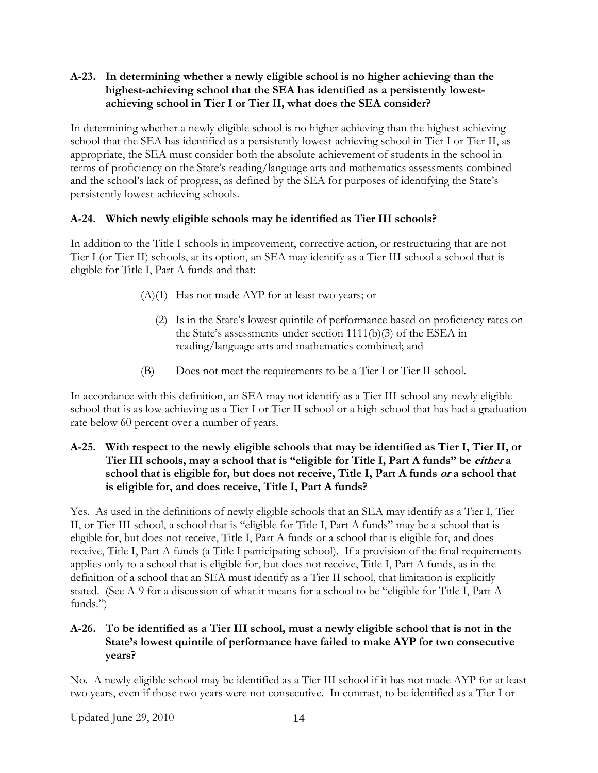## <span id="page-29-0"></span>**A-23. In determining whether a newly eligible school is no higher achieving than the highest-achieving school that the SEA has identified as a persistently lowestachieving school in Tier I or Tier II, what does the SEA consider?**

In determining whether a newly eligible school is no higher achieving than the highest-achieving school that the SEA has identified as a persistently lowest-achieving school in Tier I or Tier II, as appropriate, the SEA must consider both the absolute achievement of students in the school in terms of proficiency on the State's reading/language arts and mathematics assessments combined and the school's lack of progress, as defined by the SEA for purposes of identifying the State's persistently lowest-achieving schools.

# **A-24. Which newly eligible schools may be identified as Tier III schools?**

In addition to the Title I schools in improvement, corrective action, or restructuring that are not Tier I (or Tier II) schools, at its option, an SEA may identify as a Tier III school a school that is eligible for Title I, Part A funds and that:

- (A)(1) Has not made AYP for at least two years; or
	- (2) Is in the State's lowest quintile of performance based on proficiency rates on the State's assessments under section 1111(b)(3) of the ESEA in reading/language arts and mathematics combined; and
- (B) Does not meet the requirements to be a Tier I or Tier II school.

In accordance with this definition, an SEA may not identify as a Tier III school any newly eligible school that is as low achieving as a Tier I or Tier II school or a high school that has had a graduation rate below 60 percent over a number of years.

## **A-25. With respect to the newly eligible schools that may be identified as Tier I, Tier II, or Tier III schools, may a school that is "eligible for Title I, Part A funds" be either a school that is eligible for, but does not receive, Title I, Part A funds or a school that is eligible for, and does receive, Title I, Part A funds?**

Yes. As used in the definitions of newly eligible schools that an SEA may identify as a Tier I, Tier II, or Tier III school, a school that is "eligible for Title I, Part A funds" may be a school that is eligible for, but does not receive, Title I, Part A funds or a school that is eligible for, and does receive, Title I, Part A funds (a Title I participating school). If a provision of the final requirements applies only to a school that is eligible for, but does not receive, Title I, Part A funds, as in the definition of a school that an SEA must identify as a Tier II school, that limitation is explicitly stated. (See A-9 for a discussion of what it means for a school to be "eligible for Title I, Part A funds.")

# **A-26. To be identified as a Tier III school, must a newly eligible school that is not in the State's lowest quintile of performance have failed to make AYP for two consecutive years?**

No. A newly eligible school may be identified as a Tier III school if it has not made AYP for at least two years, even if those two years were not consecutive. In contrast, to be identified as a Tier I or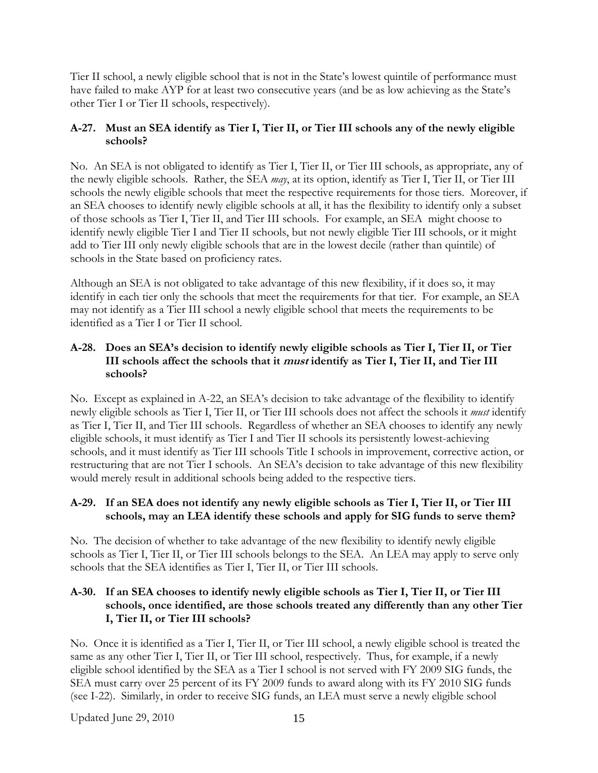<span id="page-30-0"></span>Tier II school, a newly eligible school that is not in the State's lowest quintile of performance must have failed to make AYP for at least two consecutive years (and be as low achieving as the State's other Tier I or Tier II schools, respectively).

## **A-27. Must an SEA identify as Tier I, Tier II, or Tier III schools any of the newly eligible schools?**

No. An SEA is not obligated to identify as Tier I, Tier II, or Tier III schools, as appropriate, any of the newly eligible schools. Rather, the SEA *may*, at its option, identify as Tier I, Tier II, or Tier III schools the newly eligible schools that meet the respective requirements for those tiers. Moreover, if an SEA chooses to identify newly eligible schools at all, it has the flexibility to identify only a subset of those schools as Tier I, Tier II, and Tier III schools. For example, an SEA might choose to identify newly eligible Tier I and Tier II schools, but not newly eligible Tier III schools, or it might add to Tier III only newly eligible schools that are in the lowest decile (rather than quintile) of schools in the State based on proficiency rates.

Although an SEA is not obligated to take advantage of this new flexibility, if it does so, it may identify in each tier only the schools that meet the requirements for that tier. For example, an SEA may not identify as a Tier III school a newly eligible school that meets the requirements to be identified as a Tier I or Tier II school.

## **A-28. Does an SEA's decision to identify newly eligible schools as Tier I, Tier II, or Tier III schools affect the schools that it must identify as Tier I, Tier II, and Tier III schools?**

No. Except as explained in A-22, an SEA's decision to take advantage of the flexibility to identify newly eligible schools as Tier I, Tier II, or Tier III schools does not affect the schools it *must* identify as Tier I, Tier II, and Tier III schools. Regardless of whether an SEA chooses to identify any newly eligible schools, it must identify as Tier I and Tier II schools its persistently lowest-achieving schools, and it must identify as Tier III schools Title I schools in improvement, corrective action, or restructuring that are not Tier I schools. An SEA's decision to take advantage of this new flexibility would merely result in additional schools being added to the respective tiers.

# **A-29. If an SEA does not identify any newly eligible schools as Tier I, Tier II, or Tier III schools, may an LEA identify these schools and apply for SIG funds to serve them?**

No. The decision of whether to take advantage of the new flexibility to identify newly eligible schools as Tier I, Tier II, or Tier III schools belongs to the SEA. An LEA may apply to serve only schools that the SEA identifies as Tier I, Tier II, or Tier III schools.

### **A-30. If an SEA chooses to identify newly eligible schools as Tier I, Tier II, or Tier III schools, once identified, are those schools treated any differently than any other Tier I, Tier II, or Tier III schools?**

No. Once it is identified as a Tier I, Tier II, or Tier III school, a newly eligible school is treated the same as any other Tier I, Tier II, or Tier III school, respectively. Thus, for example, if a newly eligible school identified by the SEA as a Tier I school is not served with FY 2009 SIG funds, the SEA must carry over 25 percent of its FY 2009 funds to award along with its FY 2010 SIG funds (see I-22). Similarly, in order to receive SIG funds, an LEA must serve a newly eligible school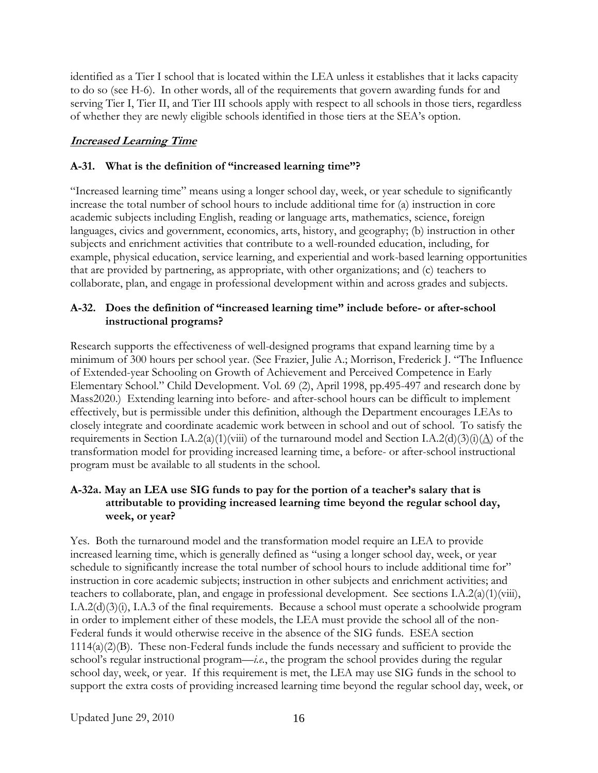<span id="page-31-0"></span>identified as a Tier I school that is located within the LEA unless it establishes that it lacks capacity to do so (see H-6). In other words, all of the requirements that govern awarding funds for and serving Tier I, Tier II, and Tier III schools apply with respect to all schools in those tiers, regardless of whether they are newly eligible schools identified in those tiers at the SEA's option.

# **Increased Learning Time**

# **A-31. What is the definition of "increased learning time"?**

"Increased learning time" means using a longer school day, week, or year schedule to significantly increase the total number of school hours to include additional time for (a) instruction in core academic subjects including English, reading or language arts, mathematics, science, foreign languages, civics and government, economics, arts, history, and geography; (b) instruction in other subjects and enrichment activities that contribute to a well-rounded education, including, for example, physical education, service learning, and experiential and work-based learning opportunities that are provided by partnering, as appropriate, with other organizations; and (c) teachers to collaborate, plan, and engage in professional development within and across grades and subjects.

# **A-32. Does the definition of "increased learning time" include before- or after-school instructional programs?**

Research supports the effectiveness of well-designed programs that expand learning time by a minimum of 300 hours per school year. (See Frazier, Julie A.; Morrison, Frederick J. "The Influence of Extended-year Schooling on Growth of Achievement and Perceived Competence in Early Elementary School." Child Development. Vol. 69 (2), April 1998, pp.495-497 and research done by Mass2020.) Extending learning into before- and after-school hours can be difficult to implement effectively, but is permissible under this definition, although the Department encourages LEAs to closely integrate and coordinate academic work between in school and out of school. To satisfy the requirements in Section I.A.2(a)(1)(viii) of the turnaround model and Section I.A.2(d)(3)(i)( $\underline{A}$ ) of the transformation model for providing increased learning time, a before- or after-school instructional program must be available to all students in the school.

# **A-32a. May an LEA use SIG funds to pay for the portion of a teacher's salary that is attributable to providing increased learning time beyond the regular school day, week, or year?**

Yes. Both the turnaround model and the transformation model require an LEA to provide increased learning time, which is generally defined as "using a longer school day, week, or year schedule to significantly increase the total number of school hours to include additional time for" instruction in core academic subjects; instruction in other subjects and enrichment activities; and teachers to collaborate, plan, and engage in professional development. See sections I.A.2(a)(1)(viii), I.A.2(d)(3)(i), I.A.3 of the final requirements. Because a school must operate a schoolwide program in order to implement either of these models, the LEA must provide the school all of the non-Federal funds it would otherwise receive in the absence of the SIG funds. ESEA section 1114(a)(2)(B). These non-Federal funds include the funds necessary and sufficient to provide the school's regular instructional program—*i.e.*, the program the school provides during the regular school day, week, or year. If this requirement is met, the LEA may use SIG funds in the school to support the extra costs of providing increased learning time beyond the regular school day, week, or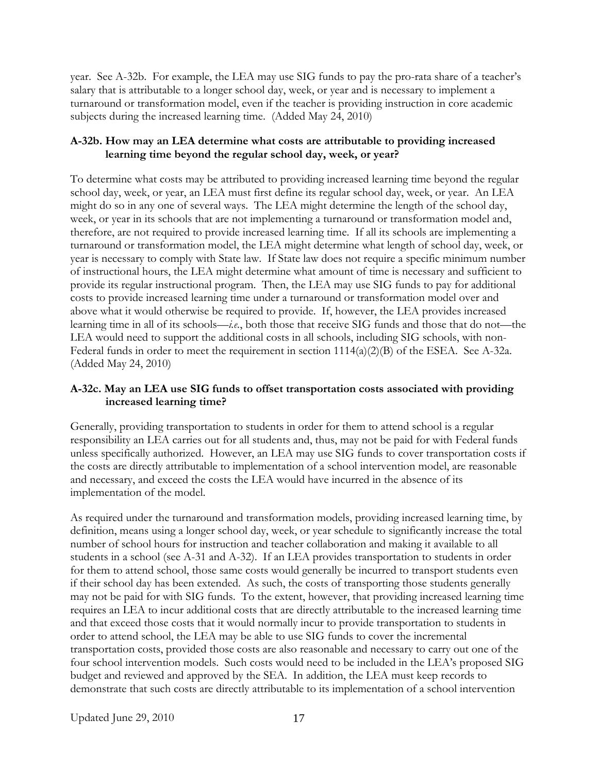<span id="page-32-0"></span>year. See A-32b. For example, the LEA may use SIG funds to pay the pro-rata share of a teacher's salary that is attributable to a longer school day, week, or year and is necessary to implement a turnaround or transformation model, even if the teacher is providing instruction in core academic subjects during the increased learning time. (Added May 24, 2010)

# **A-32b. How may an LEA determine what costs are attributable to providing increased learning time beyond the regular school day, week, or year?**

To determine what costs may be attributed to providing increased learning time beyond the regular school day, week, or year, an LEA must first define its regular school day, week, or year. An LEA might do so in any one of several ways. The LEA might determine the length of the school day, week, or year in its schools that are not implementing a turnaround or transformation model and, therefore, are not required to provide increased learning time. If all its schools are implementing a turnaround or transformation model, the LEA might determine what length of school day, week, or year is necessary to comply with State law. If State law does not require a specific minimum number of instructional hours, the LEA might determine what amount of time is necessary and sufficient to provide its regular instructional program. Then, the LEA may use SIG funds to pay for additional costs to provide increased learning time under a turnaround or transformation model over and above what it would otherwise be required to provide. If, however, the LEA provides increased learning time in all of its schools—*i.e.*, both those that receive SIG funds and those that do not—the LEA would need to support the additional costs in all schools, including SIG schools, with non-Federal funds in order to meet the requirement in section  $1114(a)(2)(B)$  of the ESEA. See A-32a. (Added May 24, 2010)

# **A-32c. May an LEA use SIG funds to offset transportation costs associated with providing increased learning time?**

Generally, providing transportation to students in order for them to attend school is a regular responsibility an LEA carries out for all students and, thus, may not be paid for with Federal funds unless specifically authorized. However, an LEA may use SIG funds to cover transportation costs if the costs are directly attributable to implementation of a school intervention model, are reasonable and necessary, and exceed the costs the LEA would have incurred in the absence of its implementation of the model.

As required under the turnaround and transformation models, providing increased learning time, by definition, means using a longer school day, week, or year schedule to significantly increase the total number of school hours for instruction and teacher collaboration and making it available to all students in a school (see A-31 and A-32). If an LEA provides transportation to students in order for them to attend school, those same costs would generally be incurred to transport students even if their school day has been extended. As such, the costs of transporting those students generally may not be paid for with SIG funds. To the extent, however, that providing increased learning time requires an LEA to incur additional costs that are directly attributable to the increased learning time and that exceed those costs that it would normally incur to provide transportation to students in order to attend school, the LEA may be able to use SIG funds to cover the incremental transportation costs, provided those costs are also reasonable and necessary to carry out one of the four school intervention models. Such costs would need to be included in the LEA's proposed SIG budget and reviewed and approved by the SEA. In addition, the LEA must keep records to demonstrate that such costs are directly attributable to its implementation of a school intervention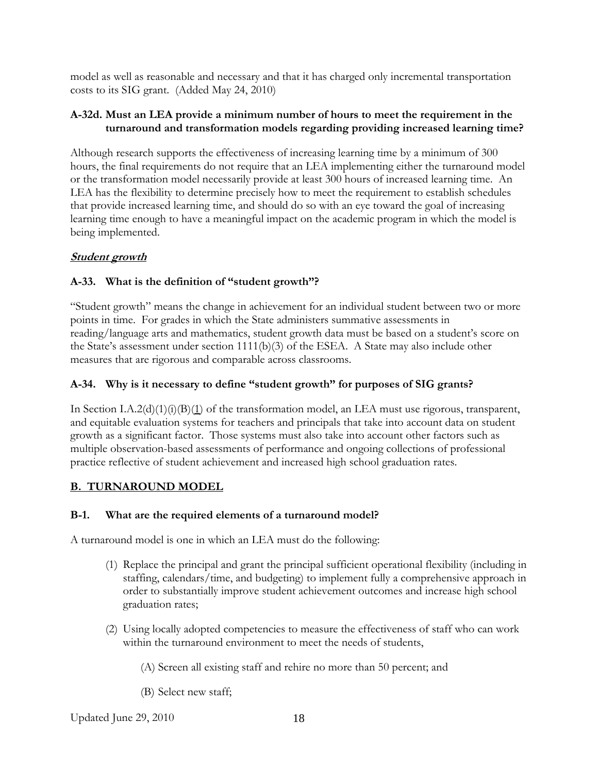<span id="page-33-0"></span>model as well as reasonable and necessary and that it has charged only incremental transportation costs to its SIG grant. (Added May 24, 2010)

## **A-32d. Must an LEA provide a minimum number of hours to meet the requirement in the turnaround and transformation models regarding providing increased learning time?**

Although research supports the effectiveness of increasing learning time by a minimum of 300 hours, the final requirements do not require that an LEA implementing either the turnaround model or the transformation model necessarily provide at least 300 hours of increased learning time. An LEA has the flexibility to determine precisely how to meet the requirement to establish schedules that provide increased learning time, and should do so with an eye toward the goal of increasing learning time enough to have a meaningful impact on the academic program in which the model is being implemented.

# **Student growth**

# **A-33. What is the definition of "student growth"?**

"Student growth" means the change in achievement for an individual student between two or more points in time. For grades in which the State administers summative assessments in reading/language arts and mathematics, student growth data must be based on a student's score on the State's assessment under section 1111(b)(3) of the ESEA. A State may also include other measures that are rigorous and comparable across classrooms.

# **A-34. Why is it necessary to define "student growth" for purposes of SIG grants?**

In Section I.A.2(d)(1)(i)(B)(1) of the transformation model, an LEA must use rigorous, transparent, and equitable evaluation systems for teachers and principals that take into account data on student growth as a significant factor. Those systems must also take into account other factors such as multiple observation-based assessments of performance and ongoing collections of professional practice reflective of student achievement and increased high school graduation rates.

# **B. TURNAROUND MODEL**

# **B-1. What are the required elements of a turnaround model?**

A turnaround model is one in which an LEA must do the following:

- (1) Replace the principal and grant the principal sufficient operational flexibility (including in staffing, calendars/time, and budgeting) to implement fully a comprehensive approach in order to substantially improve student achievement outcomes and increase high school graduation rates;
- (2) Using locally adopted competencies to measure the effectiveness of staff who can work within the turnaround environment to meet the needs of students,
	- (A) Screen all existing staff and rehire no more than 50 percent; and
	- (B) Select new staff;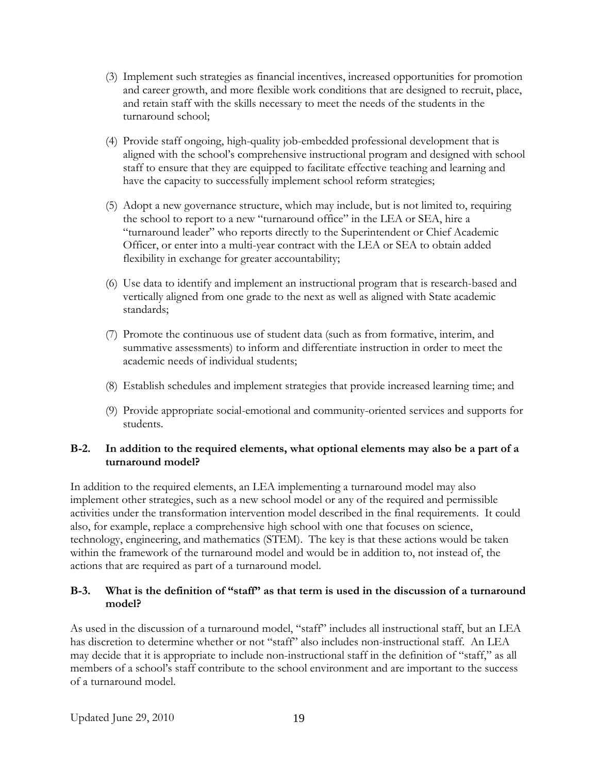- <span id="page-34-0"></span>(3) Implement such strategies as financial incentives, increased opportunities for promotion and career growth, and more flexible work conditions that are designed to recruit, place, and retain staff with the skills necessary to meet the needs of the students in the turnaround school;
- (4) Provide staff ongoing, high-quality job-embedded professional development that is aligned with the school's comprehensive instructional program and designed with school staff to ensure that they are equipped to facilitate effective teaching and learning and have the capacity to successfully implement school reform strategies;
- (5) Adopt a new governance structure, which may include, but is not limited to, requiring the school to report to a new "turnaround office" in the LEA or SEA, hire a "turnaround leader" who reports directly to the Superintendent or Chief Academic Officer, or enter into a multi-year contract with the LEA or SEA to obtain added flexibility in exchange for greater accountability;
- (6) Use data to identify and implement an instructional program that is research-based and vertically aligned from one grade to the next as well as aligned with State academic standards;
- (7) Promote the continuous use of student data (such as from formative, interim, and summative assessments) to inform and differentiate instruction in order to meet the academic needs of individual students;
- (8) Establish schedules and implement strategies that provide increased learning time; and
- (9) Provide appropriate social-emotional and community-oriented services and supports for students.

## **B-2. In addition to the required elements, what optional elements may also be a part of a turnaround model?**

In addition to the required elements, an LEA implementing a turnaround model may also implement other strategies, such as a new school model or any of the required and permissible activities under the transformation intervention model described in the final requirements. It could also, for example, replace a comprehensive high school with one that focuses on science, technology, engineering, and mathematics (STEM). The key is that these actions would be taken within the framework of the turnaround model and would be in addition to, not instead of, the actions that are required as part of a turnaround model.

## **B-3. What is the definition of "staff" as that term is used in the discussion of a turnaround model?**

As used in the discussion of a turnaround model, "staff" includes all instructional staff, but an LEA has discretion to determine whether or not "staff" also includes non-instructional staff. An LEA may decide that it is appropriate to include non-instructional staff in the definition of "staff," as all members of a school's staff contribute to the school environment and are important to the success of a turnaround model.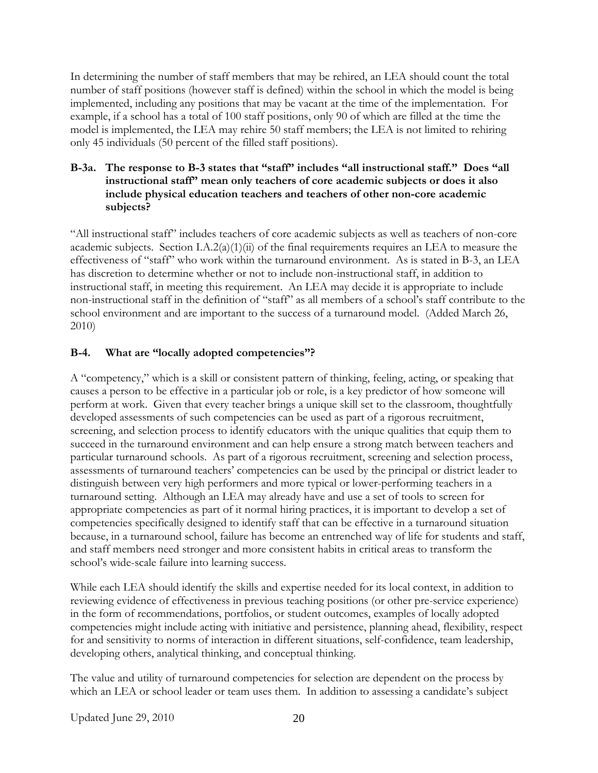<span id="page-35-0"></span>In determining the number of staff members that may be rehired, an LEA should count the total number of staff positions (however staff is defined) within the school in which the model is being implemented, including any positions that may be vacant at the time of the implementation. For example, if a school has a total of 100 staff positions, only 90 of which are filled at the time the model is implemented, the LEA may rehire 50 staff members; the LEA is not limited to rehiring only 45 individuals (50 percent of the filled staff positions).

### **B-3a. The response to B-3 states that "staff" includes "all instructional staff." Does "all instructional staff" mean only teachers of core academic subjects or does it also include physical education teachers and teachers of other non-core academic subjects?**

"All instructional staff" includes teachers of core academic subjects as well as teachers of non-core academic subjects. Section I.A.2(a)(1)(ii) of the final requirements requires an LEA to measure the effectiveness of "staff" who work within the turnaround environment. As is stated in B-3, an LEA has discretion to determine whether or not to include non-instructional staff, in addition to instructional staff, in meeting this requirement. An LEA may decide it is appropriate to include non-instructional staff in the definition of "staff" as all members of a school's staff contribute to the school environment and are important to the success of a turnaround model. (Added March 26, 2010)

## **B-4. What are "locally adopted competencies"?**

A "competency," which is a skill or consistent pattern of thinking, feeling, acting, or speaking that causes a person to be effective in a particular job or role, is a key predictor of how someone will perform at work. Given that every teacher brings a unique skill set to the classroom, thoughtfully developed assessments of such competencies can be used as part of a rigorous recruitment, screening, and selection process to identify educators with the unique qualities that equip them to succeed in the turnaround environment and can help ensure a strong match between teachers and particular turnaround schools. As part of a rigorous recruitment, screening and selection process, assessments of turnaround teachers' competencies can be used by the principal or district leader to distinguish between very high performers and more typical or lower-performing teachers in a turnaround setting. Although an LEA may already have and use a set of tools to screen for appropriate competencies as part of it normal hiring practices, it is important to develop a set of competencies specifically designed to identify staff that can be effective in a turnaround situation because, in a turnaround school, failure has become an entrenched way of life for students and staff, and staff members need stronger and more consistent habits in critical areas to transform the school's wide-scale failure into learning success.

While each LEA should identify the skills and expertise needed for its local context, in addition to reviewing evidence of effectiveness in previous teaching positions (or other pre-service experience) in the form of recommendations, portfolios, or student outcomes, examples of locally adopted competencies might include acting with initiative and persistence, planning ahead, flexibility, respect for and sensitivity to norms of interaction in different situations, self-confidence, team leadership, developing others, analytical thinking, and conceptual thinking.

The value and utility of turnaround competencies for selection are dependent on the process by which an LEA or school leader or team uses them. In addition to assessing a candidate's subject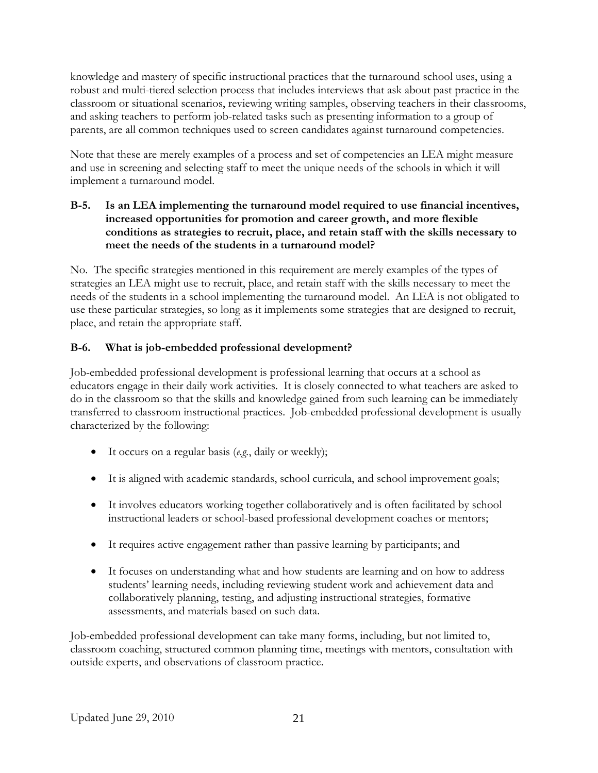knowledge and mastery of specific instructional practices that the turnaround school uses, using a robust and multi-tiered selection process that includes interviews that ask about past practice in the classroom or situational scenarios, reviewing writing samples, observing teachers in their classrooms, and asking teachers to perform job-related tasks such as presenting information to a group of parents, are all common techniques used to screen candidates against turnaround competencies.

Note that these are merely examples of a process and set of competencies an LEA might measure and use in screening and selecting staff to meet the unique needs of the schools in which it will implement a turnaround model.

## **B-5. Is an LEA implementing the turnaround model required to use financial incentives, increased opportunities for promotion and career growth, and more flexible conditions as strategies to recruit, place, and retain staff with the skills necessary to meet the needs of the students in a turnaround model?**

No. The specific strategies mentioned in this requirement are merely examples of the types of strategies an LEA might use to recruit, place, and retain staff with the skills necessary to meet the needs of the students in a school implementing the turnaround model. An LEA is not obligated to use these particular strategies, so long as it implements some strategies that are designed to recruit, place, and retain the appropriate staff.

# **B-6. What is job-embedded professional development?**

Job-embedded professional development is professional learning that occurs at a school as educators engage in their daily work activities. It is closely connected to what teachers are asked to do in the classroom so that the skills and knowledge gained from such learning can be immediately transferred to classroom instructional practices. Job-embedded professional development is usually characterized by the following:

- It occurs on a regular basis (*e.g.*, daily or weekly);
- It is aligned with academic standards, school curricula, and school improvement goals;
- It involves educators working together collaboratively and is often facilitated by school instructional leaders or school-based professional development coaches or mentors;
- It requires active engagement rather than passive learning by participants; and
- It focuses on understanding what and how students are learning and on how to address students' learning needs, including reviewing student work and achievement data and collaboratively planning, testing, and adjusting instructional strategies, formative assessments, and materials based on such data.

Job-embedded professional development can take many forms, including, but not limited to, classroom coaching, structured common planning time, meetings with mentors, consultation with outside experts, and observations of classroom practice.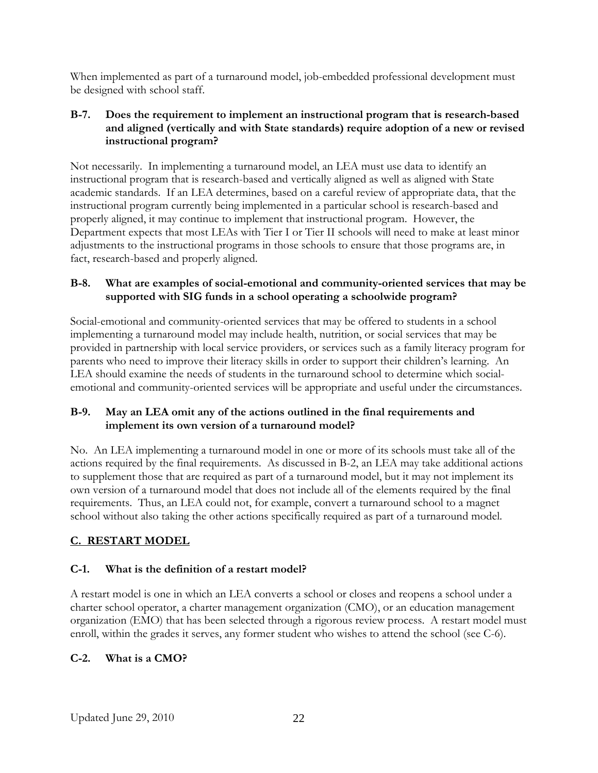When implemented as part of a turnaround model, job-embedded professional development must be designed with school staff.

## **B-7. Does the requirement to implement an instructional program that is research-based and aligned (vertically and with State standards) require adoption of a new or revised instructional program?**

Not necessarily. In implementing a turnaround model, an LEA must use data to identify an instructional program that is research-based and vertically aligned as well as aligned with State academic standards. If an LEA determines, based on a careful review of appropriate data, that the instructional program currently being implemented in a particular school is research-based and properly aligned, it may continue to implement that instructional program. However, the Department expects that most LEAs with Tier I or Tier II schools will need to make at least minor adjustments to the instructional programs in those schools to ensure that those programs are, in fact, research-based and properly aligned.

## **B-8. What are examples of social-emotional and community-oriented services that may be supported with SIG funds in a school operating a schoolwide program?**

Social-emotional and community-oriented services that may be offered to students in a school implementing a turnaround model may include health, nutrition, or social services that may be provided in partnership with local service providers, or services such as a family literacy program for parents who need to improve their literacy skills in order to support their children's learning. An LEA should examine the needs of students in the turnaround school to determine which socialemotional and community-oriented services will be appropriate and useful under the circumstances.

## **B-9. May an LEA omit any of the actions outlined in the final requirements and implement its own version of a turnaround model?**

No. An LEA implementing a turnaround model in one or more of its schools must take all of the actions required by the final requirements. As discussed in B-2, an LEA may take additional actions to supplement those that are required as part of a turnaround model, but it may not implement its own version of a turnaround model that does not include all of the elements required by the final requirements. Thus, an LEA could not, for example, convert a turnaround school to a magnet school without also taking the other actions specifically required as part of a turnaround model.

# **C. RESTART MODEL**

# **C-1. What is the definition of a restart model?**

A restart model is one in which an LEA converts a school or closes and reopens a school under a charter school operator, a charter management organization (CMO), or an education management organization (EMO) that has been selected through a rigorous review process. A restart model must enroll, within the grades it serves, any former student who wishes to attend the school (see C-6).

# **C-2. What is a CMO?**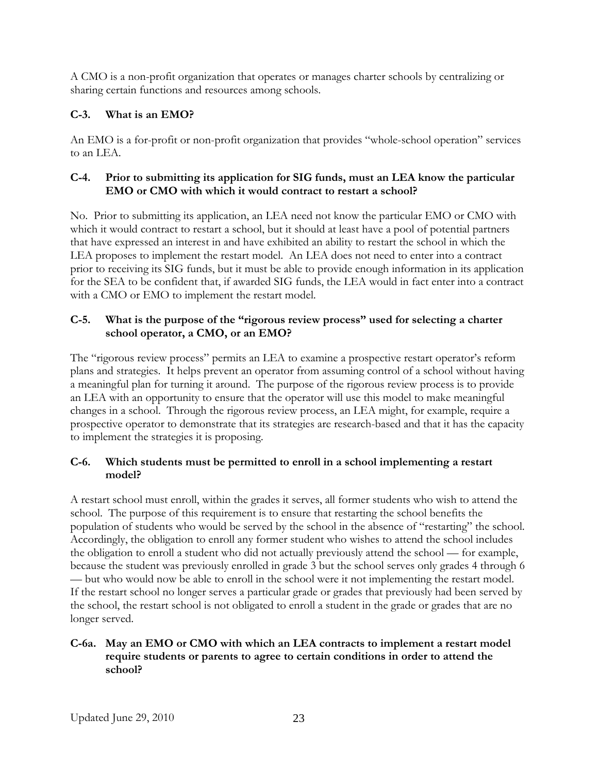A CMO is a non-profit organization that operates or manages charter schools by centralizing or sharing certain functions and resources among schools.

# **C-3. What is an EMO?**

An EMO is a for-profit or non-profit organization that provides "whole-school operation" services to an LEA.

## **C-4. Prior to submitting its application for SIG funds, must an LEA know the particular EMO or CMO with which it would contract to restart a school?**

No. Prior to submitting its application, an LEA need not know the particular EMO or CMO with which it would contract to restart a school, but it should at least have a pool of potential partners that have expressed an interest in and have exhibited an ability to restart the school in which the LEA proposes to implement the restart model. An LEA does not need to enter into a contract prior to receiving its SIG funds, but it must be able to provide enough information in its application for the SEA to be confident that, if awarded SIG funds, the LEA would in fact enter into a contract with a CMO or EMO to implement the restart model.

## **C-5. What is the purpose of the "rigorous review process" used for selecting a charter school operator, a CMO, or an EMO?**

The "rigorous review process" permits an LEA to examine a prospective restart operator's reform plans and strategies. It helps prevent an operator from assuming control of a school without having a meaningful plan for turning it around. The purpose of the rigorous review process is to provide an LEA with an opportunity to ensure that the operator will use this model to make meaningful changes in a school. Through the rigorous review process, an LEA might, for example, require a prospective operator to demonstrate that its strategies are research-based and that it has the capacity to implement the strategies it is proposing.

## **C-6. Which students must be permitted to enroll in a school implementing a restart model?**

A restart school must enroll, within the grades it serves, all former students who wish to attend the school. The purpose of this requirement is to ensure that restarting the school benefits the population of students who would be served by the school in the absence of "restarting" the school. Accordingly, the obligation to enroll any former student who wishes to attend the school includes the obligation to enroll a student who did not actually previously attend the school — for example, because the student was previously enrolled in grade 3 but the school serves only grades 4 through 6 — but who would now be able to enroll in the school were it not implementing the restart model. If the restart school no longer serves a particular grade or grades that previously had been served by the school, the restart school is not obligated to enroll a student in the grade or grades that are no longer served.

## **C-6a. May an EMO or CMO with which an LEA contracts to implement a restart model require students or parents to agree to certain conditions in order to attend the school?**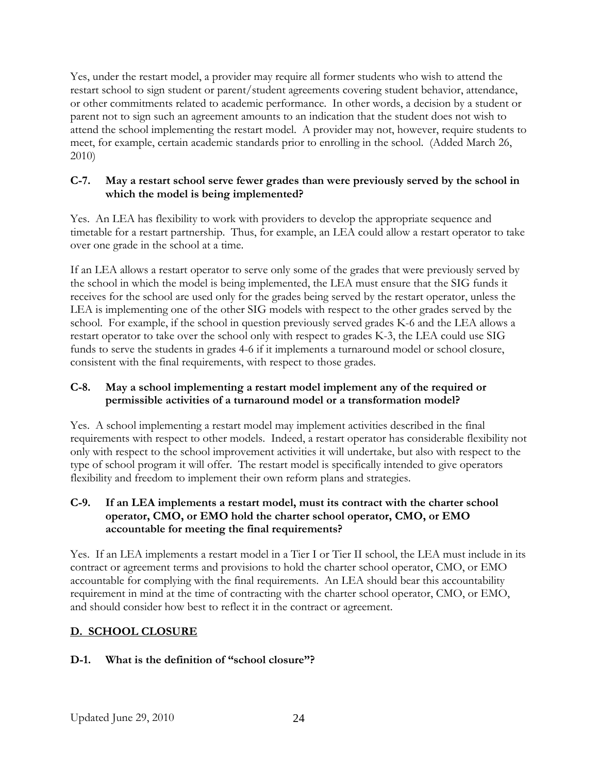Yes, under the restart model, a provider may require all former students who wish to attend the restart school to sign student or parent/student agreements covering student behavior, attendance, or other commitments related to academic performance. In other words, a decision by a student or parent not to sign such an agreement amounts to an indication that the student does not wish to attend the school implementing the restart model. A provider may not, however, require students to meet, for example, certain academic standards prior to enrolling in the school. (Added March 26, 2010)

## **C-7. May a restart school serve fewer grades than were previously served by the school in which the model is being implemented?**

Yes. An LEA has flexibility to work with providers to develop the appropriate sequence and timetable for a restart partnership. Thus, for example, an LEA could allow a restart operator to take over one grade in the school at a time.

If an LEA allows a restart operator to serve only some of the grades that were previously served by the school in which the model is being implemented, the LEA must ensure that the SIG funds it receives for the school are used only for the grades being served by the restart operator, unless the LEA is implementing one of the other SIG models with respect to the other grades served by the school. For example, if the school in question previously served grades K-6 and the LEA allows a restart operator to take over the school only with respect to grades K-3, the LEA could use SIG funds to serve the students in grades 4-6 if it implements a turnaround model or school closure, consistent with the final requirements, with respect to those grades.

## **C-8. May a school implementing a restart model implement any of the required or permissible activities of a turnaround model or a transformation model?**

Yes. A school implementing a restart model may implement activities described in the final requirements with respect to other models. Indeed, a restart operator has considerable flexibility not only with respect to the school improvement activities it will undertake, but also with respect to the type of school program it will offer. The restart model is specifically intended to give operators flexibility and freedom to implement their own reform plans and strategies.

## **C-9. If an LEA implements a restart model, must its contract with the charter school operator, CMO, or EMO hold the charter school operator, CMO, or EMO accountable for meeting the final requirements?**

Yes. If an LEA implements a restart model in a Tier I or Tier II school, the LEA must include in its contract or agreement terms and provisions to hold the charter school operator, CMO, or EMO accountable for complying with the final requirements. An LEA should bear this accountability requirement in mind at the time of contracting with the charter school operator, CMO, or EMO, and should consider how best to reflect it in the contract or agreement.

# **D. SCHOOL CLOSURE**

## **D-1. What is the definition of "school closure"?**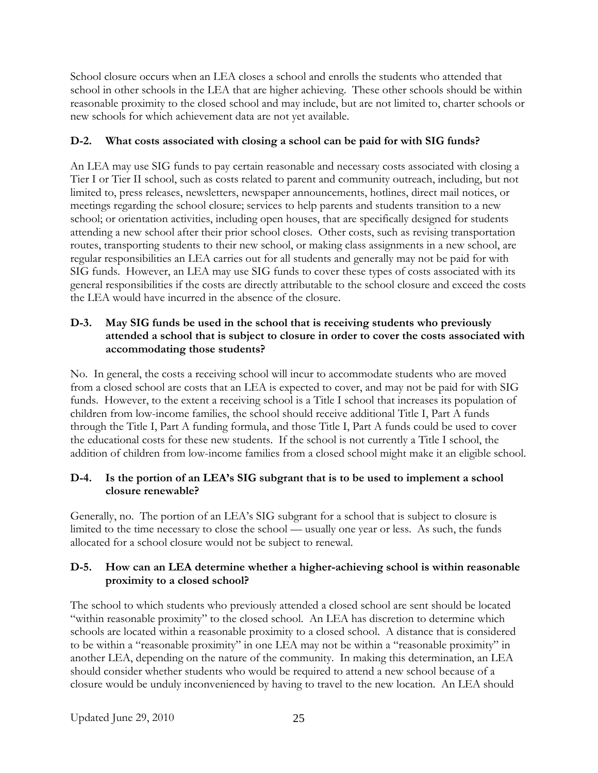School closure occurs when an LEA closes a school and enrolls the students who attended that school in other schools in the LEA that are higher achieving. These other schools should be within reasonable proximity to the closed school and may include, but are not limited to, charter schools or new schools for which achievement data are not yet available.

## **D-2. What costs associated with closing a school can be paid for with SIG funds?**

An LEA may use SIG funds to pay certain reasonable and necessary costs associated with closing a Tier I or Tier II school, such as costs related to parent and community outreach, including, but not limited to, press releases, newsletters, newspaper announcements, hotlines, direct mail notices, or meetings regarding the school closure; services to help parents and students transition to a new school; or orientation activities, including open houses, that are specifically designed for students attending a new school after their prior school closes. Other costs, such as revising transportation routes, transporting students to their new school, or making class assignments in a new school, are regular responsibilities an LEA carries out for all students and generally may not be paid for with SIG funds. However, an LEA may use SIG funds to cover these types of costs associated with its general responsibilities if the costs are directly attributable to the school closure and exceed the costs the LEA would have incurred in the absence of the closure.

## **D-3. May SIG funds be used in the school that is receiving students who previously attended a school that is subject to closure in order to cover the costs associated with accommodating those students?**

No. In general, the costs a receiving school will incur to accommodate students who are moved from a closed school are costs that an LEA is expected to cover, and may not be paid for with SIG funds. However, to the extent a receiving school is a Title I school that increases its population of children from low-income families, the school should receive additional Title I, Part A funds through the Title I, Part A funding formula, and those Title I, Part A funds could be used to cover the educational costs for these new students. If the school is not currently a Title I school, the addition of children from low-income families from a closed school might make it an eligible school.

## **D-4. Is the portion of an LEA's SIG subgrant that is to be used to implement a school closure renewable?**

Generally, no. The portion of an LEA's SIG subgrant for a school that is subject to closure is limited to the time necessary to close the school — usually one year or less. As such, the funds allocated for a school closure would not be subject to renewal.

### **D-5. How can an LEA determine whether a higher-achieving school is within reasonable proximity to a closed school?**

The school to which students who previously attended a closed school are sent should be located "within reasonable proximity" to the closed school. An LEA has discretion to determine which schools are located within a reasonable proximity to a closed school. A distance that is considered to be within a "reasonable proximity" in one LEA may not be within a "reasonable proximity" in another LEA, depending on the nature of the community. In making this determination, an LEA should consider whether students who would be required to attend a new school because of a closure would be unduly inconvenienced by having to travel to the new location. An LEA should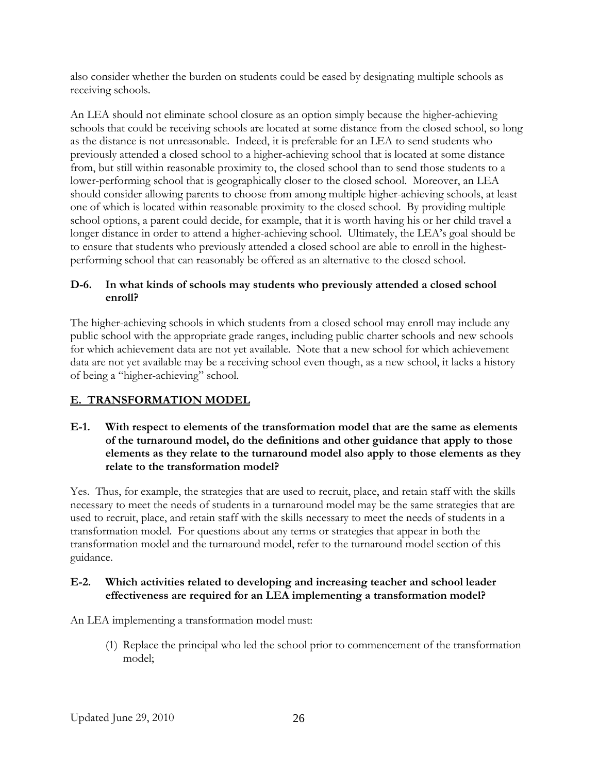also consider whether the burden on students could be eased by designating multiple schools as receiving schools.

An LEA should not eliminate school closure as an option simply because the higher-achieving schools that could be receiving schools are located at some distance from the closed school, so long as the distance is not unreasonable. Indeed, it is preferable for an LEA to send students who previously attended a closed school to a higher-achieving school that is located at some distance from, but still within reasonable proximity to, the closed school than to send those students to a lower-performing school that is geographically closer to the closed school. Moreover, an LEA should consider allowing parents to choose from among multiple higher-achieving schools, at least one of which is located within reasonable proximity to the closed school. By providing multiple school options, a parent could decide, for example, that it is worth having his or her child travel a longer distance in order to attend a higher-achieving school. Ultimately, the LEA's goal should be to ensure that students who previously attended a closed school are able to enroll in the highestperforming school that can reasonably be offered as an alternative to the closed school.

## **D-6. In what kinds of schools may students who previously attended a closed school enroll?**

The higher-achieving schools in which students from a closed school may enroll may include any public school with the appropriate grade ranges, including public charter schools and new schools for which achievement data are not yet available. Note that a new school for which achievement data are not yet available may be a receiving school even though, as a new school, it lacks a history of being a "higher-achieving" school.

# **E. TRANSFORMATION MODEL**

**E-1. With respect to elements of the transformation model that are the same as elements of the turnaround model, do the definitions and other guidance that apply to those elements as they relate to the turnaround model also apply to those elements as they relate to the transformation model?** 

Yes. Thus, for example, the strategies that are used to recruit, place, and retain staff with the skills necessary to meet the needs of students in a turnaround model may be the same strategies that are used to recruit, place, and retain staff with the skills necessary to meet the needs of students in a transformation model. For questions about any terms or strategies that appear in both the transformation model and the turnaround model, refer to the turnaround model section of this guidance.

## **E-2. Which activities related to developing and increasing teacher and school leader effectiveness are required for an LEA implementing a transformation model?**

An LEA implementing a transformation model must:

(1) Replace the principal who led the school prior to commencement of the transformation model;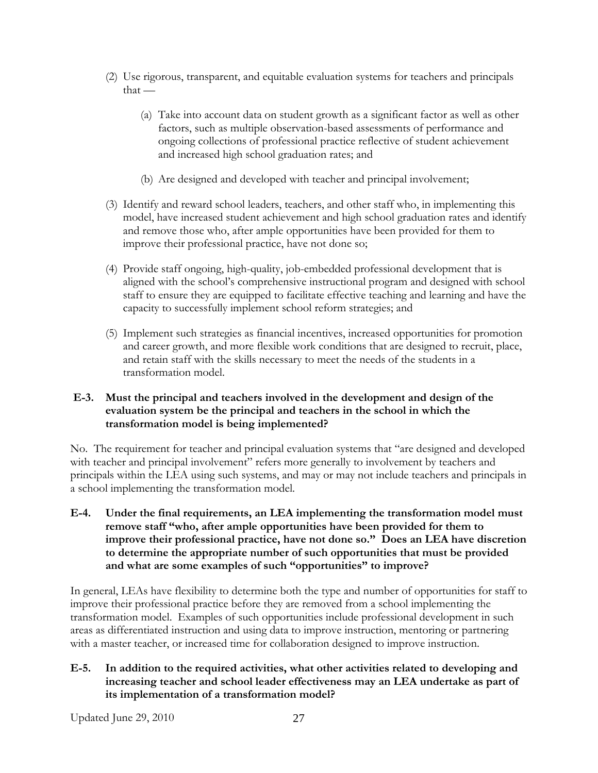- (2) Use rigorous, transparent, and equitable evaluation systems for teachers and principals  $that -$ 
	- (a) Take into account data on student growth as a significant factor as well as other factors, such as multiple observation-based assessments of performance and ongoing collections of professional practice reflective of student achievement and increased high school graduation rates; and
	- (b) Are designed and developed with teacher and principal involvement;
- (3) Identify and reward school leaders, teachers, and other staff who, in implementing this model, have increased student achievement and high school graduation rates and identify and remove those who, after ample opportunities have been provided for them to improve their professional practice, have not done so;
- (4) Provide staff ongoing, high-quality, job-embedded professional development that is aligned with the school's comprehensive instructional program and designed with school staff to ensure they are equipped to facilitate effective teaching and learning and have the capacity to successfully implement school reform strategies; and
- (5) Implement such strategies as financial incentives, increased opportunities for promotion and career growth, and more flexible work conditions that are designed to recruit, place, and retain staff with the skills necessary to meet the needs of the students in a transformation model.

## **E-3. Must the principal and teachers involved in the development and design of the evaluation system be the principal and teachers in the school in which the transformation model is being implemented?**

No. The requirement for teacher and principal evaluation systems that "are designed and developed with teacher and principal involvement" refers more generally to involvement by teachers and principals within the LEA using such systems, and may or may not include teachers and principals in a school implementing the transformation model.

**E-4. Under the final requirements, an LEA implementing the transformation model must remove staff "who, after ample opportunities have been provided for them to improve their professional practice, have not done so." Does an LEA have discretion to determine the appropriate number of such opportunities that must be provided and what are some examples of such "opportunities" to improve?** 

In general, LEAs have flexibility to determine both the type and number of opportunities for staff to improve their professional practice before they are removed from a school implementing the transformation model. Examples of such opportunities include professional development in such areas as differentiated instruction and using data to improve instruction, mentoring or partnering with a master teacher, or increased time for collaboration designed to improve instruction.

#### **E-5. In addition to the required activities, what other activities related to developing and increasing teacher and school leader effectiveness may an LEA undertake as part of its implementation of a transformation model?**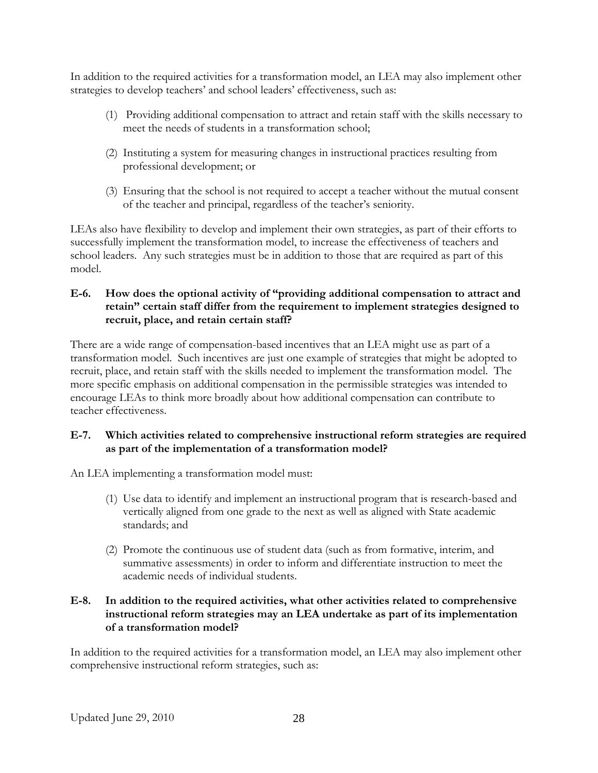In addition to the required activities for a transformation model, an LEA may also implement other strategies to develop teachers' and school leaders' effectiveness, such as:

- (1) Providing additional compensation to attract and retain staff with the skills necessary to meet the needs of students in a transformation school;
- (2) Instituting a system for measuring changes in instructional practices resulting from professional development; or
- (3) Ensuring that the school is not required to accept a teacher without the mutual consent of the teacher and principal, regardless of the teacher's seniority.

LEAs also have flexibility to develop and implement their own strategies, as part of their efforts to successfully implement the transformation model, to increase the effectiveness of teachers and school leaders. Any such strategies must be in addition to those that are required as part of this model.

## **E-6. How does the optional activity of "providing additional compensation to attract and retain" certain staff differ from the requirement to implement strategies designed to recruit, place, and retain certain staff?**

There are a wide range of compensation-based incentives that an LEA might use as part of a transformation model. Such incentives are just one example of strategies that might be adopted to recruit, place, and retain staff with the skills needed to implement the transformation model. The more specific emphasis on additional compensation in the permissible strategies was intended to encourage LEAs to think more broadly about how additional compensation can contribute to teacher effectiveness.

### **E-7. Which activities related to comprehensive instructional reform strategies are required as part of the implementation of a transformation model?**

An LEA implementing a transformation model must:

- (1) Use data to identify and implement an instructional program that is research-based and vertically aligned from one grade to the next as well as aligned with State academic standards; and
- (2) Promote the continuous use of student data (such as from formative, interim, and summative assessments) in order to inform and differentiate instruction to meet the academic needs of individual students.

#### **E-8. In addition to the required activities, what other activities related to comprehensive instructional reform strategies may an LEA undertake as part of its implementation of a transformation model?**

In addition to the required activities for a transformation model, an LEA may also implement other comprehensive instructional reform strategies, such as: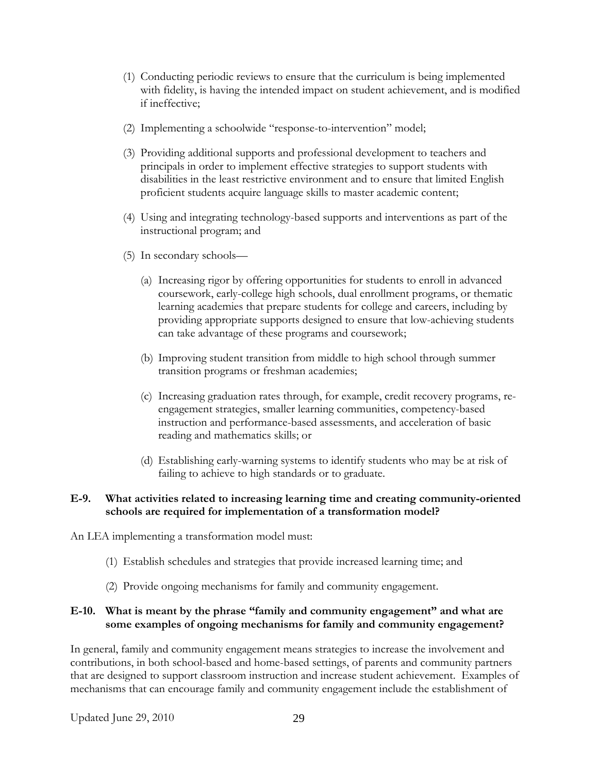- (1) Conducting periodic reviews to ensure that the curriculum is being implemented with fidelity, is having the intended impact on student achievement, and is modified if ineffective;
- (2) Implementing a schoolwide "response-to-intervention" model;
- (3) Providing additional supports and professional development to teachers and principals in order to implement effective strategies to support students with disabilities in the least restrictive environment and to ensure that limited English proficient students acquire language skills to master academic content;
- (4) Using and integrating technology-based supports and interventions as part of the instructional program; and
- (5) In secondary schools—
	- (a) Increasing rigor by offering opportunities for students to enroll in advanced coursework, early-college high schools, dual enrollment programs, or thematic learning academies that prepare students for college and careers, including by providing appropriate supports designed to ensure that low-achieving students can take advantage of these programs and coursework;
	- (b) Improving student transition from middle to high school through summer transition programs or freshman academies;
	- (c) Increasing graduation rates through, for example, credit recovery programs, reengagement strategies, smaller learning communities, competency-based instruction and performance-based assessments, and acceleration of basic reading and mathematics skills; or
	- (d) Establishing early-warning systems to identify students who may be at risk of failing to achieve to high standards or to graduate.

#### **E-9. What activities related to increasing learning time and creating community-oriented schools are required for implementation of a transformation model?**

An LEA implementing a transformation model must:

- (1) Establish schedules and strategies that provide increased learning time; and
- (2) Provide ongoing mechanisms for family and community engagement.

#### **E-10. What is meant by the phrase "family and community engagement" and what are some examples of ongoing mechanisms for family and community engagement?**

In general, family and community engagement means strategies to increase the involvement and contributions, in both school-based and home-based settings, of parents and community partners that are designed to support classroom instruction and increase student achievement. Examples of mechanisms that can encourage family and community engagement include the establishment of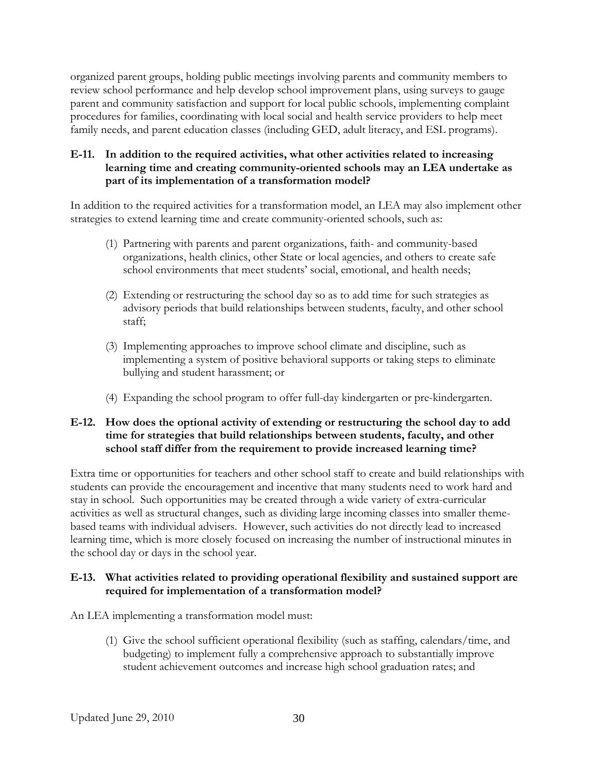organized parent groups, holding public meetings involving parents and community members to review school performance and help develop school improvement plans, using surveys to gauge parent and community satisfaction and support for local public schools, implementing complaint procedures for families, coordinating with local social and health service providers to help meet family needs, and parent education classes (including GED, adult literacy, and ESL programs).

#### **E-11. In addition to the required activities, what other activities related to increasing learning time and creating community-oriented schools may an LEA undertake as part of its implementation of a transformation model?**

In addition to the required activities for a transformation model, an LEA may also implement other strategies to extend learning time and create community-oriented schools, such as:

- (1) Partnering with parents and parent organizations, faith- and community-based organizations, health clinics, other State or local agencies, and others to create safe school environments that meet students' social, emotional, and health needs;
- (2) Extending or restructuring the school day so as to add time for such strategies as advisory periods that build relationships between students, faculty, and other school staff;
- (3) Implementing approaches to improve school climate and discipline, such as implementing a system of positive behavioral supports or taking steps to eliminate bullying and student harassment; or
- (4) Expanding the school program to offer full-day kindergarten or pre-kindergarten.

#### **E-12. How does the optional activity of extending or restructuring the school day to add time for strategies that build relationships between students, faculty, and other school staff differ from the requirement to provide increased learning time?**

Extra time or opportunities for teachers and other school staff to create and build relationships with students can provide the encouragement and incentive that many students need to work hard and stay in school. Such opportunities may be created through a wide variety of extra-curricular activities as well as structural changes, such as dividing large incoming classes into smaller themebased teams with individual advisers. However, such activities do not directly lead to increased learning time, which is more closely focused on increasing the number of instructional minutes in the school day or days in the school year.

### **E-13. What activities related to providing operational flexibility and sustained support are required for implementation of a transformation model?**

An LEA implementing a transformation model must:

(1) Give the school sufficient operational flexibility (such as staffing, calendars/time, and budgeting) to implement fully a comprehensive approach to substantially improve student achievement outcomes and increase high school graduation rates; and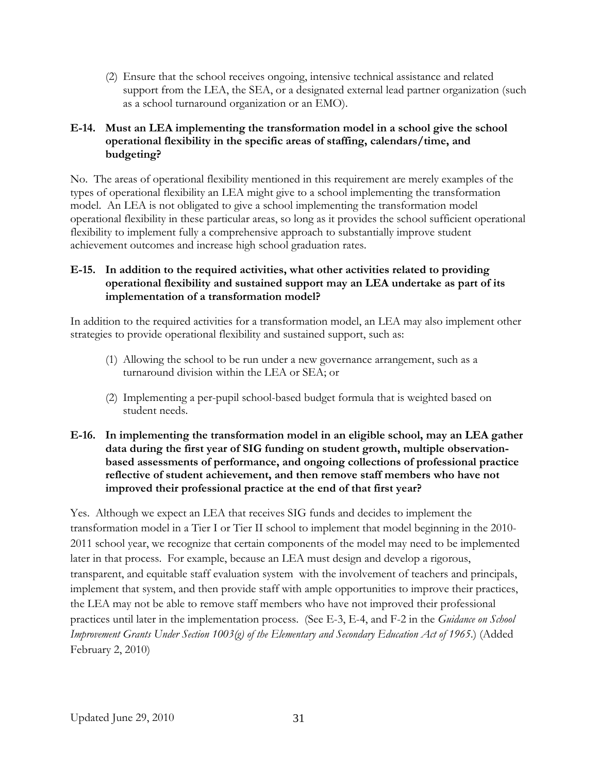(2) Ensure that the school receives ongoing, intensive technical assistance and related support from the LEA, the SEA, or a designated external lead partner organization (such as a school turnaround organization or an EMO).

## **E-14. Must an LEA implementing the transformation model in a school give the school operational flexibility in the specific areas of staffing, calendars/time, and budgeting?**

No. The areas of operational flexibility mentioned in this requirement are merely examples of the types of operational flexibility an LEA might give to a school implementing the transformation model. An LEA is not obligated to give a school implementing the transformation model operational flexibility in these particular areas, so long as it provides the school sufficient operational flexibility to implement fully a comprehensive approach to substantially improve student achievement outcomes and increase high school graduation rates.

### **E-15. In addition to the required activities, what other activities related to providing operational flexibility and sustained support may an LEA undertake as part of its implementation of a transformation model?**

In addition to the required activities for a transformation model, an LEA may also implement other strategies to provide operational flexibility and sustained support, such as:

- (1) Allowing the school to be run under a new governance arrangement, such as a turnaround division within the LEA or SEA; or
- (2) Implementing a per-pupil school-based budget formula that is weighted based on student needs.

## **E-16. In implementing the transformation model in an eligible school, may an LEA gather data during the first year of SIG funding on student growth, multiple observationbased assessments of performance, and ongoing collections of professional practice reflective of student achievement, and then remove staff members who have not improved their professional practice at the end of that first year?**

Yes. Although we expect an LEA that receives SIG funds and decides to implement the transformation model in a Tier I or Tier II school to implement that model beginning in the 2010- 2011 school year, we recognize that certain components of the model may need to be implemented later in that process. For example, because an LEA must design and develop a rigorous, transparent, and equitable staff evaluation system with the involvement of teachers and principals, implement that system, and then provide staff with ample opportunities to improve their practices, the LEA may not be able to remove staff members who have not improved their professional practices until later in the implementation process. (See E-3, E-4, and F-2 in the *Guidance on School Improvement Grants Under Section 1003(g) of the Elementary and Secondary Education Act of 1965*.) (Added February 2, 2010)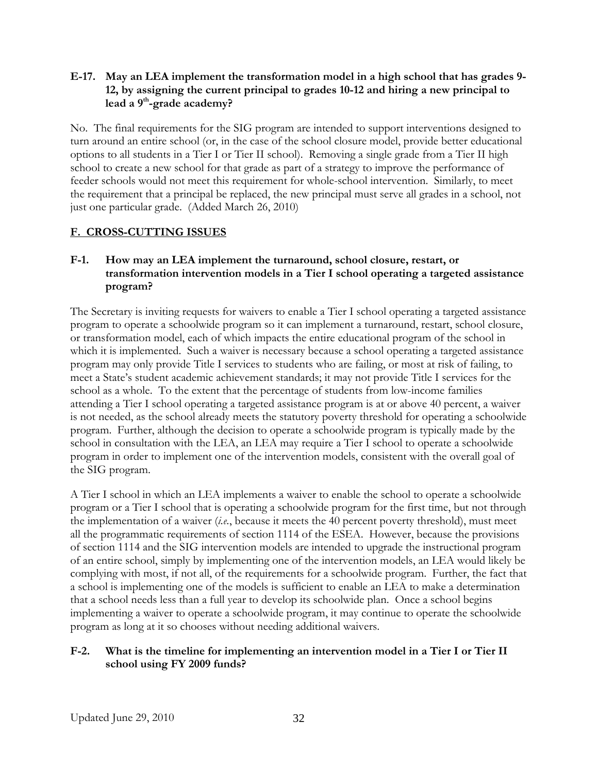#### **E-17. May an LEA implement the transformation model in a high school that has grades 9- 12, by assigning the current principal to grades 10-12 and hiring a new principal to lead a 9th-grade academy?**

No. The final requirements for the SIG program are intended to support interventions designed to turn around an entire school (or, in the case of the school closure model, provide better educational options to all students in a Tier I or Tier II school). Removing a single grade from a Tier II high school to create a new school for that grade as part of a strategy to improve the performance of feeder schools would not meet this requirement for whole-school intervention. Similarly, to meet the requirement that a principal be replaced, the new principal must serve all grades in a school, not just one particular grade. (Added March 26, 2010)

## **F. CROSS-CUTTING ISSUES**

## **F-1. How may an LEA implement the turnaround, school closure, restart, or transformation intervention models in a Tier I school operating a targeted assistance program?**

The Secretary is inviting requests for waivers to enable a Tier I school operating a targeted assistance program to operate a schoolwide program so it can implement a turnaround, restart, school closure, or transformation model, each of which impacts the entire educational program of the school in which it is implemented. Such a waiver is necessary because a school operating a targeted assistance program may only provide Title I services to students who are failing, or most at risk of failing, to meet a State's student academic achievement standards; it may not provide Title I services for the school as a whole. To the extent that the percentage of students from low-income families attending a Tier I school operating a targeted assistance program is at or above 40 percent, a waiver is not needed, as the school already meets the statutory poverty threshold for operating a schoolwide program. Further, although the decision to operate a schoolwide program is typically made by the school in consultation with the LEA, an LEA may require a Tier I school to operate a schoolwide program in order to implement one of the intervention models, consistent with the overall goal of the SIG program.

A Tier I school in which an LEA implements a waiver to enable the school to operate a schoolwide program or a Tier I school that is operating a schoolwide program for the first time, but not through the implementation of a waiver (*i.e.*, because it meets the 40 percent poverty threshold), must meet all the programmatic requirements of section 1114 of the ESEA. However, because the provisions of section 1114 and the SIG intervention models are intended to upgrade the instructional program of an entire school, simply by implementing one of the intervention models, an LEA would likely be complying with most, if not all, of the requirements for a schoolwide program. Further, the fact that a school is implementing one of the models is sufficient to enable an LEA to make a determination that a school needs less than a full year to develop its schoolwide plan. Once a school begins implementing a waiver to operate a schoolwide program, it may continue to operate the schoolwide program as long at it so chooses without needing additional waivers.

### **F-2. What is the timeline for implementing an intervention model in a Tier I or Tier II school using FY 2009 funds?**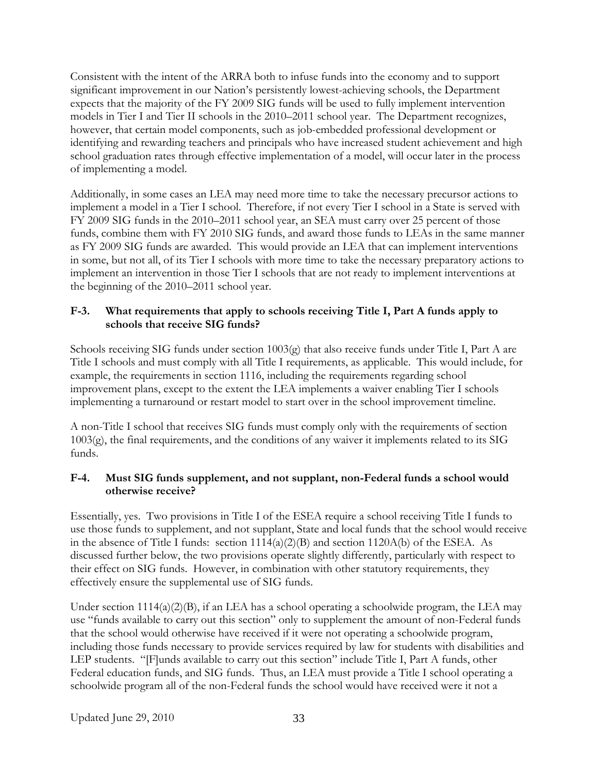Consistent with the intent of the ARRA both to infuse funds into the economy and to support significant improvement in our Nation's persistently lowest-achieving schools, the Department expects that the majority of the FY 2009 SIG funds will be used to fully implement intervention models in Tier I and Tier II schools in the 2010–2011 school year. The Department recognizes, however, that certain model components, such as job-embedded professional development or identifying and rewarding teachers and principals who have increased student achievement and high school graduation rates through effective implementation of a model, will occur later in the process of implementing a model.

Additionally, in some cases an LEA may need more time to take the necessary precursor actions to implement a model in a Tier I school. Therefore, if not every Tier I school in a State is served with FY 2009 SIG funds in the 2010–2011 school year, an SEA must carry over 25 percent of those funds, combine them with FY 2010 SIG funds, and award those funds to LEAs in the same manner as FY 2009 SIG funds are awarded. This would provide an LEA that can implement interventions in some, but not all, of its Tier I schools with more time to take the necessary preparatory actions to implement an intervention in those Tier I schools that are not ready to implement interventions at the beginning of the 2010–2011 school year.

## **F-3. What requirements that apply to schools receiving Title I, Part A funds apply to schools that receive SIG funds?**

Schools receiving SIG funds under section 1003(g) that also receive funds under Title I, Part A are Title I schools and must comply with all Title I requirements, as applicable. This would include, for example, the requirements in section 1116, including the requirements regarding school improvement plans, except to the extent the LEA implements a waiver enabling Tier I schools implementing a turnaround or restart model to start over in the school improvement timeline.

A non-Title I school that receives SIG funds must comply only with the requirements of section 1003(g), the final requirements, and the conditions of any waiver it implements related to its SIG funds.

### **F-4. Must SIG funds supplement, and not supplant, non-Federal funds a school would otherwise receive?**

Essentially, yes. Two provisions in Title I of the ESEA require a school receiving Title I funds to use those funds to supplement, and not supplant, State and local funds that the school would receive in the absence of Title I funds: section 1114(a)(2)(B) and section 1120A(b) of the ESEA. As discussed further below, the two provisions operate slightly differently, particularly with respect to their effect on SIG funds. However, in combination with other statutory requirements, they effectively ensure the supplemental use of SIG funds.

Under section  $1114(a)(2)(B)$ , if an LEA has a school operating a schoolwide program, the LEA may use "funds available to carry out this section" only to supplement the amount of non-Federal funds that the school would otherwise have received if it were not operating a schoolwide program, including those funds necessary to provide services required by law for students with disabilities and LEP students. "[F]unds available to carry out this section" include Title I, Part A funds, other Federal education funds, and SIG funds. Thus, an LEA must provide a Title I school operating a schoolwide program all of the non-Federal funds the school would have received were it not a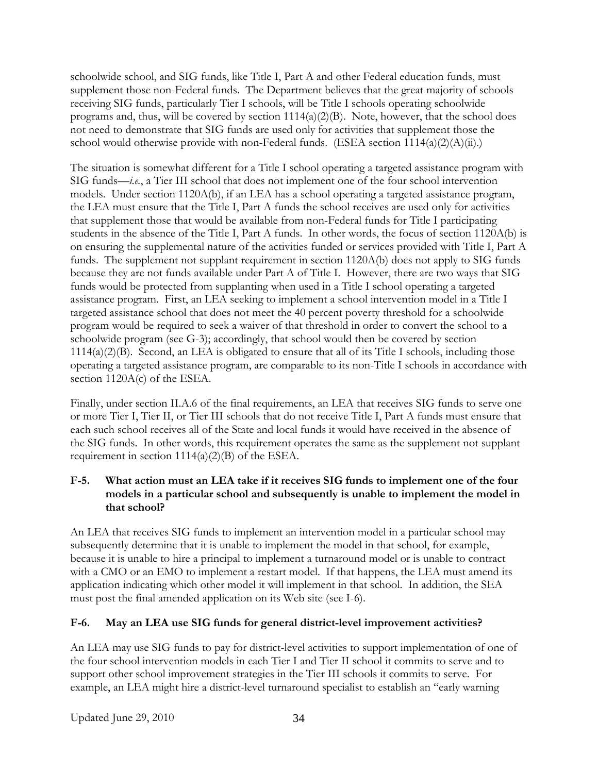schoolwide school, and SIG funds, like Title I, Part A and other Federal education funds, must supplement those non-Federal funds. The Department believes that the great majority of schools receiving SIG funds, particularly Tier I schools, will be Title I schools operating schoolwide programs and, thus, will be covered by section 1114(a)(2)(B). Note, however, that the school does not need to demonstrate that SIG funds are used only for activities that supplement those the school would otherwise provide with non-Federal funds. (ESEA section  $1114(a)(2)(A)(ii)$ .)

The situation is somewhat different for a Title I school operating a targeted assistance program with SIG funds—*i.e.*, a Tier III school that does not implement one of the four school intervention models. Under section 1120A(b), if an LEA has a school operating a targeted assistance program, the LEA must ensure that the Title I, Part A funds the school receives are used only for activities that supplement those that would be available from non-Federal funds for Title I participating students in the absence of the Title I, Part A funds. In other words, the focus of section 1120A(b) is on ensuring the supplemental nature of the activities funded or services provided with Title I, Part A funds. The supplement not supplant requirement in section 1120A(b) does not apply to SIG funds because they are not funds available under Part A of Title I. However, there are two ways that SIG funds would be protected from supplanting when used in a Title I school operating a targeted assistance program. First, an LEA seeking to implement a school intervention model in a Title I targeted assistance school that does not meet the 40 percent poverty threshold for a schoolwide program would be required to seek a waiver of that threshold in order to convert the school to a schoolwide program (see G-3); accordingly, that school would then be covered by section 1114(a)(2)(B). Second, an LEA is obligated to ensure that all of its Title I schools, including those operating a targeted assistance program, are comparable to its non-Title I schools in accordance with section 1120A(c) of the ESEA.

Finally, under section II.A.6 of the final requirements, an LEA that receives SIG funds to serve one or more Tier I, Tier II, or Tier III schools that do not receive Title I, Part A funds must ensure that each such school receives all of the State and local funds it would have received in the absence of the SIG funds. In other words, this requirement operates the same as the supplement not supplant requirement in section 1114(a)(2)(B) of the ESEA.

## **F-5. What action must an LEA take if it receives SIG funds to implement one of the four models in a particular school and subsequently is unable to implement the model in that school?**

An LEA that receives SIG funds to implement an intervention model in a particular school may subsequently determine that it is unable to implement the model in that school, for example, because it is unable to hire a principal to implement a turnaround model or is unable to contract with a CMO or an EMO to implement a restart model. If that happens, the LEA must amend its application indicating which other model it will implement in that school. In addition, the SEA must post the final amended application on its Web site (see I-6).

# **F-6. May an LEA use SIG funds for general district-level improvement activities?**

An LEA may use SIG funds to pay for district-level activities to support implementation of one of the four school intervention models in each Tier I and Tier II school it commits to serve and to support other school improvement strategies in the Tier III schools it commits to serve. For example, an LEA might hire a district-level turnaround specialist to establish an "early warning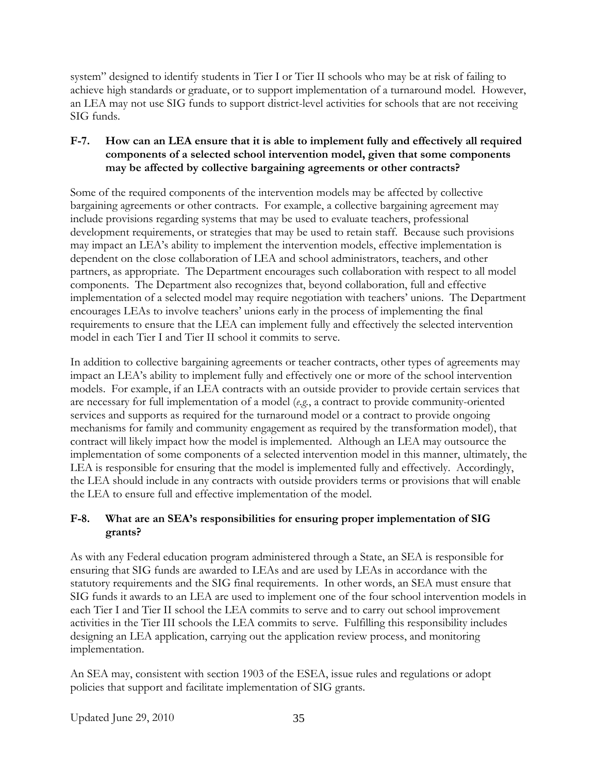system" designed to identify students in Tier I or Tier II schools who may be at risk of failing to achieve high standards or graduate, or to support implementation of a turnaround model. However, an LEA may not use SIG funds to support district-level activities for schools that are not receiving SIG funds.

## **F-7. How can an LEA ensure that it is able to implement fully and effectively all required components of a selected school intervention model, given that some components may be affected by collective bargaining agreements or other contracts?**

Some of the required components of the intervention models may be affected by collective bargaining agreements or other contracts. For example, a collective bargaining agreement may include provisions regarding systems that may be used to evaluate teachers, professional development requirements, or strategies that may be used to retain staff. Because such provisions may impact an LEA's ability to implement the intervention models, effective implementation is dependent on the close collaboration of LEA and school administrators, teachers, and other partners, as appropriate. The Department encourages such collaboration with respect to all model components. The Department also recognizes that, beyond collaboration, full and effective implementation of a selected model may require negotiation with teachers' unions. The Department encourages LEAs to involve teachers' unions early in the process of implementing the final requirements to ensure that the LEA can implement fully and effectively the selected intervention model in each Tier I and Tier II school it commits to serve.

In addition to collective bargaining agreements or teacher contracts, other types of agreements may impact an LEA's ability to implement fully and effectively one or more of the school intervention models. For example, if an LEA contracts with an outside provider to provide certain services that are necessary for full implementation of a model (*e.g.*, a contract to provide community-oriented services and supports as required for the turnaround model or a contract to provide ongoing mechanisms for family and community engagement as required by the transformation model), that contract will likely impact how the model is implemented. Although an LEA may outsource the implementation of some components of a selected intervention model in this manner, ultimately, the LEA is responsible for ensuring that the model is implemented fully and effectively. Accordingly, the LEA should include in any contracts with outside providers terms or provisions that will enable the LEA to ensure full and effective implementation of the model.

## **F-8. What are an SEA's responsibilities for ensuring proper implementation of SIG grants?**

As with any Federal education program administered through a State, an SEA is responsible for ensuring that SIG funds are awarded to LEAs and are used by LEAs in accordance with the statutory requirements and the SIG final requirements. In other words, an SEA must ensure that SIG funds it awards to an LEA are used to implement one of the four school intervention models in each Tier I and Tier II school the LEA commits to serve and to carry out school improvement activities in the Tier III schools the LEA commits to serve. Fulfilling this responsibility includes designing an LEA application, carrying out the application review process, and monitoring implementation.

An SEA may, consistent with section 1903 of the ESEA, issue rules and regulations or adopt policies that support and facilitate implementation of SIG grants.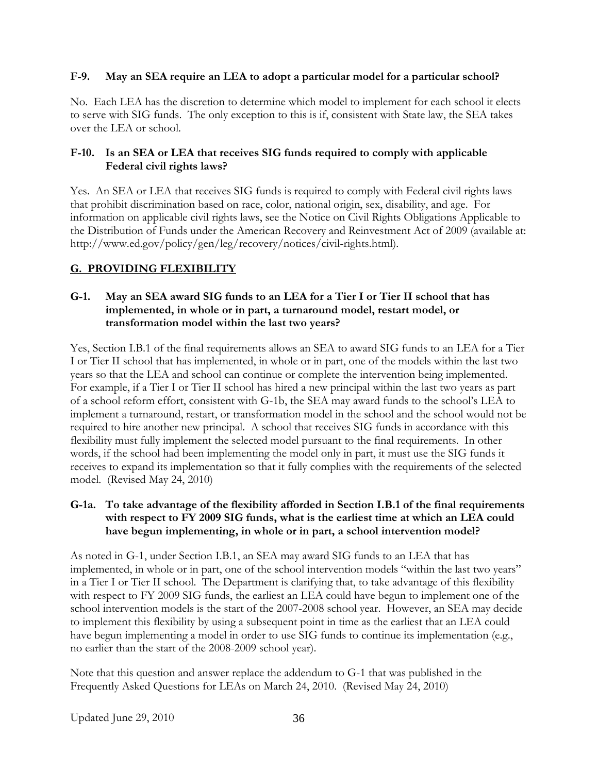### **F-9. May an SEA require an LEA to adopt a particular model for a particular school?**

No. Each LEA has the discretion to determine which model to implement for each school it elects to serve with SIG funds. The only exception to this is if, consistent with State law, the SEA takes over the LEA or school.

## **F-10. Is an SEA or LEA that receives SIG funds required to comply with applicable Federal civil rights laws?**

Yes. An SEA or LEA that receives SIG funds is required to comply with Federal civil rights laws that prohibit discrimination based on race, color, national origin, sex, disability, and age. For information on applicable civil rights laws, see the Notice on Civil Rights Obligations Applicable to the Distribution of Funds under the American Recovery and Reinvestment Act of 2009 (available at: http://www.ed.gov/policy/gen/leg/recovery/notices/civil-rights.html).

# **G. PROVIDING FLEXIBILITY**

#### **G-1. May an SEA award SIG funds to an LEA for a Tier I or Tier II school that has implemented, in whole or in part, a turnaround model, restart model, or transformation model within the last two years?**

Yes, Section I.B.1 of the final requirements allows an SEA to award SIG funds to an LEA for a Tier I or Tier II school that has implemented, in whole or in part, one of the models within the last two years so that the LEA and school can continue or complete the intervention being implemented. For example, if a Tier I or Tier II school has hired a new principal within the last two years as part of a school reform effort, consistent with G-1b, the SEA may award funds to the school's LEA to implement a turnaround, restart, or transformation model in the school and the school would not be required to hire another new principal. A school that receives SIG funds in accordance with this flexibility must fully implement the selected model pursuant to the final requirements. In other words, if the school had been implementing the model only in part, it must use the SIG funds it receives to expand its implementation so that it fully complies with the requirements of the selected model. (Revised May 24, 2010)

## **G-1a. To take advantage of the flexibility afforded in Section I.B.1 of the final requirements with respect to FY 2009 SIG funds, what is the earliest time at which an LEA could have begun implementing, in whole or in part, a school intervention model?**

As noted in G-1, under Section I.B.1, an SEA may award SIG funds to an LEA that has implemented, in whole or in part, one of the school intervention models "within the last two years" in a Tier I or Tier II school. The Department is clarifying that, to take advantage of this flexibility with respect to FY 2009 SIG funds, the earliest an LEA could have begun to implement one of the school intervention models is the start of the 2007-2008 school year. However, an SEA may decide to implement this flexibility by using a subsequent point in time as the earliest that an LEA could have begun implementing a model in order to use SIG funds to continue its implementation (e.g., no earlier than the start of the 2008-2009 school year).

Note that this question and answer replace the addendum to G-1 that was published in the Frequently Asked Questions for LEAs on March 24, 2010. (Revised May 24, 2010)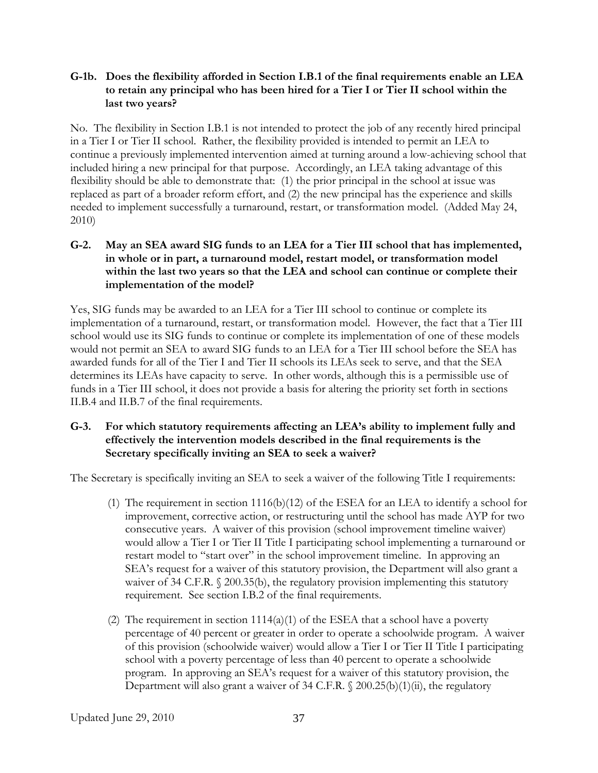#### **G-1b. Does the flexibility afforded in Section I.B.1 of the final requirements enable an LEA to retain any principal who has been hired for a Tier I or Tier II school within the last two years?**

No. The flexibility in Section I.B.1 is not intended to protect the job of any recently hired principal in a Tier I or Tier II school. Rather, the flexibility provided is intended to permit an LEA to continue a previously implemented intervention aimed at turning around a low-achieving school that included hiring a new principal for that purpose. Accordingly, an LEA taking advantage of this flexibility should be able to demonstrate that: (1) the prior principal in the school at issue was replaced as part of a broader reform effort, and (2) the new principal has the experience and skills needed to implement successfully a turnaround, restart, or transformation model. (Added May 24, 2010)

## **G-2. May an SEA award SIG funds to an LEA for a Tier III school that has implemented, in whole or in part, a turnaround model, restart model, or transformation model within the last two years so that the LEA and school can continue or complete their implementation of the model?**

Yes, SIG funds may be awarded to an LEA for a Tier III school to continue or complete its implementation of a turnaround, restart, or transformation model. However, the fact that a Tier III school would use its SIG funds to continue or complete its implementation of one of these models would not permit an SEA to award SIG funds to an LEA for a Tier III school before the SEA has awarded funds for all of the Tier I and Tier II schools its LEAs seek to serve, and that the SEA determines its LEAs have capacity to serve. In other words, although this is a permissible use of funds in a Tier III school, it does not provide a basis for altering the priority set forth in sections II.B.4 and II.B.7 of the final requirements.

#### **G-3. For which statutory requirements affecting an LEA's ability to implement fully and effectively the intervention models described in the final requirements is the Secretary specifically inviting an SEA to seek a waiver?**

The Secretary is specifically inviting an SEA to seek a waiver of the following Title I requirements:

- (1) The requirement in section 1116(b)(12) of the ESEA for an LEA to identify a school for improvement, corrective action, or restructuring until the school has made AYP for two consecutive years. A waiver of this provision (school improvement timeline waiver) would allow a Tier I or Tier II Title I participating school implementing a turnaround or restart model to "start over" in the school improvement timeline. In approving an SEA's request for a waiver of this statutory provision, the Department will also grant a waiver of 34 C.F.R. § 200.35(b), the regulatory provision implementing this statutory requirement. See section I.B.2 of the final requirements.
- (2) The requirement in section  $1114(a)(1)$  of the ESEA that a school have a poverty percentage of 40 percent or greater in order to operate a schoolwide program. A waiver of this provision (schoolwide waiver) would allow a Tier I or Tier II Title I participating school with a poverty percentage of less than 40 percent to operate a schoolwide program. In approving an SEA's request for a waiver of this statutory provision, the Department will also grant a waiver of 34 C.F.R. § 200.25(b)(1)(ii), the regulatory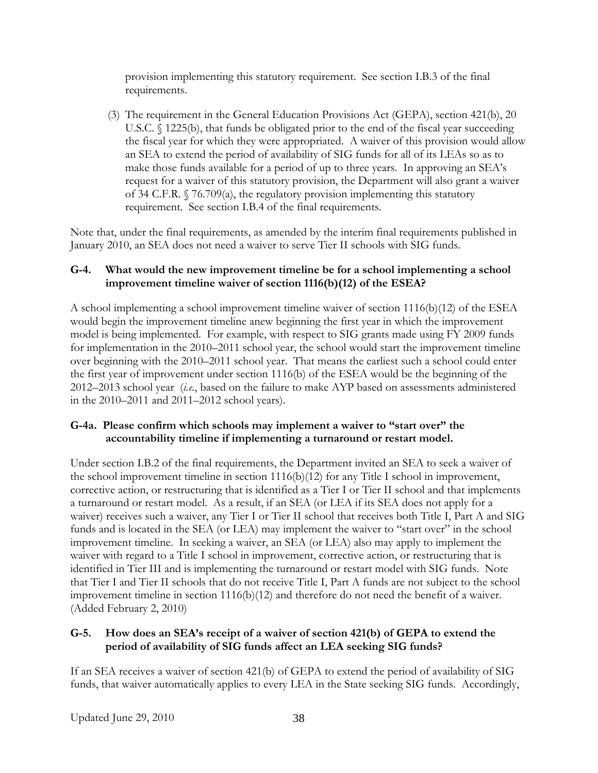provision implementing this statutory requirement. See section I.B.3 of the final requirements.

(3) The requirement in the General Education Provisions Act (GEPA), section 421(b), 20 U.S.C. § 1225(b), that funds be obligated prior to the end of the fiscal year succeeding the fiscal year for which they were appropriated. A waiver of this provision would allow an SEA to extend the period of availability of SIG funds for all of its LEAs so as to make those funds available for a period of up to three years. In approving an SEA's request for a waiver of this statutory provision, the Department will also grant a waiver of 34 C.F.R. § 76.709(a), the regulatory provision implementing this statutory requirement. See section I.B.4 of the final requirements.

Note that, under the final requirements, as amended by the interim final requirements published in January 2010, an SEA does not need a waiver to serve Tier II schools with SIG funds.

## **G-4. What would the new improvement timeline be for a school implementing a school improvement timeline waiver of section 1116(b)(12) of the ESEA?**

A school implementing a school improvement timeline waiver of section  $1116(b)(12)$  of the ESEA would begin the improvement timeline anew beginning the first year in which the improvement model is being implemented. For example, with respect to SIG grants made using FY 2009 funds for implementation in the 2010–2011 school year, the school would start the improvement timeline over beginning with the 2010–2011 school year. That means the earliest such a school could enter the first year of improvement under section 1116(b) of the ESEA would be the beginning of the 2012–2013 school year (*i.e.*, based on the failure to make AYP based on assessments administered in the 2010–2011 and 2011–2012 school years).

### **G-4a. Please confirm which schools may implement a waiver to "start over" the accountability timeline if implementing a turnaround or restart model.**

Under section I.B.2 of the final requirements, the Department invited an SEA to seek a waiver of the school improvement timeline in section 1116(b)(12) for any Title I school in improvement, corrective action, or restructuring that is identified as a Tier I or Tier II school and that implements a turnaround or restart model. As a result, if an SEA (or LEA if its SEA does not apply for a waiver) receives such a waiver, any Tier I or Tier II school that receives both Title I, Part A and SIG funds and is located in the SEA (or LEA) may implement the waiver to "start over" in the school improvement timeline. In seeking a waiver, an SEA (or LEA) also may apply to implement the waiver with regard to a Title I school in improvement, corrective action, or restructuring that is identified in Tier III and is implementing the turnaround or restart model with SIG funds. Note that Tier I and Tier II schools that do not receive Title I, Part A funds are not subject to the school improvement timeline in section 1116(b)(12) and therefore do not need the benefit of a waiver. (Added February 2, 2010)

## **G-5. How does an SEA's receipt of a waiver of section 421(b) of GEPA to extend the period of availability of SIG funds affect an LEA seeking SIG funds?**

If an SEA receives a waiver of section 421(b) of GEPA to extend the period of availability of SIG funds, that waiver automatically applies to every LEA in the State seeking SIG funds. Accordingly,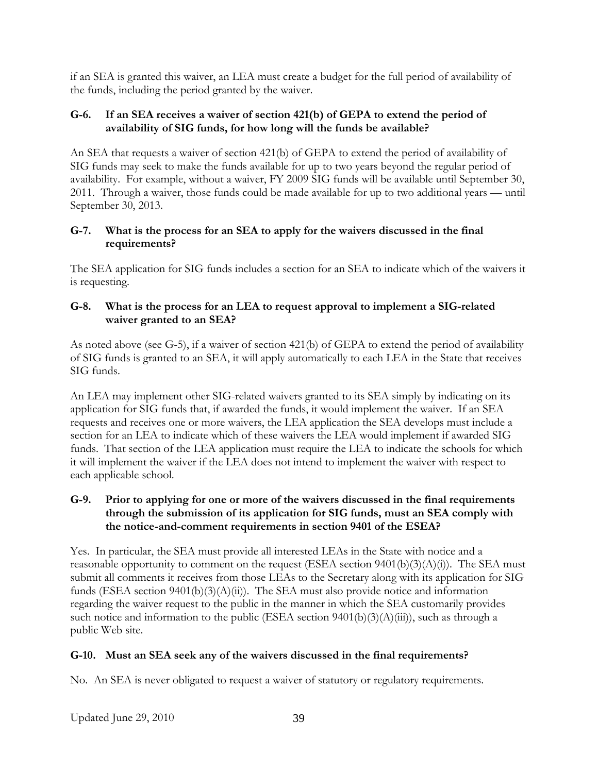if an SEA is granted this waiver, an LEA must create a budget for the full period of availability of the funds, including the period granted by the waiver.

## **G-6. If an SEA receives a waiver of section 421(b) of GEPA to extend the period of availability of SIG funds, for how long will the funds be available?**

An SEA that requests a waiver of section 421(b) of GEPA to extend the period of availability of SIG funds may seek to make the funds available for up to two years beyond the regular period of availability. For example, without a waiver, FY 2009 SIG funds will be available until September 30, 2011. Through a waiver, those funds could be made available for up to two additional years — until September 30, 2013.

## **G-7. What is the process for an SEA to apply for the waivers discussed in the final requirements?**

The SEA application for SIG funds includes a section for an SEA to indicate which of the waivers it is requesting.

## **G-8. What is the process for an LEA to request approval to implement a SIG-related waiver granted to an SEA?**

As noted above (see G-5), if a waiver of section 421(b) of GEPA to extend the period of availability of SIG funds is granted to an SEA, it will apply automatically to each LEA in the State that receives SIG funds.

An LEA may implement other SIG-related waivers granted to its SEA simply by indicating on its application for SIG funds that, if awarded the funds, it would implement the waiver. If an SEA requests and receives one or more waivers, the LEA application the SEA develops must include a section for an LEA to indicate which of these waivers the LEA would implement if awarded SIG funds. That section of the LEA application must require the LEA to indicate the schools for which it will implement the waiver if the LEA does not intend to implement the waiver with respect to each applicable school.

## **G-9. Prior to applying for one or more of the waivers discussed in the final requirements through the submission of its application for SIG funds, must an SEA comply with the notice-and-comment requirements in section 9401 of the ESEA?**

Yes. In particular, the SEA must provide all interested LEAs in the State with notice and a reasonable opportunity to comment on the request (ESEA section  $9401(b)(3)(A)(i)$ ). The SEA must submit all comments it receives from those LEAs to the Secretary along with its application for SIG funds (ESEA section  $9401(b)(3)(A)(ii)$ ). The SEA must also provide notice and information regarding the waiver request to the public in the manner in which the SEA customarily provides such notice and information to the public (ESEA section  $9401(b)(3)(A)(iii)$ ), such as through a public Web site.

# **G-10. Must an SEA seek any of the waivers discussed in the final requirements?**

No. An SEA is never obligated to request a waiver of statutory or regulatory requirements.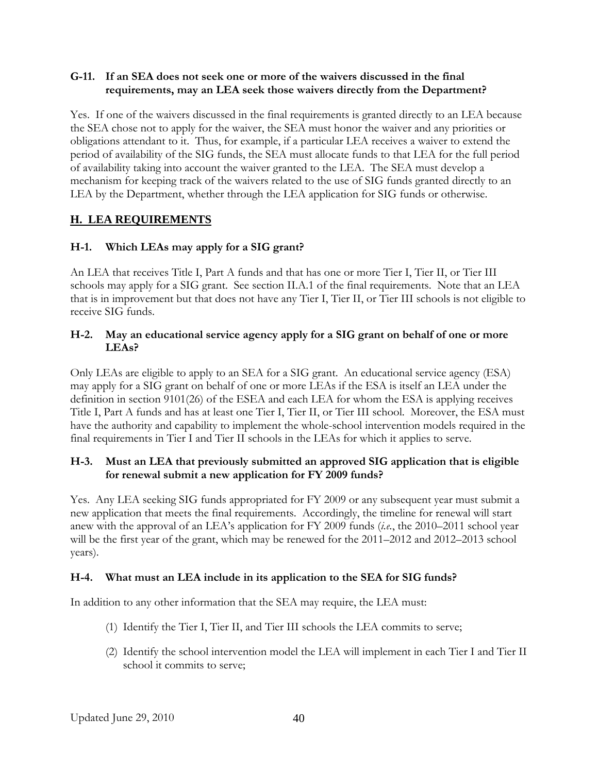### **G-11. If an SEA does not seek one or more of the waivers discussed in the final requirements, may an LEA seek those waivers directly from the Department?**

Yes. If one of the waivers discussed in the final requirements is granted directly to an LEA because the SEA chose not to apply for the waiver, the SEA must honor the waiver and any priorities or obligations attendant to it. Thus, for example, if a particular LEA receives a waiver to extend the period of availability of the SIG funds, the SEA must allocate funds to that LEA for the full period of availability taking into account the waiver granted to the LEA. The SEA must develop a mechanism for keeping track of the waivers related to the use of SIG funds granted directly to an LEA by the Department, whether through the LEA application for SIG funds or otherwise.

# **H. LEA REQUIREMENTS**

### **H-1. Which LEAs may apply for a SIG grant?**

An LEA that receives Title I, Part A funds and that has one or more Tier I, Tier II, or Tier III schools may apply for a SIG grant. See section II.A.1 of the final requirements. Note that an LEA that is in improvement but that does not have any Tier I, Tier II, or Tier III schools is not eligible to receive SIG funds.

#### **H-2. May an educational service agency apply for a SIG grant on behalf of one or more LEAs?**

Only LEAs are eligible to apply to an SEA for a SIG grant. An educational service agency (ESA) may apply for a SIG grant on behalf of one or more LEAs if the ESA is itself an LEA under the definition in section 9101(26) of the ESEA and each LEA for whom the ESA is applying receives Title I, Part A funds and has at least one Tier I, Tier II, or Tier III school. Moreover, the ESA must have the authority and capability to implement the whole-school intervention models required in the final requirements in Tier I and Tier II schools in the LEAs for which it applies to serve.

### **H-3. Must an LEA that previously submitted an approved SIG application that is eligible for renewal submit a new application for FY 2009 funds?**

Yes. Any LEA seeking SIG funds appropriated for FY 2009 or any subsequent year must submit a new application that meets the final requirements. Accordingly, the timeline for renewal will start anew with the approval of an LEA's application for FY 2009 funds (*i.e.*, the 2010–2011 school year will be the first year of the grant, which may be renewed for the 2011–2012 and 2012–2013 school years).

#### **H-4. What must an LEA include in its application to the SEA for SIG funds?**

In addition to any other information that the SEA may require, the LEA must:

- (1) Identify the Tier I, Tier II, and Tier III schools the LEA commits to serve;
- (2) Identify the school intervention model the LEA will implement in each Tier I and Tier II school it commits to serve;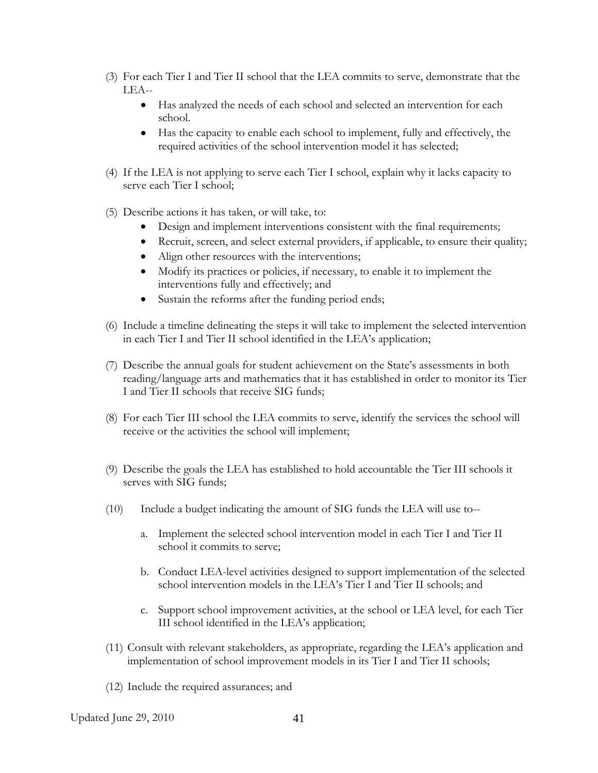- (3) For each Tier I and Tier II school that the LEA commits to serve, demonstrate that the LEA--
	- Has analyzed the needs of each school and selected an intervention for each school.
	- Has the capacity to enable each school to implement, fully and effectively, the required activities of the school intervention model it has selected;
- (4) If the LEA is not applying to serve each Tier I school, explain why it lacks capacity to serve each Tier I school;
- (5) Describe actions it has taken, or will take, to:
	- Design and implement interventions consistent with the final requirements;
	- Recruit, screen, and select external providers, if applicable, to ensure their quality;
	- Align other resources with the interventions;
	- Modify its practices or policies, if necessary, to enable it to implement the interventions fully and effectively; and
	- Sustain the reforms after the funding period ends;
- (6) Include a timeline delineating the steps it will take to implement the selected intervention in each Tier I and Tier II school identified in the LEA's application;
- (7) Describe the annual goals for student achievement on the State's assessments in both reading/language arts and mathematics that it has established in order to monitor its Tier I and Tier II schools that receive SIG funds;
- (8) For each Tier III school the LEA commits to serve, identify the services the school will receive or the activities the school will implement;
- (9) Describe the goals the LEA has established to hold accountable the Tier III schools it serves with SIG funds;
- (10) Include a budget indicating the amount of SIG funds the LEA will use to-
	- a. Implement the selected school intervention model in each Tier I and Tier II school it commits to serve;
	- b. Conduct LEA-level activities designed to support implementation of the selected school intervention models in the LEA's Tier I and Tier II schools; and
	- c. Support school improvement activities, at the school or LEA level, for each Tier III school identified in the LEA's application;
- (11) Consult with relevant stakeholders, as appropriate, regarding the LEA's application and implementation of school improvement models in its Tier I and Tier II schools;
- (12) Include the required assurances; and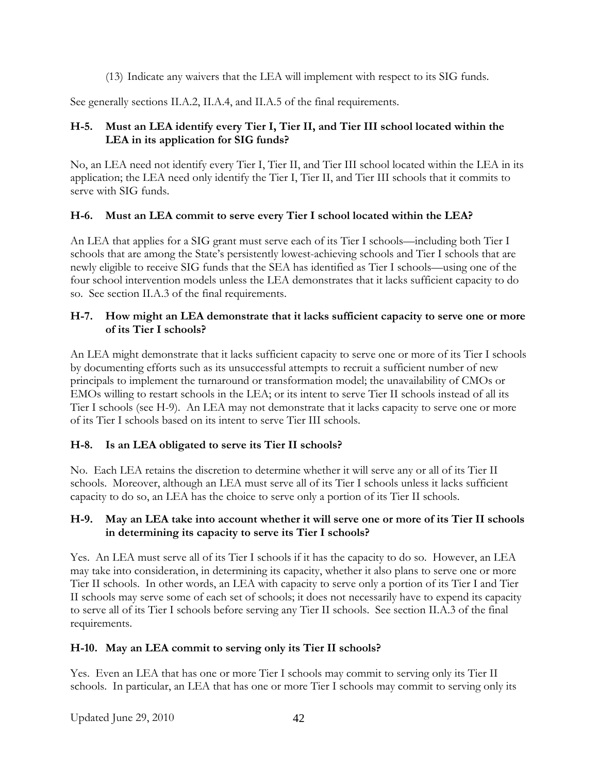(13) Indicate any waivers that the LEA will implement with respect to its SIG funds.

See generally sections II.A.2, II.A.4, and II.A.5 of the final requirements.

## **H-5. Must an LEA identify every Tier I, Tier II, and Tier III school located within the LEA in its application for SIG funds?**

No, an LEA need not identify every Tier I, Tier II, and Tier III school located within the LEA in its application; the LEA need only identify the Tier I, Tier II, and Tier III schools that it commits to serve with SIG funds.

### **H-6. Must an LEA commit to serve every Tier I school located within the LEA?**

An LEA that applies for a SIG grant must serve each of its Tier I schools—including both Tier I schools that are among the State's persistently lowest-achieving schools and Tier I schools that are newly eligible to receive SIG funds that the SEA has identified as Tier I schools—using one of the four school intervention models unless the LEA demonstrates that it lacks sufficient capacity to do so. See section II.A.3 of the final requirements.

#### **H-7. How might an LEA demonstrate that it lacks sufficient capacity to serve one or more of its Tier I schools?**

An LEA might demonstrate that it lacks sufficient capacity to serve one or more of its Tier I schools by documenting efforts such as its unsuccessful attempts to recruit a sufficient number of new principals to implement the turnaround or transformation model; the unavailability of CMOs or EMOs willing to restart schools in the LEA; or its intent to serve Tier II schools instead of all its Tier I schools (see H-9). An LEA may not demonstrate that it lacks capacity to serve one or more of its Tier I schools based on its intent to serve Tier III schools.

## **H-8. Is an LEA obligated to serve its Tier II schools?**

No. Each LEA retains the discretion to determine whether it will serve any or all of its Tier II schools. Moreover, although an LEA must serve all of its Tier I schools unless it lacks sufficient capacity to do so, an LEA has the choice to serve only a portion of its Tier II schools.

#### **H-9. May an LEA take into account whether it will serve one or more of its Tier II schools in determining its capacity to serve its Tier I schools?**

Yes. An LEA must serve all of its Tier I schools if it has the capacity to do so. However, an LEA may take into consideration, in determining its capacity, whether it also plans to serve one or more Tier II schools. In other words, an LEA with capacity to serve only a portion of its Tier I and Tier II schools may serve some of each set of schools; it does not necessarily have to expend its capacity to serve all of its Tier I schools before serving any Tier II schools. See section II.A.3 of the final requirements.

#### **H-10. May an LEA commit to serving only its Tier II schools?**

Yes. Even an LEA that has one or more Tier I schools may commit to serving only its Tier II schools. In particular, an LEA that has one or more Tier I schools may commit to serving only its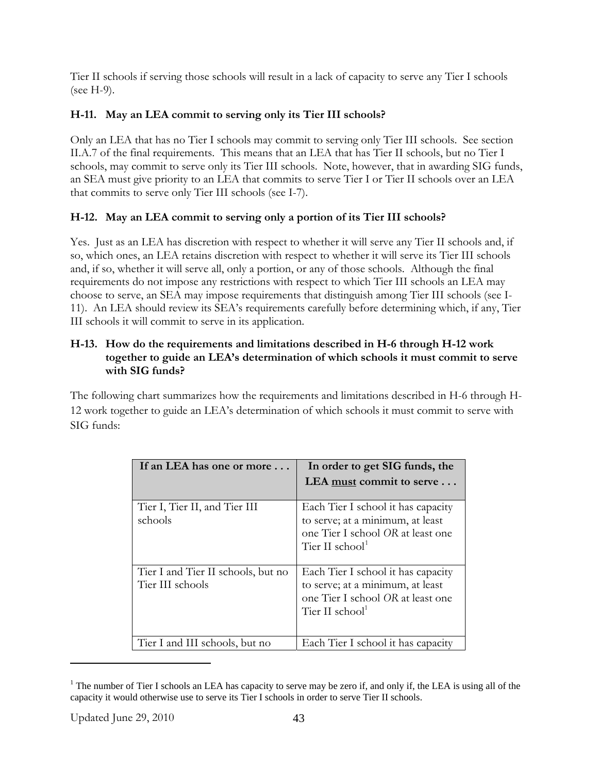Tier II schools if serving those schools will result in a lack of capacity to serve any Tier I schools (see H-9).

# **H-11. May an LEA commit to serving only its Tier III schools?**

Only an LEA that has no Tier I schools may commit to serving only Tier III schools. See section II.A.7 of the final requirements. This means that an LEA that has Tier II schools, but no Tier I schools, may commit to serve only its Tier III schools. Note, however, that in awarding SIG funds, an SEA must give priority to an LEA that commits to serve Tier I or Tier II schools over an LEA that commits to serve only Tier III schools (see I-7).

# **H-12. May an LEA commit to serving only a portion of its Tier III schools?**

Yes. Just as an LEA has discretion with respect to whether it will serve any Tier II schools and, if so, which ones, an LEA retains discretion with respect to whether it will serve its Tier III schools and, if so, whether it will serve all, only a portion, or any of those schools. Although the final requirements do not impose any restrictions with respect to which Tier III schools an LEA may choose to serve, an SEA may impose requirements that distinguish among Tier III schools (see I-11). An LEA should review its SEA's requirements carefully before determining which, if any, Tier III schools it will commit to serve in its application.

## **H-13. How do the requirements and limitations described in H-6 through H-12 work together to guide an LEA's determination of which schools it must commit to serve with SIG funds?**

The following chart summarizes how the requirements and limitations described in H-6 through H-12 work together to guide an LEA's determination of which schools it must commit to serve with SIG funds:

| If an LEA has one or more                              | In order to get SIG funds, the                                                                                                             |
|--------------------------------------------------------|--------------------------------------------------------------------------------------------------------------------------------------------|
|                                                        | LEA must commit to serve                                                                                                                   |
| Tier I, Tier II, and Tier III<br>schools               | Each Tier I school it has capacity<br>to serve; at a minimum, at least<br>one Tier I school OR at least one<br>Tier II school <sup>1</sup> |
| Tier I and Tier II schools, but no<br>Tier III schools | Each Tier I school it has capacity<br>to serve; at a minimum, at least<br>one Tier I school OR at least one<br>Tier II school <sup>1</sup> |
| Tier I and III schools, but no                         | Each Tier I school it has capacity                                                                                                         |

<span id="page-58-0"></span><sup>&</sup>lt;sup>1</sup> The number of Tier I schools an LEA has capacity to serve may be zero if, and only if, the LEA is using all of the capacity it would otherwise use to serve its Tier I schools in order to serve Tier II schools.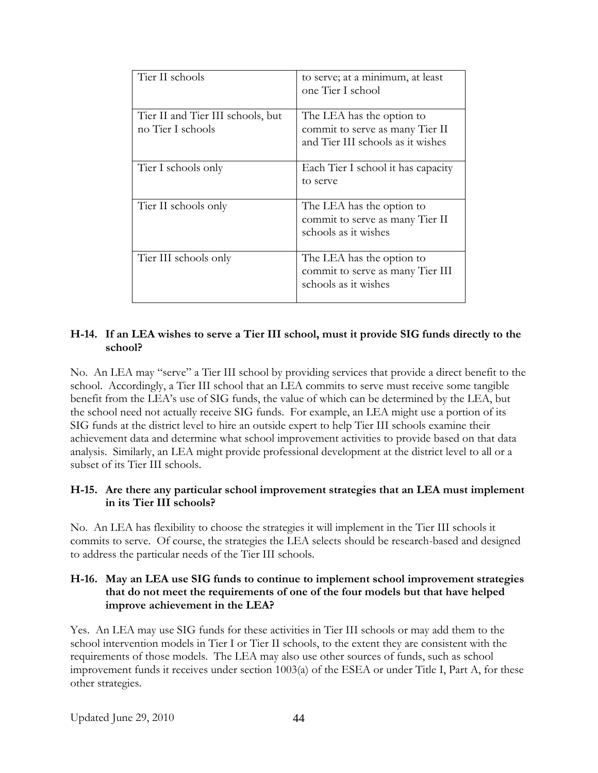| Tier II schools                                        | to serve; at a minimum, at least<br>one Tier I school                                             |
|--------------------------------------------------------|---------------------------------------------------------------------------------------------------|
| Tier II and Tier III schools, but<br>no Tier I schools | The LEA has the option to<br>commit to serve as many Tier II<br>and Tier III schools as it wishes |
| Tier I schools only                                    | Each Tier I school it has capacity<br>to serve                                                    |
| Tier II schools only                                   | The LEA has the option to<br>commit to serve as many Tier II<br>schools as it wishes              |
| Tier III schools only                                  | The LEA has the option to<br>commit to serve as many Tier III<br>schools as it wishes             |

### **H-14. If an LEA wishes to serve a Tier III school, must it provide SIG funds directly to the school?**

No. An LEA may "serve" a Tier III school by providing services that provide a direct benefit to the school. Accordingly, a Tier III school that an LEA commits to serve must receive some tangible benefit from the LEA's use of SIG funds, the value of which can be determined by the LEA, but the school need not actually receive SIG funds. For example, an LEA might use a portion of its SIG funds at the district level to hire an outside expert to help Tier III schools examine their achievement data and determine what school improvement activities to provide based on that data analysis. Similarly, an LEA might provide professional development at the district level to all or a subset of its Tier III schools.

### **H-15. Are there any particular school improvement strategies that an LEA must implement in its Tier III schools?**

No. An LEA has flexibility to choose the strategies it will implement in the Tier III schools it commits to serve. Of course, the strategies the LEA selects should be research-based and designed to address the particular needs of the Tier III schools.

#### **H-16. May an LEA use SIG funds to continue to implement school improvement strategies that do not meet the requirements of one of the four models but that have helped improve achievement in the LEA?**

Yes. An LEA may use SIG funds for these activities in Tier III schools or may add them to the school intervention models in Tier I or Tier II schools, to the extent they are consistent with the requirements of those models. The LEA may also use other sources of funds, such as school improvement funds it receives under section 1003(a) of the ESEA or under Title I, Part A, for these other strategies.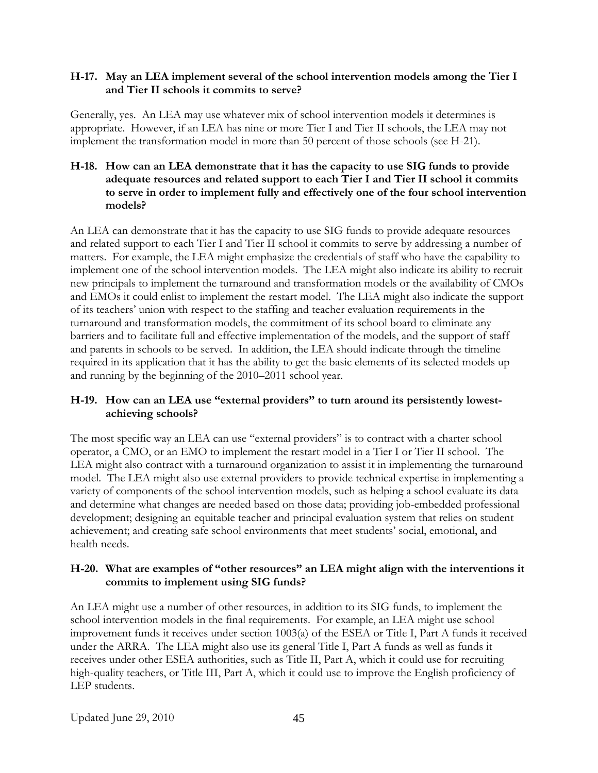#### **H-17. May an LEA implement several of the school intervention models among the Tier I and Tier II schools it commits to serve?**

Generally, yes. An LEA may use whatever mix of school intervention models it determines is appropriate. However, if an LEA has nine or more Tier I and Tier II schools, the LEA may not implement the transformation model in more than 50 percent of those schools (see H-21).

#### **H-18. How can an LEA demonstrate that it has the capacity to use SIG funds to provide adequate resources and related support to each Tier I and Tier II school it commits to serve in order to implement fully and effectively one of the four school intervention models?**

An LEA can demonstrate that it has the capacity to use SIG funds to provide adequate resources and related support to each Tier I and Tier II school it commits to serve by addressing a number of matters. For example, the LEA might emphasize the credentials of staff who have the capability to implement one of the school intervention models. The LEA might also indicate its ability to recruit new principals to implement the turnaround and transformation models or the availability of CMOs and EMOs it could enlist to implement the restart model. The LEA might also indicate the support of its teachers' union with respect to the staffing and teacher evaluation requirements in the turnaround and transformation models, the commitment of its school board to eliminate any barriers and to facilitate full and effective implementation of the models, and the support of staff and parents in schools to be served. In addition, the LEA should indicate through the timeline required in its application that it has the ability to get the basic elements of its selected models up and running by the beginning of the 2010–2011 school year.

### **H-19. How can an LEA use "external providers" to turn around its persistently lowestachieving schools?**

The most specific way an LEA can use "external providers" is to contract with a charter school operator, a CMO, or an EMO to implement the restart model in a Tier I or Tier II school. The LEA might also contract with a turnaround organization to assist it in implementing the turnaround model. The LEA might also use external providers to provide technical expertise in implementing a variety of components of the school intervention models, such as helping a school evaluate its data and determine what changes are needed based on those data; providing job-embedded professional development; designing an equitable teacher and principal evaluation system that relies on student achievement; and creating safe school environments that meet students' social, emotional, and health needs.

### **H-20. What are examples of "other resources" an LEA might align with the interventions it commits to implement using SIG funds?**

An LEA might use a number of other resources, in addition to its SIG funds, to implement the school intervention models in the final requirements. For example, an LEA might use school improvement funds it receives under section 1003(a) of the ESEA or Title I, Part A funds it received under the ARRA. The LEA might also use its general Title I, Part A funds as well as funds it receives under other ESEA authorities, such as Title II, Part A, which it could use for recruiting high-quality teachers, or Title III, Part A, which it could use to improve the English proficiency of LEP students.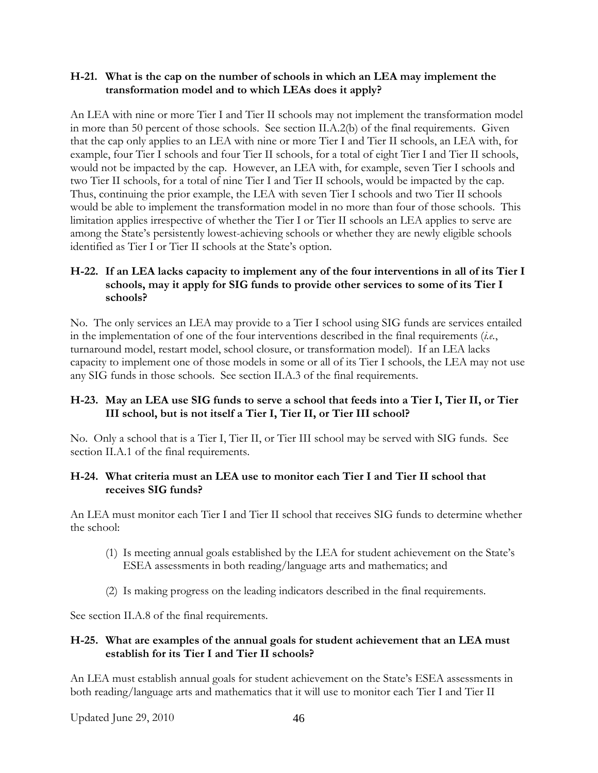#### **H-21. What is the cap on the number of schools in which an LEA may implement the transformation model and to which LEAs does it apply?**

An LEA with nine or more Tier I and Tier II schools may not implement the transformation model in more than 50 percent of those schools. See section II.A.2(b) of the final requirements. Given that the cap only applies to an LEA with nine or more Tier I and Tier II schools, an LEA with, for example, four Tier I schools and four Tier II schools, for a total of eight Tier I and Tier II schools, would not be impacted by the cap. However, an LEA with, for example, seven Tier I schools and two Tier II schools, for a total of nine Tier I and Tier II schools, would be impacted by the cap. Thus, continuing the prior example, the LEA with seven Tier I schools and two Tier II schools would be able to implement the transformation model in no more than four of those schools. This limitation applies irrespective of whether the Tier I or Tier II schools an LEA applies to serve are among the State's persistently lowest-achieving schools or whether they are newly eligible schools identified as Tier I or Tier II schools at the State's option.

## **H-22. If an LEA lacks capacity to implement any of the four interventions in all of its Tier I schools, may it apply for SIG funds to provide other services to some of its Tier I schools?**

No. The only services an LEA may provide to a Tier I school using SIG funds are services entailed in the implementation of one of the four interventions described in the final requirements (*i.e.*, turnaround model, restart model, school closure, or transformation model). If an LEA lacks capacity to implement one of those models in some or all of its Tier I schools, the LEA may not use any SIG funds in those schools. See section II.A.3 of the final requirements.

### **H-23. May an LEA use SIG funds to serve a school that feeds into a Tier I, Tier II, or Tier III school, but is not itself a Tier I, Tier II, or Tier III school?**

No. Only a school that is a Tier I, Tier II, or Tier III school may be served with SIG funds. See section II.A.1 of the final requirements.

#### **H-24. What criteria must an LEA use to monitor each Tier I and Tier II school that receives SIG funds?**

An LEA must monitor each Tier I and Tier II school that receives SIG funds to determine whether the school:

- (1) Is meeting annual goals established by the LEA for student achievement on the State's ESEA assessments in both reading/language arts and mathematics; and
- (2) Is making progress on the leading indicators described in the final requirements.

See section II.A.8 of the final requirements.

#### **H-25. What are examples of the annual goals for student achievement that an LEA must establish for its Tier I and Tier II schools?**

An LEA must establish annual goals for student achievement on the State's ESEA assessments in both reading/language arts and mathematics that it will use to monitor each Tier I and Tier II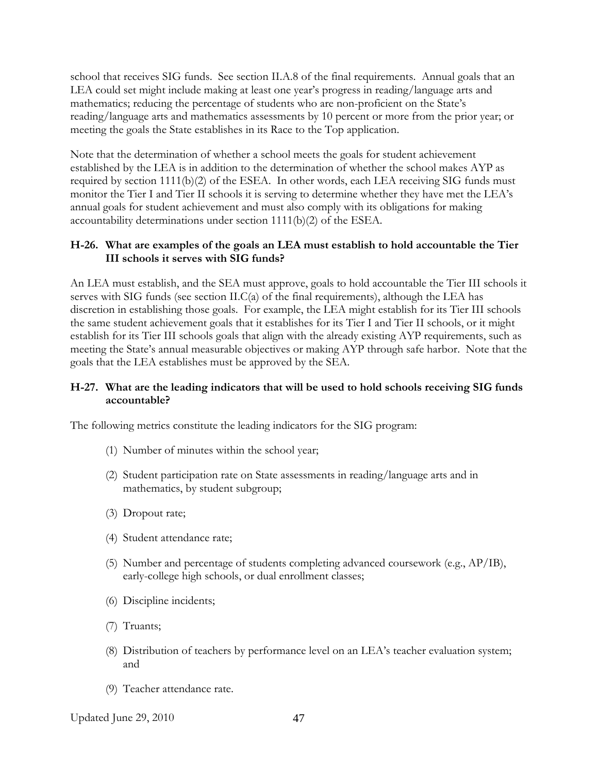school that receives SIG funds. See section II.A.8 of the final requirements. Annual goals that an LEA could set might include making at least one year's progress in reading/language arts and mathematics; reducing the percentage of students who are non-proficient on the State's reading/language arts and mathematics assessments by 10 percent or more from the prior year; or meeting the goals the State establishes in its Race to the Top application.

Note that the determination of whether a school meets the goals for student achievement established by the LEA is in addition to the determination of whether the school makes AYP as required by section 1111(b)(2) of the ESEA. In other words, each LEA receiving SIG funds must monitor the Tier I and Tier II schools it is serving to determine whether they have met the LEA's annual goals for student achievement and must also comply with its obligations for making accountability determinations under section 1111(b)(2) of the ESEA.

#### **H-26. What are examples of the goals an LEA must establish to hold accountable the Tier III schools it serves with SIG funds?**

An LEA must establish, and the SEA must approve, goals to hold accountable the Tier III schools it serves with SIG funds (see section II.C(a) of the final requirements), although the LEA has discretion in establishing those goals. For example, the LEA might establish for its Tier III schools the same student achievement goals that it establishes for its Tier I and Tier II schools, or it might establish for its Tier III schools goals that align with the already existing AYP requirements, such as meeting the State's annual measurable objectives or making AYP through safe harbor. Note that the goals that the LEA establishes must be approved by the SEA.

#### **H-27. What are the leading indicators that will be used to hold schools receiving SIG funds accountable?**

The following metrics constitute the leading indicators for the SIG program:

- (1) Number of minutes within the school year;
- (2) Student participation rate on State assessments in reading/language arts and in mathematics, by student subgroup;
- (3) Dropout rate;
- (4) Student attendance rate;
- (5) Number and percentage of students completing advanced coursework (e.g., AP/IB), early-college high schools, or dual enrollment classes;
- (6) Discipline incidents;
- (7) Truants;
- (8) Distribution of teachers by performance level on an LEA's teacher evaluation system; and
- (9) Teacher attendance rate.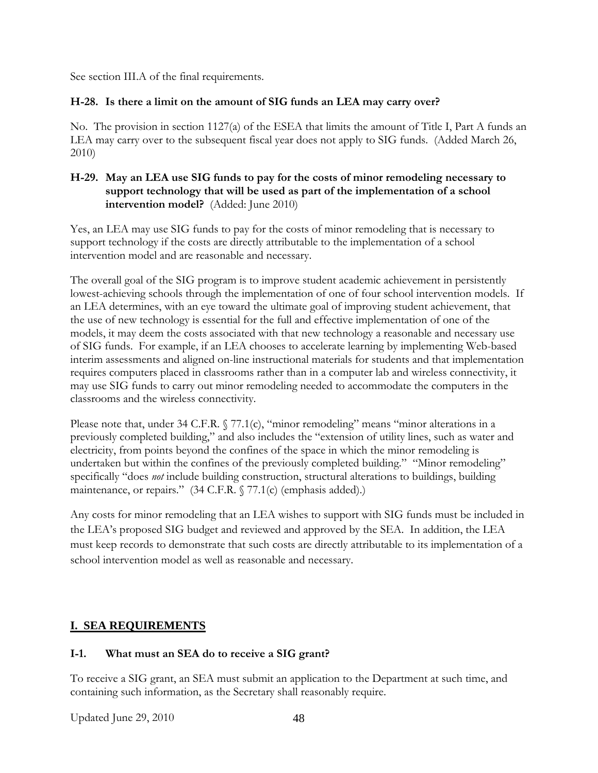See section III.A of the final requirements.

### **H-28. Is there a limit on the amount of SIG funds an LEA may carry over?**

No. The provision in section 1127(a) of the ESEA that limits the amount of Title I, Part A funds an LEA may carry over to the subsequent fiscal year does not apply to SIG funds. (Added March 26, 2010)

## **H-29. May an LEA use SIG funds to pay for the costs of minor remodeling necessary to support technology that will be used as part of the implementation of a school intervention model?** (Added: June 2010)

Yes, an LEA may use SIG funds to pay for the costs of minor remodeling that is necessary to support technology if the costs are directly attributable to the implementation of a school intervention model and are reasonable and necessary.

The overall goal of the SIG program is to improve student academic achievement in persistently lowest-achieving schools through the implementation of one of four school intervention models. If an LEA determines, with an eye toward the ultimate goal of improving student achievement, that the use of new technology is essential for the full and effective implementation of one of the models, it may deem the costs associated with that new technology a reasonable and necessary use of SIG funds. For example, if an LEA chooses to accelerate learning by implementing Web-based interim assessments and aligned on-line instructional materials for students and that implementation requires computers placed in classrooms rather than in a computer lab and wireless connectivity, it may use SIG funds to carry out minor remodeling needed to accommodate the computers in the classrooms and the wireless connectivity.

Please note that, under 34 C.F.R. § 77.1(c), "minor remodeling" means "minor alterations in a previously completed building," and also includes the "extension of utility lines, such as water and electricity, from points beyond the confines of the space in which the minor remodeling is undertaken but within the confines of the previously completed building." "Minor remodeling" specifically "does *not* include building construction, structural alterations to buildings, building maintenance, or repairs." (34 C.F.R. § 77.1(c) (emphasis added).)

Any costs for minor remodeling that an LEA wishes to support with SIG funds must be included in the LEA's proposed SIG budget and reviewed and approved by the SEA. In addition, the LEA must keep records to demonstrate that such costs are directly attributable to its implementation of a school intervention model as well as reasonable and necessary.

# **I. SEA REQUIREMENTS**

## **I-1. What must an SEA do to receive a SIG grant?**

To receive a SIG grant, an SEA must submit an application to the Department at such time, and containing such information, as the Secretary shall reasonably require.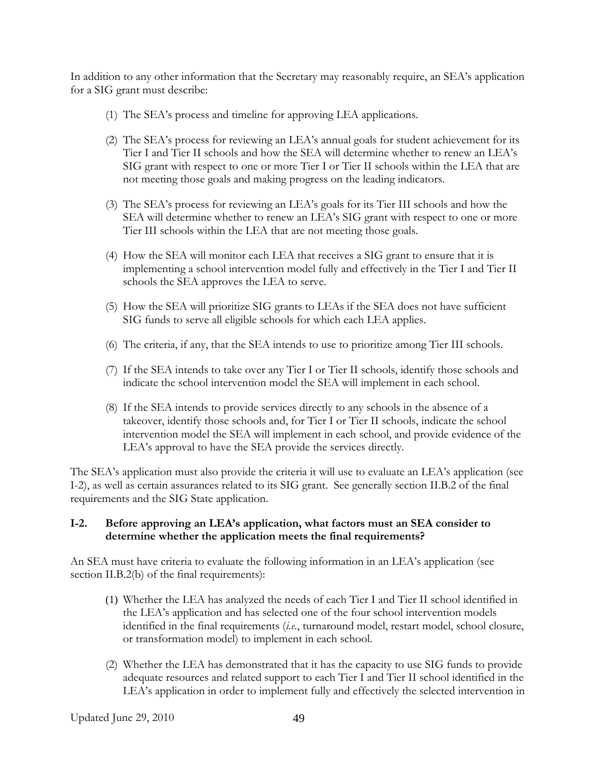In addition to any other information that the Secretary may reasonably require, an SEA's application for a SIG grant must describe:

- (1) The SEA's process and timeline for approving LEA applications.
- (2) The SEA's process for reviewing an LEA's annual goals for student achievement for its Tier I and Tier II schools and how the SEA will determine whether to renew an LEA's SIG grant with respect to one or more Tier I or Tier II schools within the LEA that are not meeting those goals and making progress on the leading indicators.
- (3) The SEA's process for reviewing an LEA's goals for its Tier III schools and how the SEA will determine whether to renew an LEA's SIG grant with respect to one or more Tier III schools within the LEA that are not meeting those goals.
- (4) How the SEA will monitor each LEA that receives a SIG grant to ensure that it is implementing a school intervention model fully and effectively in the Tier I and Tier II schools the SEA approves the LEA to serve.
- (5) How the SEA will prioritize SIG grants to LEAs if the SEA does not have sufficient SIG funds to serve all eligible schools for which each LEA applies.
- (6) The criteria, if any, that the SEA intends to use to prioritize among Tier III schools.
- (7) If the SEA intends to take over any Tier I or Tier II schools, identify those schools and indicate the school intervention model the SEA will implement in each school.
- (8) If the SEA intends to provide services directly to any schools in the absence of a takeover, identify those schools and, for Tier I or Tier II schools, indicate the school intervention model the SEA will implement in each school, and provide evidence of the LEA's approval to have the SEA provide the services directly.

The SEA's application must also provide the criteria it will use to evaluate an LEA's application (see I-2), as well as certain assurances related to its SIG grant. See generally section II.B.2 of the final requirements and the SIG State application.

### **I-2. Before approving an LEA's application, what factors must an SEA consider to determine whether the application meets the final requirements?**

An SEA must have criteria to evaluate the following information in an LEA's application (see section II.B.2(b) of the final requirements):

- (1) Whether the LEA has analyzed the needs of each Tier I and Tier II school identified in the LEA's application and has selected one of the four school intervention models identified in the final requirements (*i.e.*, turnaround model, restart model, school closure, or transformation model) to implement in each school.
- (2) Whether the LEA has demonstrated that it has the capacity to use SIG funds to provide adequate resources and related support to each Tier I and Tier II school identified in the LEA's application in order to implement fully and effectively the selected intervention in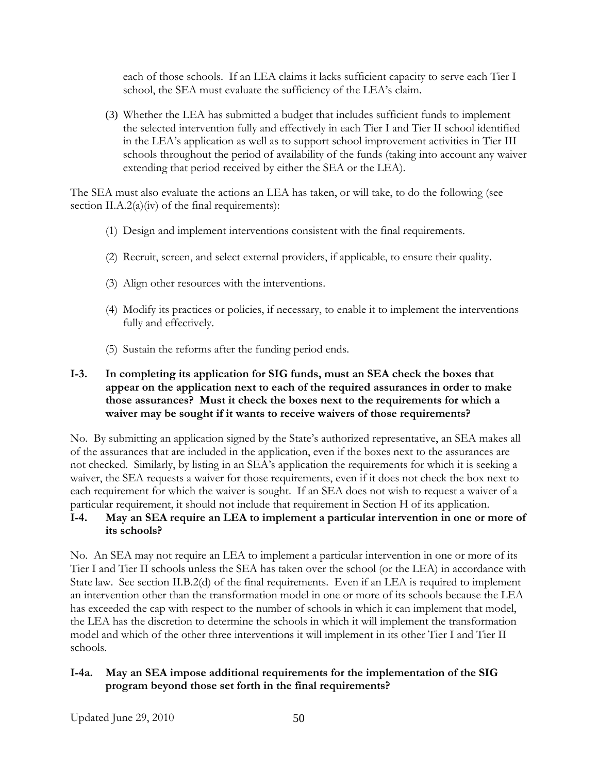each of those schools. If an LEA claims it lacks sufficient capacity to serve each Tier I school, the SEA must evaluate the sufficiency of the LEA's claim.

(3) Whether the LEA has submitted a budget that includes sufficient funds to implement the selected intervention fully and effectively in each Tier I and Tier II school identified in the LEA's application as well as to support school improvement activities in Tier III schools throughout the period of availability of the funds (taking into account any waiver extending that period received by either the SEA or the LEA).

The SEA must also evaluate the actions an LEA has taken, or will take, to do the following (see section II.A.2(a)(iv) of the final requirements):

- (1) Design and implement interventions consistent with the final requirements.
- (2) Recruit, screen, and select external providers, if applicable, to ensure their quality.
- (3) Align other resources with the interventions.
- (4) Modify its practices or policies, if necessary, to enable it to implement the interventions fully and effectively.
- (5) Sustain the reforms after the funding period ends.

### **I-3. In completing its application for SIG funds, must an SEA check the boxes that appear on the application next to each of the required assurances in order to make those assurances? Must it check the boxes next to the requirements for which a waiver may be sought if it wants to receive waivers of those requirements?**

No. By submitting an application signed by the State's authorized representative, an SEA makes all of the assurances that are included in the application, even if the boxes next to the assurances are not checked. Similarly, by listing in an SEA's application the requirements for which it is seeking a waiver, the SEA requests a waiver for those requirements, even if it does not check the box next to each requirement for which the waiver is sought. If an SEA does not wish to request a waiver of a particular requirement, it should not include that requirement in Section H of its application.

#### **I-4. May an SEA require an LEA to implement a particular intervention in one or more of its schools?**

No. An SEA may not require an LEA to implement a particular intervention in one or more of its Tier I and Tier II schools unless the SEA has taken over the school (or the LEA) in accordance with State law. See section II.B.2(d) of the final requirements. Even if an LEA is required to implement an intervention other than the transformation model in one or more of its schools because the LEA has exceeded the cap with respect to the number of schools in which it can implement that model, the LEA has the discretion to determine the schools in which it will implement the transformation model and which of the other three interventions it will implement in its other Tier I and Tier II schools.

## **I-4a. May an SEA impose additional requirements for the implementation of the SIG program beyond those set forth in the final requirements?**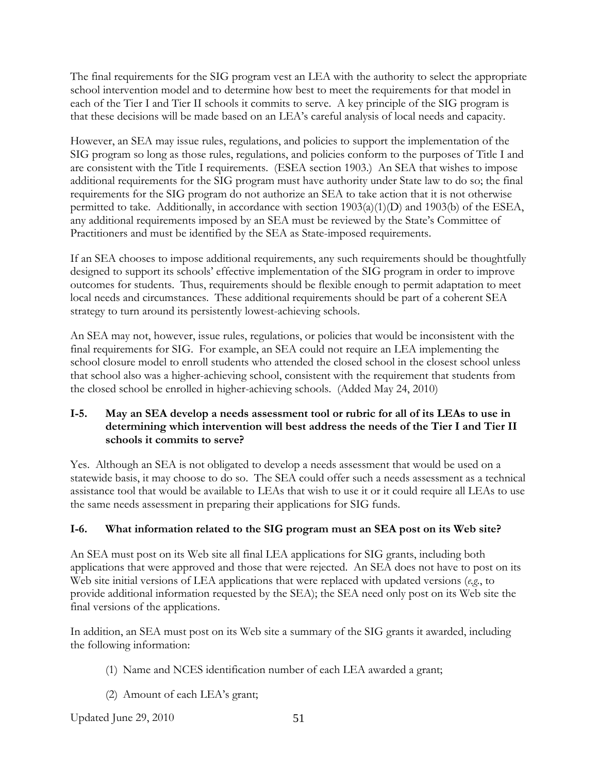The final requirements for the SIG program vest an LEA with the authority to select the appropriate school intervention model and to determine how best to meet the requirements for that model in each of the Tier I and Tier II schools it commits to serve. A key principle of the SIG program is that these decisions will be made based on an LEA's careful analysis of local needs and capacity.

However, an SEA may issue rules, regulations, and policies to support the implementation of the SIG program so long as those rules, regulations, and policies conform to the purposes of Title I and are consistent with the Title I requirements. (ESEA section 1903.) An SEA that wishes to impose additional requirements for the SIG program must have authority under State law to do so; the final requirements for the SIG program do not authorize an SEA to take action that it is not otherwise permitted to take. Additionally, in accordance with section 1903(a)(1)(D) and 1903(b) of the ESEA, any additional requirements imposed by an SEA must be reviewed by the State's Committee of Practitioners and must be identified by the SEA as State-imposed requirements.

If an SEA chooses to impose additional requirements, any such requirements should be thoughtfully designed to support its schools' effective implementation of the SIG program in order to improve outcomes for students. Thus, requirements should be flexible enough to permit adaptation to meet local needs and circumstances. These additional requirements should be part of a coherent SEA strategy to turn around its persistently lowest-achieving schools.

An SEA may not, however, issue rules, regulations, or policies that would be inconsistent with the final requirements for SIG. For example, an SEA could not require an LEA implementing the school closure model to enroll students who attended the closed school in the closest school unless that school also was a higher-achieving school, consistent with the requirement that students from the closed school be enrolled in higher-achieving schools. (Added May 24, 2010)

## **I-5. May an SEA develop a needs assessment tool or rubric for all of its LEAs to use in determining which intervention will best address the needs of the Tier I and Tier II schools it commits to serve?**

Yes. Although an SEA is not obligated to develop a needs assessment that would be used on a statewide basis, it may choose to do so. The SEA could offer such a needs assessment as a technical assistance tool that would be available to LEAs that wish to use it or it could require all LEAs to use the same needs assessment in preparing their applications for SIG funds.

# **I-6. What information related to the SIG program must an SEA post on its Web site?**

An SEA must post on its Web site all final LEA applications for SIG grants, including both applications that were approved and those that were rejected. An SEA does not have to post on its Web site initial versions of LEA applications that were replaced with updated versions (*e.g.*, to provide additional information requested by the SEA); the SEA need only post on its Web site the final versions of the applications.

In addition, an SEA must post on its Web site a summary of the SIG grants it awarded, including the following information:

- (1) Name and NCES identification number of each LEA awarded a grant;
- (2) Amount of each LEA's grant;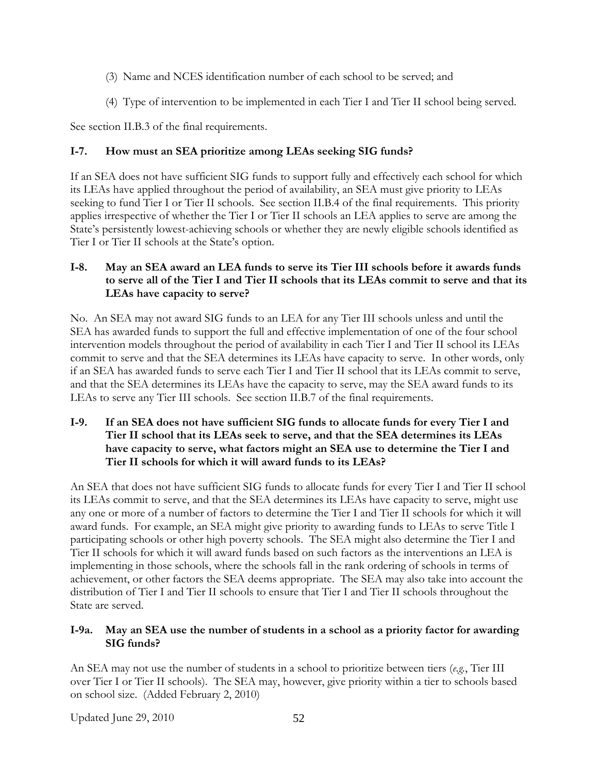- (3) Name and NCES identification number of each school to be served; and
- (4) Type of intervention to be implemented in each Tier I and Tier II school being served.

See section II.B.3 of the final requirements.

# **I-7. How must an SEA prioritize among LEAs seeking SIG funds?**

If an SEA does not have sufficient SIG funds to support fully and effectively each school for which its LEAs have applied throughout the period of availability, an SEA must give priority to LEAs seeking to fund Tier I or Tier II schools. See section II.B.4 of the final requirements. This priority applies irrespective of whether the Tier I or Tier II schools an LEA applies to serve are among the State's persistently lowest-achieving schools or whether they are newly eligible schools identified as Tier I or Tier II schools at the State's option.

## **I-8. May an SEA award an LEA funds to serve its Tier III schools before it awards funds to serve all of the Tier I and Tier II schools that its LEAs commit to serve and that its LEAs have capacity to serve?**

No. An SEA may not award SIG funds to an LEA for any Tier III schools unless and until the SEA has awarded funds to support the full and effective implementation of one of the four school intervention models throughout the period of availability in each Tier I and Tier II school its LEAs commit to serve and that the SEA determines its LEAs have capacity to serve. In other words, only if an SEA has awarded funds to serve each Tier I and Tier II school that its LEAs commit to serve, and that the SEA determines its LEAs have the capacity to serve, may the SEA award funds to its LEAs to serve any Tier III schools. See section II.B.7 of the final requirements.

## **I-9. If an SEA does not have sufficient SIG funds to allocate funds for every Tier I and Tier II school that its LEAs seek to serve, and that the SEA determines its LEAs have capacity to serve, what factors might an SEA use to determine the Tier I and Tier II schools for which it will award funds to its LEAs?**

An SEA that does not have sufficient SIG funds to allocate funds for every Tier I and Tier II school its LEAs commit to serve, and that the SEA determines its LEAs have capacity to serve, might use any one or more of a number of factors to determine the Tier I and Tier II schools for which it will award funds. For example, an SEA might give priority to awarding funds to LEAs to serve Title I participating schools or other high poverty schools. The SEA might also determine the Tier I and Tier II schools for which it will award funds based on such factors as the interventions an LEA is implementing in those schools, where the schools fall in the rank ordering of schools in terms of achievement, or other factors the SEA deems appropriate. The SEA may also take into account the distribution of Tier I and Tier II schools to ensure that Tier I and Tier II schools throughout the State are served.

## **I-9a. May an SEA use the number of students in a school as a priority factor for awarding SIG funds?**

An SEA may not use the number of students in a school to prioritize between tiers (*e.g.*, Tier III over Tier I or Tier II schools). The SEA may, however, give priority within a tier to schools based on school size. (Added February 2, 2010)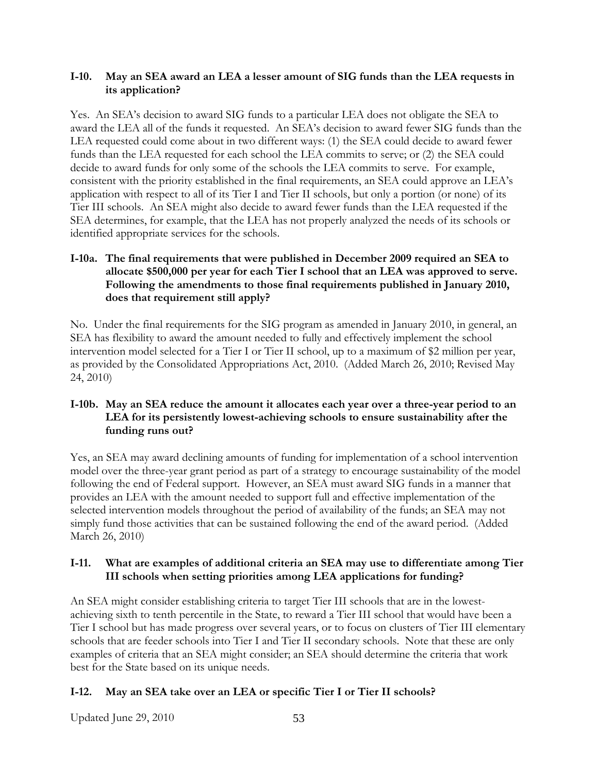#### **I-10. May an SEA award an LEA a lesser amount of SIG funds than the LEA requests in its application?**

Yes. An SEA's decision to award SIG funds to a particular LEA does not obligate the SEA to award the LEA all of the funds it requested. An SEA's decision to award fewer SIG funds than the LEA requested could come about in two different ways: (1) the SEA could decide to award fewer funds than the LEA requested for each school the LEA commits to serve; or (2) the SEA could decide to award funds for only some of the schools the LEA commits to serve. For example, consistent with the priority established in the final requirements, an SEA could approve an LEA's application with respect to all of its Tier I and Tier II schools, but only a portion (or none) of its Tier III schools. An SEA might also decide to award fewer funds than the LEA requested if the SEA determines, for example, that the LEA has not properly analyzed the needs of its schools or identified appropriate services for the schools.

## **I-10a. The final requirements that were published in December 2009 required an SEA to allocate \$500,000 per year for each Tier I school that an LEA was approved to serve. Following the amendments to those final requirements published in January 2010, does that requirement still apply?**

No. Under the final requirements for the SIG program as amended in January 2010, in general, an SEA has flexibility to award the amount needed to fully and effectively implement the school intervention model selected for a Tier I or Tier II school, up to a maximum of \$2 million per year, as provided by the Consolidated Appropriations Act, 2010. (Added March 26, 2010; Revised May 24, 2010)

## **I-10b. May an SEA reduce the amount it allocates each year over a three-year period to an LEA for its persistently lowest-achieving schools to ensure sustainability after the funding runs out?**

Yes, an SEA may award declining amounts of funding for implementation of a school intervention model over the three-year grant period as part of a strategy to encourage sustainability of the model following the end of Federal support. However, an SEA must award SIG funds in a manner that provides an LEA with the amount needed to support full and effective implementation of the selected intervention models throughout the period of availability of the funds; an SEA may not simply fund those activities that can be sustained following the end of the award period. (Added March 26, 2010)

### **I-11. What are examples of additional criteria an SEA may use to differentiate among Tier III schools when setting priorities among LEA applications for funding?**

An SEA might consider establishing criteria to target Tier III schools that are in the lowestachieving sixth to tenth percentile in the State, to reward a Tier III school that would have been a Tier I school but has made progress over several years, or to focus on clusters of Tier III elementary schools that are feeder schools into Tier I and Tier II secondary schools. Note that these are only examples of criteria that an SEA might consider; an SEA should determine the criteria that work best for the State based on its unique needs.

## **I-12. May an SEA take over an LEA or specific Tier I or Tier II schools?**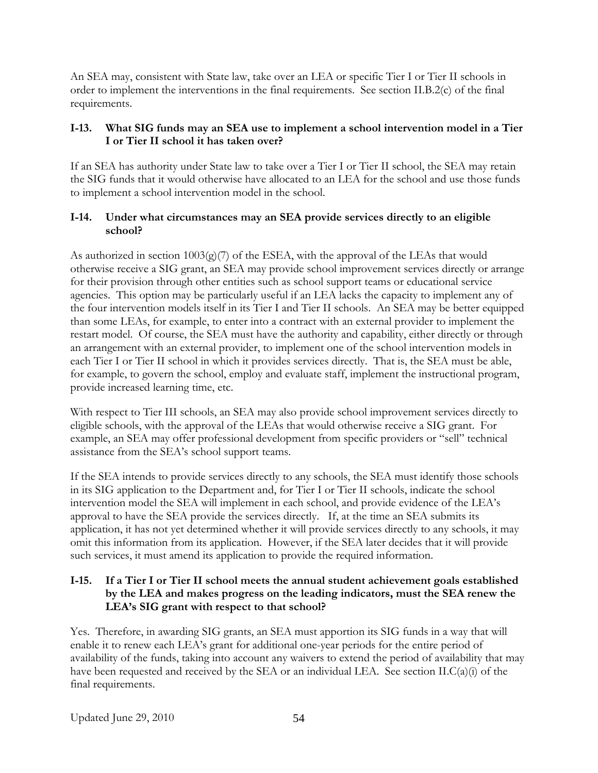An SEA may, consistent with State law, take over an LEA or specific Tier I or Tier II schools in order to implement the interventions in the final requirements. See section II.B.2(c) of the final requirements.

## **I-13. What SIG funds may an SEA use to implement a school intervention model in a Tier I or Tier II school it has taken over?**

If an SEA has authority under State law to take over a Tier I or Tier II school, the SEA may retain the SIG funds that it would otherwise have allocated to an LEA for the school and use those funds to implement a school intervention model in the school.

### **I-14. Under what circumstances may an SEA provide services directly to an eligible school?**

As authorized in section  $1003(g)(7)$  of the ESEA, with the approval of the LEAs that would otherwise receive a SIG grant, an SEA may provide school improvement services directly or arrange for their provision through other entities such as school support teams or educational service agencies. This option may be particularly useful if an LEA lacks the capacity to implement any of the four intervention models itself in its Tier I and Tier II schools. An SEA may be better equipped than some LEAs, for example, to enter into a contract with an external provider to implement the restart model. Of course, the SEA must have the authority and capability, either directly or through an arrangement with an external provider, to implement one of the school intervention models in each Tier I or Tier II school in which it provides services directly. That is, the SEA must be able, for example, to govern the school, employ and evaluate staff, implement the instructional program, provide increased learning time, etc.

With respect to Tier III schools, an SEA may also provide school improvement services directly to eligible schools, with the approval of the LEAs that would otherwise receive a SIG grant. For example, an SEA may offer professional development from specific providers or "sell" technical assistance from the SEA's school support teams.

If the SEA intends to provide services directly to any schools, the SEA must identify those schools in its SIG application to the Department and, for Tier I or Tier II schools, indicate the school intervention model the SEA will implement in each school, and provide evidence of the LEA's approval to have the SEA provide the services directly. If, at the time an SEA submits its application, it has not yet determined whether it will provide services directly to any schools, it may omit this information from its application. However, if the SEA later decides that it will provide such services, it must amend its application to provide the required information.

## **I-15. If a Tier I or Tier II school meets the annual student achievement goals established by the LEA and makes progress on the leading indicators, must the SEA renew the LEA's SIG grant with respect to that school?**

Yes. Therefore, in awarding SIG grants, an SEA must apportion its SIG funds in a way that will enable it to renew each LEA's grant for additional one-year periods for the entire period of availability of the funds, taking into account any waivers to extend the period of availability that may have been requested and received by the SEA or an individual LEA. See section II.C(a)(i) of the final requirements.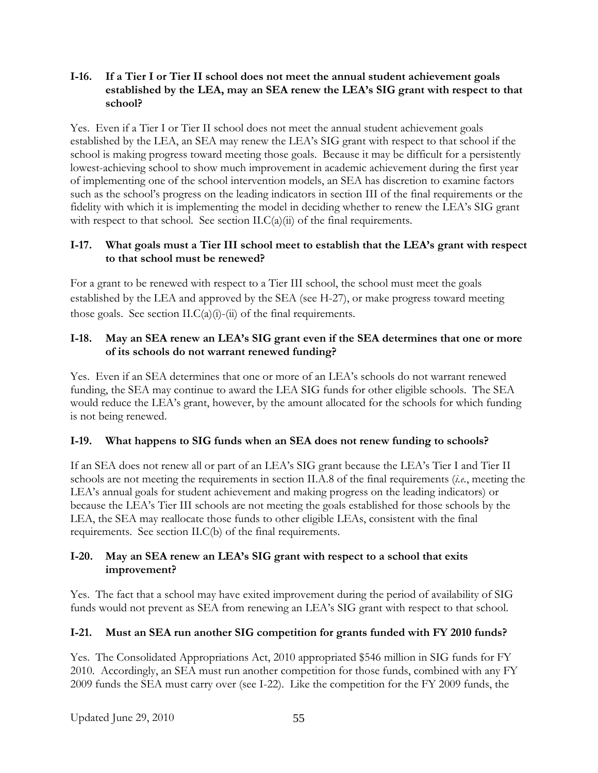#### **I-16. If a Tier I or Tier II school does not meet the annual student achievement goals established by the LEA, may an SEA renew the LEA's SIG grant with respect to that school?**

Yes. Even if a Tier I or Tier II school does not meet the annual student achievement goals established by the LEA, an SEA may renew the LEA's SIG grant with respect to that school if the school is making progress toward meeting those goals. Because it may be difficult for a persistently lowest-achieving school to show much improvement in academic achievement during the first year of implementing one of the school intervention models, an SEA has discretion to examine factors such as the school's progress on the leading indicators in section III of the final requirements or the fidelity with which it is implementing the model in deciding whether to renew the LEA's SIG grant with respect to that school. See section  $ILC(a)(ii)$  of the final requirements.

## **I-17. What goals must a Tier III school meet to establish that the LEA's grant with respect to that school must be renewed?**

For a grant to be renewed with respect to a Tier III school, the school must meet the goals established by the LEA and approved by the SEA (see H-27), or make progress toward meeting those goals. See section II.C(a)(i)-(ii) of the final requirements.

## **I-18. May an SEA renew an LEA's SIG grant even if the SEA determines that one or more of its schools do not warrant renewed funding?**

Yes. Even if an SEA determines that one or more of an LEA's schools do not warrant renewed funding, the SEA may continue to award the LEA SIG funds for other eligible schools. The SEA would reduce the LEA's grant, however, by the amount allocated for the schools for which funding is not being renewed.

## **I-19. What happens to SIG funds when an SEA does not renew funding to schools?**

If an SEA does not renew all or part of an LEA's SIG grant because the LEA's Tier I and Tier II schools are not meeting the requirements in section II.A.8 of the final requirements (*i.e.*, meeting the LEA's annual goals for student achievement and making progress on the leading indicators) or because the LEA's Tier III schools are not meeting the goals established for those schools by the LEA, the SEA may reallocate those funds to other eligible LEAs, consistent with the final requirements. See section II.C(b) of the final requirements.

### **I-20. May an SEA renew an LEA's SIG grant with respect to a school that exits improvement?**

Yes. The fact that a school may have exited improvement during the period of availability of SIG funds would not prevent as SEA from renewing an LEA's SIG grant with respect to that school.

## **I-21. Must an SEA run another SIG competition for grants funded with FY 2010 funds?**

Yes. The Consolidated Appropriations Act, 2010 appropriated \$546 million in SIG funds for FY 2010. Accordingly, an SEA must run another competition for those funds, combined with any FY 2009 funds the SEA must carry over (see I-22). Like the competition for the FY 2009 funds, the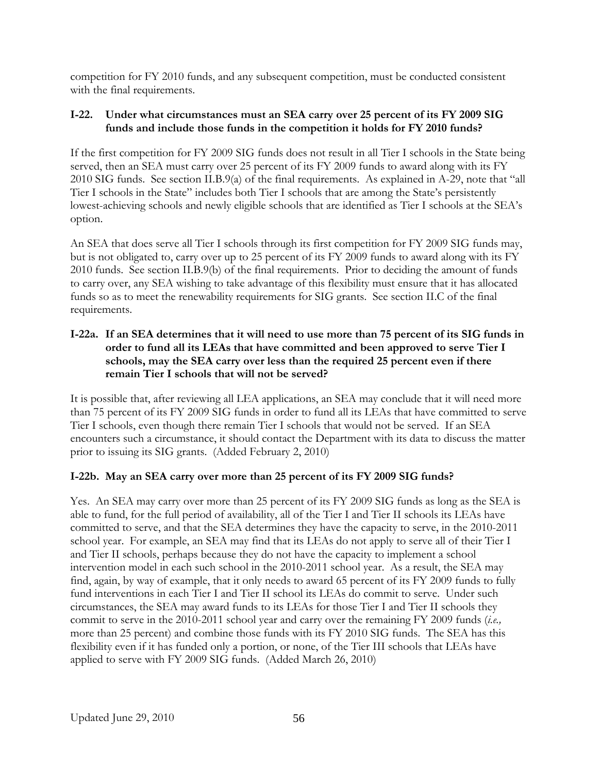competition for FY 2010 funds, and any subsequent competition, must be conducted consistent with the final requirements.

## **I-22. Under what circumstances must an SEA carry over 25 percent of its FY 2009 SIG funds and include those funds in the competition it holds for FY 2010 funds?**

If the first competition for FY 2009 SIG funds does not result in all Tier I schools in the State being served, then an SEA must carry over 25 percent of its FY 2009 funds to award along with its FY 2010 SIG funds. See section II.B.9(a) of the final requirements. As explained in A-29, note that "all Tier I schools in the State" includes both Tier I schools that are among the State's persistently lowest-achieving schools and newly eligible schools that are identified as Tier I schools at the SEA's option.

An SEA that does serve all Tier I schools through its first competition for FY 2009 SIG funds may, but is not obligated to, carry over up to 25 percent of its FY 2009 funds to award along with its FY 2010 funds. See section II.B.9(b) of the final requirements. Prior to deciding the amount of funds to carry over, any SEA wishing to take advantage of this flexibility must ensure that it has allocated funds so as to meet the renewability requirements for SIG grants. See section II.C of the final requirements.

### **I-22a. If an SEA determines that it will need to use more than 75 percent of its SIG funds in order to fund all its LEAs that have committed and been approved to serve Tier I schools, may the SEA carry over less than the required 25 percent even if there remain Tier I schools that will not be served?**

It is possible that, after reviewing all LEA applications, an SEA may conclude that it will need more than 75 percent of its FY 2009 SIG funds in order to fund all its LEAs that have committed to serve Tier I schools, even though there remain Tier I schools that would not be served. If an SEA encounters such a circumstance, it should contact the Department with its data to discuss the matter prior to issuing its SIG grants. (Added February 2, 2010)

## **I-22b. May an SEA carry over more than 25 percent of its FY 2009 SIG funds?**

Yes. An SEA may carry over more than 25 percent of its FY 2009 SIG funds as long as the SEA is able to fund, for the full period of availability, all of the Tier I and Tier II schools its LEAs have committed to serve, and that the SEA determines they have the capacity to serve, in the 2010-2011 school year. For example, an SEA may find that its LEAs do not apply to serve all of their Tier I and Tier II schools, perhaps because they do not have the capacity to implement a school intervention model in each such school in the 2010-2011 school year. As a result, the SEA may find, again, by way of example, that it only needs to award 65 percent of its FY 2009 funds to fully fund interventions in each Tier I and Tier II school its LEAs do commit to serve. Under such circumstances, the SEA may award funds to its LEAs for those Tier I and Tier II schools they commit to serve in the 2010-2011 school year and carry over the remaining FY 2009 funds (*i.e.,*  more than 25 percent) and combine those funds with its FY 2010 SIG funds. The SEA has this flexibility even if it has funded only a portion, or none, of the Tier III schools that LEAs have applied to serve with FY 2009 SIG funds. (Added March 26, 2010)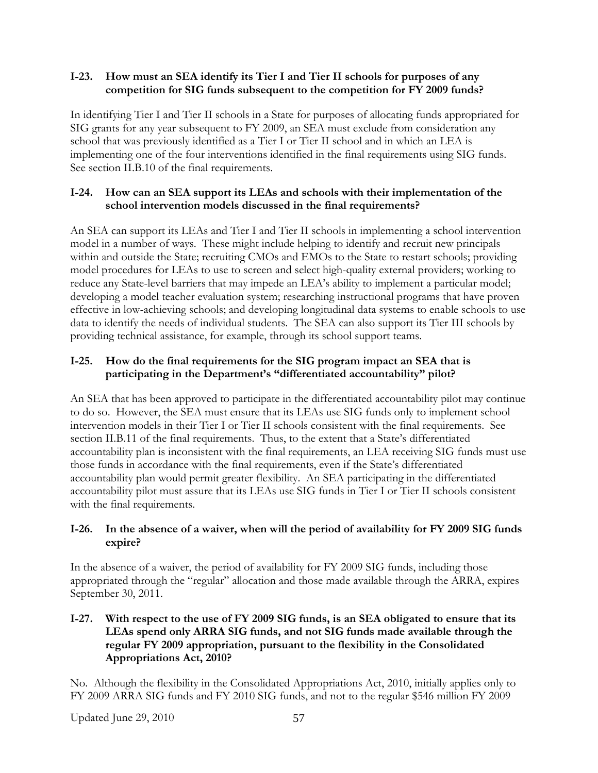### **I-23. How must an SEA identify its Tier I and Tier II schools for purposes of any competition for SIG funds subsequent to the competition for FY 2009 funds?**

In identifying Tier I and Tier II schools in a State for purposes of allocating funds appropriated for SIG grants for any year subsequent to FY 2009, an SEA must exclude from consideration any school that was previously identified as a Tier I or Tier II school and in which an LEA is implementing one of the four interventions identified in the final requirements using SIG funds. See section II.B.10 of the final requirements.

### **I-24. How can an SEA support its LEAs and schools with their implementation of the school intervention models discussed in the final requirements?**

An SEA can support its LEAs and Tier I and Tier II schools in implementing a school intervention model in a number of ways. These might include helping to identify and recruit new principals within and outside the State; recruiting CMOs and EMOs to the State to restart schools; providing model procedures for LEAs to use to screen and select high-quality external providers; working to reduce any State-level barriers that may impede an LEA's ability to implement a particular model; developing a model teacher evaluation system; researching instructional programs that have proven effective in low-achieving schools; and developing longitudinal data systems to enable schools to use data to identify the needs of individual students. The SEA can also support its Tier III schools by providing technical assistance, for example, through its school support teams.

## **I-25. How do the final requirements for the SIG program impact an SEA that is participating in the Department's "differentiated accountability" pilot?**

An SEA that has been approved to participate in the differentiated accountability pilot may continue to do so. However, the SEA must ensure that its LEAs use SIG funds only to implement school intervention models in their Tier I or Tier II schools consistent with the final requirements. See section II.B.11 of the final requirements. Thus, to the extent that a State's differentiated accountability plan is inconsistent with the final requirements, an LEA receiving SIG funds must use those funds in accordance with the final requirements, even if the State's differentiated accountability plan would permit greater flexibility. An SEA participating in the differentiated accountability pilot must assure that its LEAs use SIG funds in Tier I or Tier II schools consistent with the final requirements.

### **I-26. In the absence of a waiver, when will the period of availability for FY 2009 SIG funds expire?**

In the absence of a waiver, the period of availability for FY 2009 SIG funds, including those appropriated through the "regular" allocation and those made available through the ARRA, expires September 30, 2011.

### **I-27. With respect to the use of FY 2009 SIG funds, is an SEA obligated to ensure that its LEAs spend only ARRA SIG funds, and not SIG funds made available through the regular FY 2009 appropriation, pursuant to the flexibility in the Consolidated Appropriations Act, 2010?**

No. Although the flexibility in the Consolidated Appropriations Act, 2010, initially applies only to FY 2009 ARRA SIG funds and FY 2010 SIG funds, and not to the regular \$546 million FY 2009

Updated June 29, 2010 57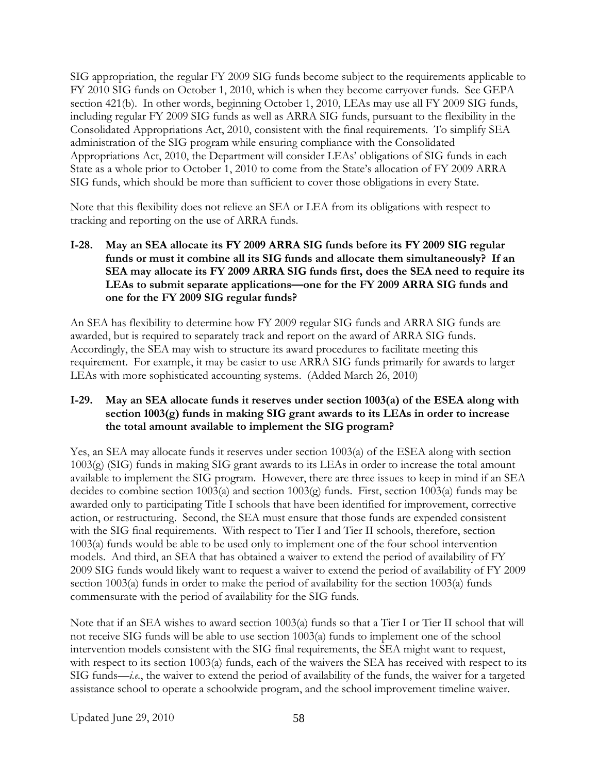SIG appropriation, the regular FY 2009 SIG funds become subject to the requirements applicable to FY 2010 SIG funds on October 1, 2010, which is when they become carryover funds. See GEPA section 421(b). In other words, beginning October 1, 2010, LEAs may use all FY 2009 SIG funds, including regular FY 2009 SIG funds as well as ARRA SIG funds, pursuant to the flexibility in the Consolidated Appropriations Act, 2010, consistent with the final requirements. To simplify SEA administration of the SIG program while ensuring compliance with the Consolidated Appropriations Act, 2010, the Department will consider LEAs' obligations of SIG funds in each State as a whole prior to October 1, 2010 to come from the State's allocation of FY 2009 ARRA SIG funds, which should be more than sufficient to cover those obligations in every State.

Note that this flexibility does not relieve an SEA or LEA from its obligations with respect to tracking and reporting on the use of ARRA funds.

**I-28. May an SEA allocate its FY 2009 ARRA SIG funds before its FY 2009 SIG regular funds or must it combine all its SIG funds and allocate them simultaneously? If an SEA may allocate its FY 2009 ARRA SIG funds first, does the SEA need to require its LEAs to submit separate applications—one for the FY 2009 ARRA SIG funds and one for the FY 2009 SIG regular funds?** 

An SEA has flexibility to determine how FY 2009 regular SIG funds and ARRA SIG funds are awarded, but is required to separately track and report on the award of ARRA SIG funds. Accordingly, the SEA may wish to structure its award procedures to facilitate meeting this requirement. For example, it may be easier to use ARRA SIG funds primarily for awards to larger LEAs with more sophisticated accounting systems. (Added March 26, 2010)

### **I-29. May an SEA allocate funds it reserves under section 1003(a) of the ESEA along with section 1003(g) funds in making SIG grant awards to its LEAs in order to increase the total amount available to implement the SIG program?**

Yes, an SEA may allocate funds it reserves under section 1003(a) of the ESEA along with section 1003(g) (SIG) funds in making SIG grant awards to its LEAs in order to increase the total amount available to implement the SIG program. However, there are three issues to keep in mind if an SEA decides to combine section 1003(a) and section 1003(g) funds. First, section 1003(a) funds may be awarded only to participating Title I schools that have been identified for improvement, corrective action, or restructuring. Second, the SEA must ensure that those funds are expended consistent with the SIG final requirements. With respect to Tier I and Tier II schools, therefore, section 1003(a) funds would be able to be used only to implement one of the four school intervention models. And third, an SEA that has obtained a waiver to extend the period of availability of FY 2009 SIG funds would likely want to request a waiver to extend the period of availability of FY 2009 section 1003(a) funds in order to make the period of availability for the section 1003(a) funds commensurate with the period of availability for the SIG funds.

Note that if an SEA wishes to award section 1003(a) funds so that a Tier I or Tier II school that will not receive SIG funds will be able to use section 1003(a) funds to implement one of the school intervention models consistent with the SIG final requirements, the SEA might want to request, with respect to its section 1003(a) funds, each of the waivers the SEA has received with respect to its SIG funds—*i.e.*, the waiver to extend the period of availability of the funds, the waiver for a targeted assistance school to operate a schoolwide program, and the school improvement timeline waiver.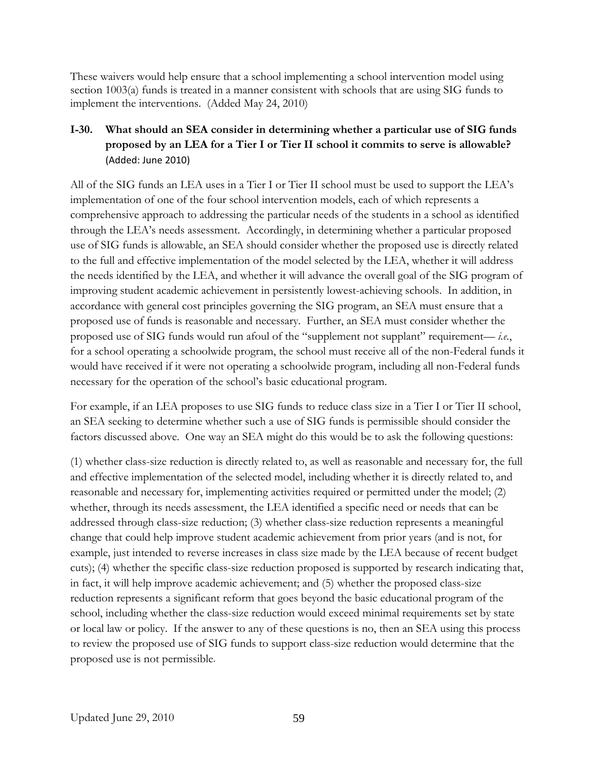These waivers would help ensure that a school implementing a school intervention model using section 1003(a) funds is treated in a manner consistent with schools that are using SIG funds to implement the interventions. (Added May 24, 2010)

# **I-30. What should an SEA consider in determining whether a particular use of SIG funds proposed by an LEA for a Tier I or Tier II school it commits to serve is allowable?**  (Added: June 2010)

All of the SIG funds an LEA uses in a Tier I or Tier II school must be used to support the LEA's implementation of one of the four school intervention models, each of which represents a comprehensive approach to addressing the particular needs of the students in a school as identified through the LEA's needs assessment. Accordingly, in determining whether a particular proposed use of SIG funds is allowable, an SEA should consider whether the proposed use is directly related to the full and effective implementation of the model selected by the LEA, whether it will address the needs identified by the LEA, and whether it will advance the overall goal of the SIG program of improving student academic achievement in persistently lowest-achieving schools. In addition, in accordance with general cost principles governing the SIG program, an SEA must ensure that a proposed use of funds is reasonable and necessary. Further, an SEA must consider whether the proposed use of SIG funds would run afoul of the "supplement not supplant" requirement— *i.e.*, for a school operating a schoolwide program, the school must receive all of the non-Federal funds it would have received if it were not operating a schoolwide program, including all non-Federal funds necessary for the operation of the school's basic educational program.

For example, if an LEA proposes to use SIG funds to reduce class size in a Tier I or Tier II school, an SEA seeking to determine whether such a use of SIG funds is permissible should consider the factors discussed above. One way an SEA might do this would be to ask the following questions:

(1) whether class-size reduction is directly related to, as well as reasonable and necessary for, the full and effective implementation of the selected model, including whether it is directly related to, and reasonable and necessary for, implementing activities required or permitted under the model; (2) whether, through its needs assessment, the LEA identified a specific need or needs that can be addressed through class-size reduction; (3) whether class-size reduction represents a meaningful change that could help improve student academic achievement from prior years (and is not, for example, just intended to reverse increases in class size made by the LEA because of recent budget cuts); (4) whether the specific class-size reduction proposed is supported by research indicating that, in fact, it will help improve academic achievement; and (5) whether the proposed class-size reduction represents a significant reform that goes beyond the basic educational program of the school, including whether the class-size reduction would exceed minimal requirements set by state or local law or policy. If the answer to any of these questions is no, then an SEA using this process to review the proposed use of SIG funds to support class-size reduction would determine that the proposed use is not permissible.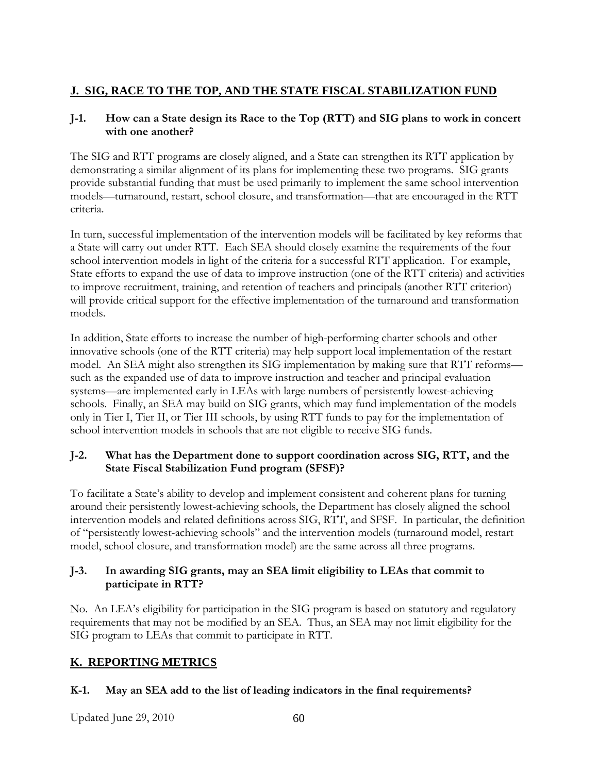# **J. SIG, RACE TO THE TOP, AND THE STATE FISCAL STABILIZATION FUND**

## **J-1. How can a State design its Race to the Top (RTT) and SIG plans to work in concert with one another?**

The SIG and RTT programs are closely aligned, and a State can strengthen its RTT application by demonstrating a similar alignment of its plans for implementing these two programs. SIG grants provide substantial funding that must be used primarily to implement the same school intervention models—turnaround, restart, school closure, and transformation—that are encouraged in the RTT criteria.

In turn, successful implementation of the intervention models will be facilitated by key reforms that a State will carry out under RTT. Each SEA should closely examine the requirements of the four school intervention models in light of the criteria for a successful RTT application. For example, State efforts to expand the use of data to improve instruction (one of the RTT criteria) and activities to improve recruitment, training, and retention of teachers and principals (another RTT criterion) will provide critical support for the effective implementation of the turnaround and transformation models.

In addition, State efforts to increase the number of high-performing charter schools and other innovative schools (one of the RTT criteria) may help support local implementation of the restart model. An SEA might also strengthen its SIG implementation by making sure that RTT reforms such as the expanded use of data to improve instruction and teacher and principal evaluation systems—are implemented early in LEAs with large numbers of persistently lowest-achieving schools. Finally, an SEA may build on SIG grants, which may fund implementation of the models only in Tier I, Tier II, or Tier III schools, by using RTT funds to pay for the implementation of school intervention models in schools that are not eligible to receive SIG funds.

# **J-2. What has the Department done to support coordination across SIG, RTT, and the State Fiscal Stabilization Fund program (SFSF)?**

To facilitate a State's ability to develop and implement consistent and coherent plans for turning around their persistently lowest-achieving schools, the Department has closely aligned the school intervention models and related definitions across SIG, RTT, and SFSF. In particular, the definition of "persistently lowest-achieving schools" and the intervention models (turnaround model, restart model, school closure, and transformation model) are the same across all three programs.

### **J-3. In awarding SIG grants, may an SEA limit eligibility to LEAs that commit to participate in RTT?**

No. An LEA's eligibility for participation in the SIG program is based on statutory and regulatory requirements that may not be modified by an SEA. Thus, an SEA may not limit eligibility for the SIG program to LEAs that commit to participate in RTT.

# **K. REPORTING METRICS**

# **K-1. May an SEA add to the list of leading indicators in the final requirements?**

Updated June 29, 2010 60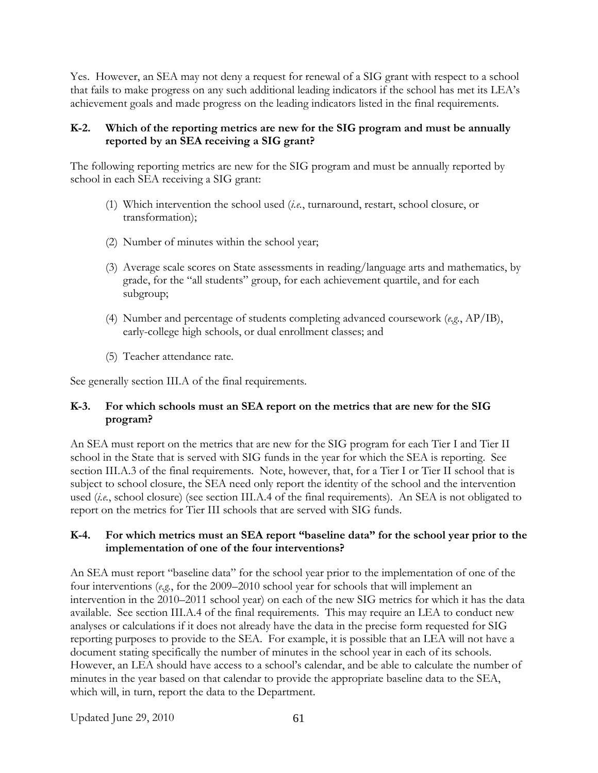Yes. However, an SEA may not deny a request for renewal of a SIG grant with respect to a school that fails to make progress on any such additional leading indicators if the school has met its LEA's achievement goals and made progress on the leading indicators listed in the final requirements.

### **K-2. Which of the reporting metrics are new for the SIG program and must be annually reported by an SEA receiving a SIG grant?**

The following reporting metrics are new for the SIG program and must be annually reported by school in each SEA receiving a SIG grant:

- (1) Which intervention the school used (*i.e.*, turnaround, restart, school closure, or transformation);
- (2) Number of minutes within the school year;
- (3) Average scale scores on State assessments in reading/language arts and mathematics, by grade, for the "all students" group, for each achievement quartile, and for each subgroup;
- (4) Number and percentage of students completing advanced coursework (*e.g.*, AP/IB), early-college high schools, or dual enrollment classes; and
- (5) Teacher attendance rate.

See generally section III.A of the final requirements.

### **K-3. For which schools must an SEA report on the metrics that are new for the SIG program?**

An SEA must report on the metrics that are new for the SIG program for each Tier I and Tier II school in the State that is served with SIG funds in the year for which the SEA is reporting. See section III.A.3 of the final requirements. Note, however, that, for a Tier I or Tier II school that is subject to school closure, the SEA need only report the identity of the school and the intervention used (*i.e.*, school closure) (see section III.A.4 of the final requirements). An SEA is not obligated to report on the metrics for Tier III schools that are served with SIG funds.

### **K-4. For which metrics must an SEA report "baseline data" for the school year prior to the implementation of one of the four interventions?**

An SEA must report "baseline data" for the school year prior to the implementation of one of the four interventions (*e.g.*, for the 2009–2010 school year for schools that will implement an intervention in the 2010–2011 school year) on each of the new SIG metrics for which it has the data available. See section III.A.4 of the final requirements. This may require an LEA to conduct new analyses or calculations if it does not already have the data in the precise form requested for SIG reporting purposes to provide to the SEA. For example, it is possible that an LEA will not have a document stating specifically the number of minutes in the school year in each of its schools. However, an LEA should have access to a school's calendar, and be able to calculate the number of minutes in the year based on that calendar to provide the appropriate baseline data to the SEA, which will, in turn, report the data to the Department.

Updated June 29, 2010 61